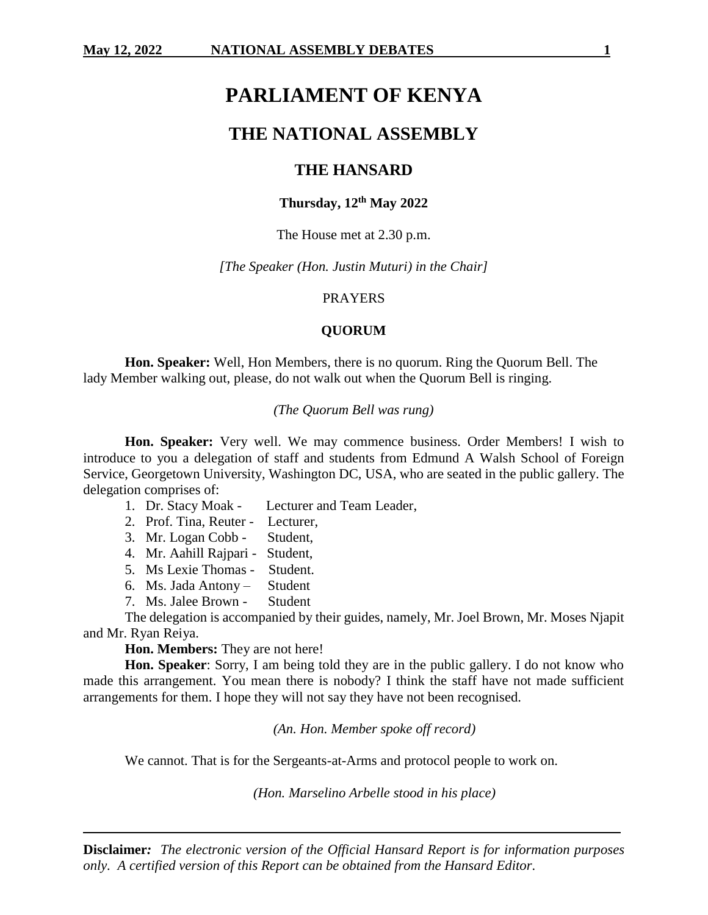# **PARLIAMENT OF KENYA**

# **THE NATIONAL ASSEMBLY**

# **THE HANSARD**

# **Thursday, 12 th May 2022**

# The House met at 2.30 p.m.

*[The Speaker (Hon. Justin Muturi) in the Chair]*

### PRAYERS

# **QUORUM**

**Hon. Speaker:** Well, Hon Members, there is no quorum. Ring the Quorum Bell. The lady Member walking out, please, do not walk out when the Quorum Bell is ringing.

# *(The Quorum Bell was rung)*

**Hon. Speaker:** Very well. We may commence business. Order Members! I wish to introduce to you a delegation of staff and students from Edmund A Walsh School of Foreign Service, Georgetown University, Washington DC, USA, who are seated in the public gallery. The delegation comprises of:

- 1. Dr. Stacy Moak Lecturer and Team Leader,
- 2. Prof. Tina, Reuter Lecturer,
- 3. Mr. Logan Cobb Student,
- 4. Mr. Aahill Rajpari Student,
- 5. Ms Lexie Thomas Student.
- 6. Ms. Jada Antony Student
- 7. Ms. Jalee Brown Student

The delegation is accompanied by their guides, namely, Mr. Joel Brown, Mr. Moses Njapit and Mr. Ryan Reiya.

**Hon. Members:** They are not here!

**Hon. Speaker**: Sorry, I am being told they are in the public gallery. I do not know who made this arrangement. You mean there is nobody? I think the staff have not made sufficient arrangements for them. I hope they will not say they have not been recognised.

*(An. Hon. Member spoke off record)*

We cannot. That is for the Sergeants-at-Arms and protocol people to work on.

*(Hon. Marselino Arbelle stood in his place)*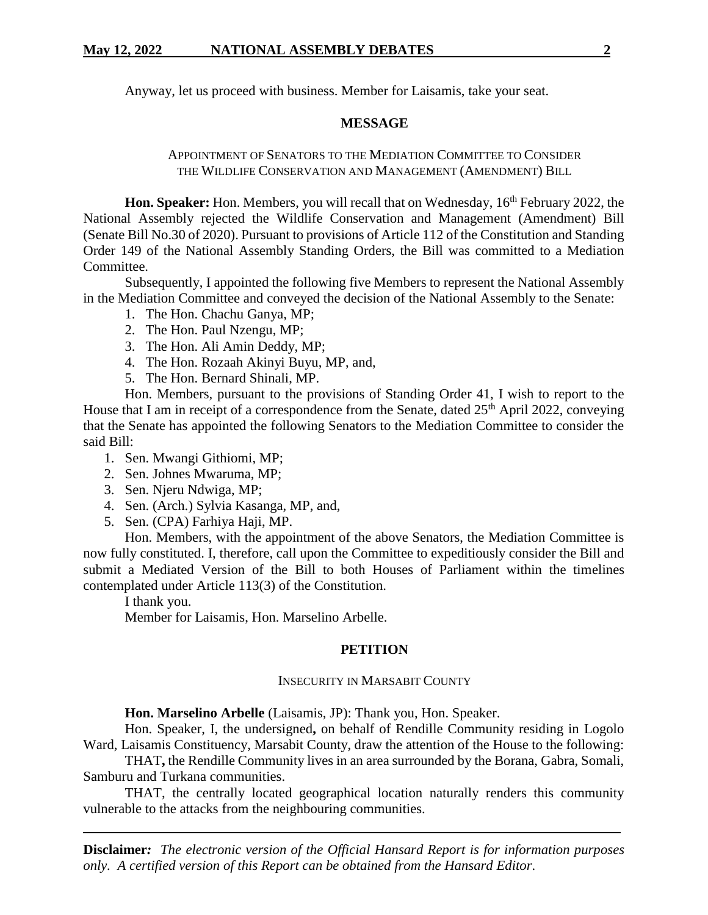Anyway, let us proceed with business. Member for Laisamis, take your seat.

# **MESSAGE**

# APPOINTMENT OF SENATORS TO THE MEDIATION COMMITTEE TO CONSIDER THE WILDLIFE CONSERVATION AND MANAGEMENT (AMENDMENT) BILL

**Hon. Speaker:** Hon. Members, you will recall that on Wednesday, 16<sup>th</sup> February 2022, the National Assembly rejected the Wildlife Conservation and Management (Amendment) Bill (Senate Bill No.30 of 2020). Pursuant to provisions of Article 112 of the Constitution and Standing Order 149 of the National Assembly Standing Orders, the Bill was committed to a Mediation Committee.

Subsequently, I appointed the following five Members to represent the National Assembly in the Mediation Committee and conveyed the decision of the National Assembly to the Senate:

- 1. The Hon. Chachu Ganya, MP;
- 2. The Hon. Paul Nzengu, MP;
- 3. The Hon. Ali Amin Deddy, MP;
- 4. The Hon. Rozaah Akinyi Buyu, MP, and,
- 5. The Hon. Bernard Shinali, MP.

Hon. Members, pursuant to the provisions of Standing Order 41, I wish to report to the House that I am in receipt of a correspondence from the Senate, dated 25<sup>th</sup> April 2022, conveying that the Senate has appointed the following Senators to the Mediation Committee to consider the said Bill:

- 1. Sen. Mwangi Githiomi, MP;
- 2. Sen. Johnes Mwaruma, MP;
- 3. Sen. Njeru Ndwiga, MP;
- 4. Sen. (Arch.) Sylvia Kasanga, MP, and,
- 5. Sen. (CPA) Farhiya Haji, MP.

Hon. Members, with the appointment of the above Senators, the Mediation Committee is now fully constituted. I, therefore, call upon the Committee to expeditiously consider the Bill and submit a Mediated Version of the Bill to both Houses of Parliament within the timelines contemplated under Article 113(3) of the Constitution.

I thank you.

Member for Laisamis, Hon. Marselino Arbelle.

# **PETITION**

#### INSECURITY IN MARSABIT COUNTY

**Hon. Marselino Arbelle** (Laisamis, JP): Thank you, Hon. Speaker.

Hon. Speaker, I, the undersigned**,** on behalf of Rendille Community residing in Logolo Ward, Laisamis Constituency, Marsabit County, draw the attention of the House to the following:

THAT**,** the Rendille Community lives in an area surrounded by the Borana, Gabra, Somali, Samburu and Turkana communities.

THAT, the centrally located geographical location naturally renders this community vulnerable to the attacks from the neighbouring communities.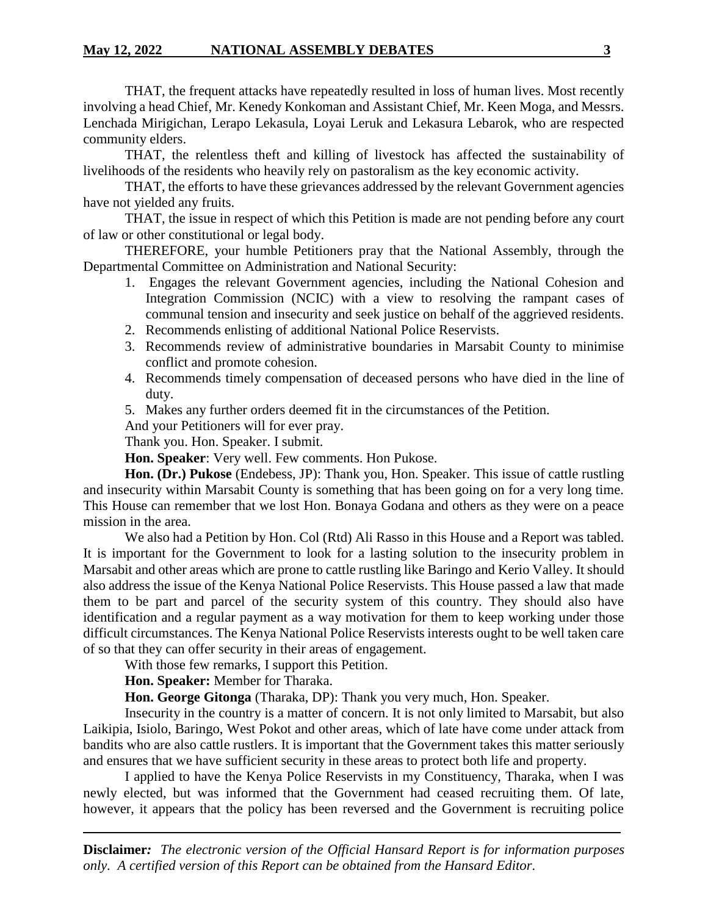THAT, the frequent attacks have repeatedly resulted in loss of human lives. Most recently involving a head Chief, Mr. Kenedy Konkoman and Assistant Chief, Mr. Keen Moga, and Messrs. Lenchada Mirigichan, Lerapo Lekasula, Loyai Leruk and Lekasura Lebarok, who are respected community elders.

THAT, the relentless theft and killing of livestock has affected the sustainability of livelihoods of the residents who heavily rely on pastoralism as the key economic activity.

THAT, the efforts to have these grievances addressed by the relevant Government agencies have not yielded any fruits.

THAT, the issue in respect of which this Petition is made are not pending before any court of law or other constitutional or legal body.

THEREFORE, your humble Petitioners pray that the National Assembly, through the Departmental Committee on Administration and National Security:

- 1. Engages the relevant Government agencies, including the National Cohesion and Integration Commission (NCIC) with a view to resolving the rampant cases of communal tension and insecurity and seek justice on behalf of the aggrieved residents.
- 2. Recommends enlisting of additional National Police Reservists.
- 3. Recommends review of administrative boundaries in Marsabit County to minimise conflict and promote cohesion.
- 4. Recommends timely compensation of deceased persons who have died in the line of duty.
- 5. Makes any further orders deemed fit in the circumstances of the Petition.

And your Petitioners will for ever pray.

Thank you. Hon. Speaker. I submit.

**Hon. Speaker**: Very well. Few comments. Hon Pukose.

**Hon. (Dr.) Pukose** (Endebess, JP): Thank you, Hon. Speaker. This issue of cattle rustling and insecurity within Marsabit County is something that has been going on for a very long time. This House can remember that we lost Hon. Bonaya Godana and others as they were on a peace mission in the area.

We also had a Petition by Hon. Col (Rtd) Ali Rasso in this House and a Report was tabled. It is important for the Government to look for a lasting solution to the insecurity problem in Marsabit and other areas which are prone to cattle rustling like Baringo and Kerio Valley. It should also address the issue of the Kenya National Police Reservists. This House passed a law that made them to be part and parcel of the security system of this country. They should also have identification and a regular payment as a way motivation for them to keep working under those difficult circumstances. The Kenya National Police Reservists interests ought to be well taken care of so that they can offer security in their areas of engagement.

With those few remarks, I support this Petition.

**Hon. Speaker:** Member for Tharaka.

**Hon. George Gitonga** (Tharaka, DP): Thank you very much, Hon. Speaker.

Insecurity in the country is a matter of concern. It is not only limited to Marsabit, but also Laikipia, Isiolo, Baringo, West Pokot and other areas, which of late have come under attack from bandits who are also cattle rustlers. It is important that the Government takes this matter seriously and ensures that we have sufficient security in these areas to protect both life and property.

I applied to have the Kenya Police Reservists in my Constituency, Tharaka, when I was newly elected, but was informed that the Government had ceased recruiting them. Of late, however, it appears that the policy has been reversed and the Government is recruiting police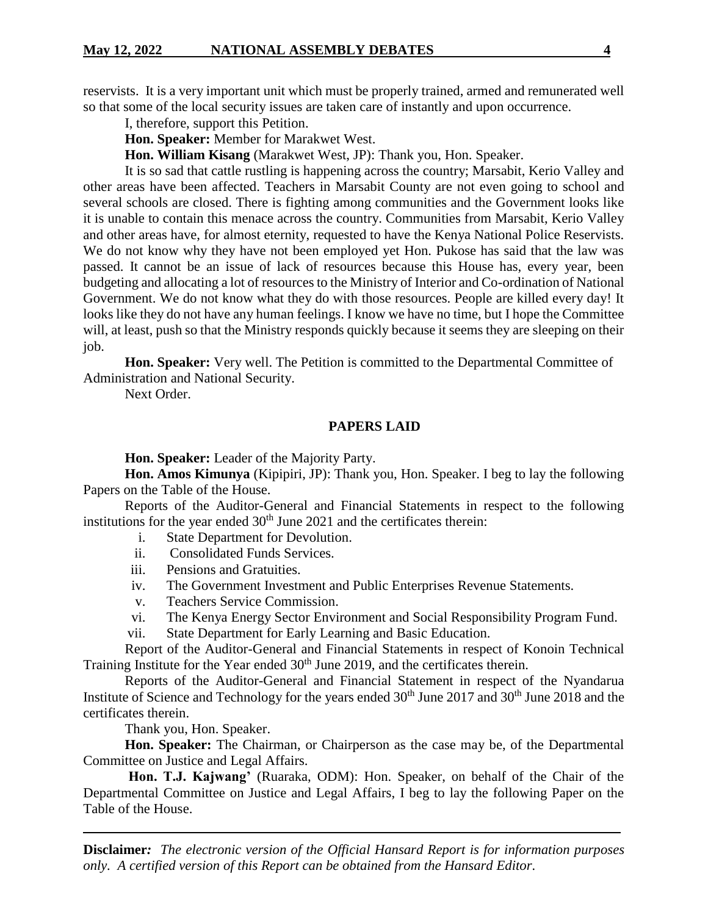reservists. It is a very important unit which must be properly trained, armed and remunerated well so that some of the local security issues are taken care of instantly and upon occurrence.

I, therefore, support this Petition.

**Hon. Speaker:** Member for Marakwet West.

**Hon. William Kisang** (Marakwet West, JP): Thank you, Hon. Speaker.

It is so sad that cattle rustling is happening across the country; Marsabit, Kerio Valley and other areas have been affected. Teachers in Marsabit County are not even going to school and several schools are closed. There is fighting among communities and the Government looks like it is unable to contain this menace across the country. Communities from Marsabit, Kerio Valley and other areas have, for almost eternity, requested to have the Kenya National Police Reservists. We do not know why they have not been employed yet Hon. Pukose has said that the law was passed. It cannot be an issue of lack of resources because this House has, every year, been budgeting and allocating a lot of resources to the Ministry of Interior and Co-ordination of National Government. We do not know what they do with those resources. People are killed every day! It looks like they do not have any human feelings. I know we have no time, but I hope the Committee will, at least, push so that the Ministry responds quickly because it seems they are sleeping on their job.

**Hon. Speaker:** Very well. The Petition is committed to the Departmental Committee of Administration and National Security.

Next Order.

# **PAPERS LAID**

**Hon. Speaker:** Leader of the Majority Party.

**Hon. Amos Kimunya** (Kipipiri, JP): Thank you, Hon. Speaker. I beg to lay the following Papers on the Table of the House.

Reports of the Auditor-General and Financial Statements in respect to the following institutions for the year ended  $30<sup>th</sup>$  June 2021 and the certificates therein:

- i. State Department for Devolution.
- ii. Consolidated Funds Services.
- iii. Pensions and Gratuities.
- iv. The Government Investment and Public Enterprises Revenue Statements.
- v. Teachers Service Commission.
- vi. The Kenya Energy Sector Environment and Social Responsibility Program Fund.
- vii. State Department for Early Learning and Basic Education.

Report of the Auditor-General and Financial Statements in respect of Konoin Technical Training Institute for the Year ended 30<sup>th</sup> June 2019, and the certificates therein.

Reports of the Auditor-General and Financial Statement in respect of the Nyandarua Institute of Science and Technology for the years ended  $30<sup>th</sup>$  June  $2017$  and  $30<sup>th</sup>$  June  $2018$  and the certificates therein.

Thank you, Hon. Speaker.

**Hon. Speaker:** The Chairman, or Chairperson as the case may be, of the Departmental Committee on Justice and Legal Affairs.

**Hon. T.J. Kajwang'** (Ruaraka, ODM): Hon. Speaker, on behalf of the Chair of the Departmental Committee on Justice and Legal Affairs, I beg to lay the following Paper on the Table of the House.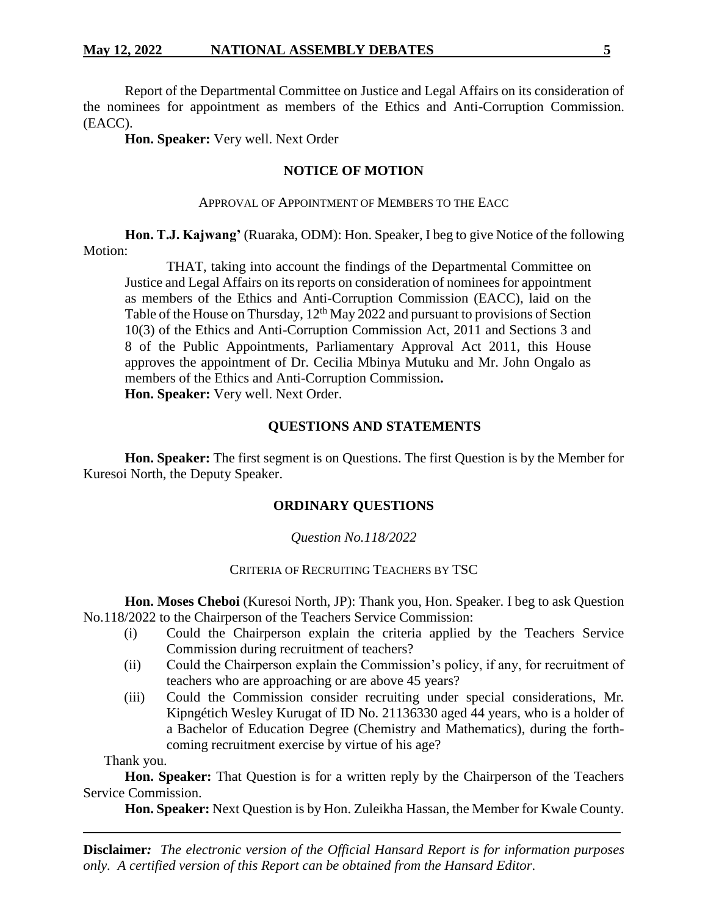Report of the Departmental Committee on Justice and Legal Affairs on its consideration of the nominees for appointment as members of the Ethics and Anti-Corruption Commission. (EACC).

**Hon. Speaker:** Very well. Next Order

# **NOTICE OF MOTION**

# APPROVAL OF APPOINTMENT OF MEMBERS TO THE EACC

**Hon. T.J. Kajwang'** (Ruaraka, ODM): Hon. Speaker, I beg to give Notice of the following Motion:

THAT, taking into account the findings of the Departmental Committee on Justice and Legal Affairs on its reports on consideration of nominees for appointment as members of the Ethics and Anti-Corruption Commission (EACC), laid on the Table of the House on Thursday,  $12^{th}$  May 2022 and pursuant to provisions of Section 10(3) of the Ethics and Anti-Corruption Commission Act, 2011 and Sections 3 and 8 of the Public Appointments, Parliamentary Approval Act 2011, this House approves the appointment of Dr. Cecilia Mbinya Mutuku and Mr. John Ongalo as members of the Ethics and Anti-Corruption Commission**. Hon. Speaker:** Very well. Next Order.

# **QUESTIONS AND STATEMENTS**

**Hon. Speaker:** The first segment is on Questions. The first Question is by the Member for Kuresoi North, the Deputy Speaker.

# **ORDINARY QUESTIONS**

# *Question No.118/2022*

# CRITERIA OF RECRUITING TEACHERS BY TSC

**Hon. Moses Cheboi** (Kuresoi North, JP): Thank you, Hon. Speaker. I beg to ask Question No.118/2022 to the Chairperson of the Teachers Service Commission:

- (i) Could the Chairperson explain the criteria applied by the Teachers Service Commission during recruitment of teachers?
- (ii) Could the Chairperson explain the Commission's policy, if any, for recruitment of teachers who are approaching or are above 45 years?
- (iii) Could the Commission consider recruiting under special considerations, Mr*.*  Kipngétich Wesley Kurugat of ID No. 21136330 aged 44 years, who is a holder of a Bachelor of Education Degree (Chemistry and Mathematics), during the forthcoming recruitment exercise by virtue of his age?

Thank you.

**Hon. Speaker:** That Question is for a written reply by the Chairperson of the Teachers Service Commission.

**Hon. Speaker:** Next Question is by Hon. Zuleikha Hassan, the Member for Kwale County.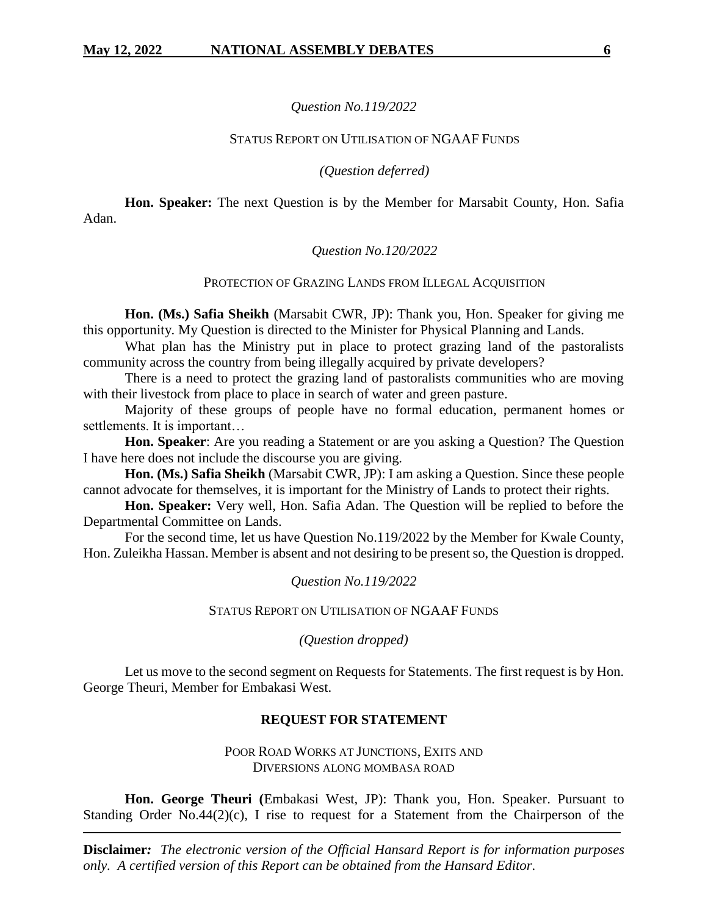# *Question No.119/2022*

# STATUS REPORT ON UTILISATION OF NGAAF FUNDS

# *(Question deferred)*

**Hon. Speaker:** The next Question is by the Member for Marsabit County, Hon. Safia Adan.

# *Question No.120/2022*

# PROTECTION OF GRAZING LANDS FROM ILLEGAL ACOUISITION

**Hon. (Ms.) Safia Sheikh** (Marsabit CWR, JP): Thank you, Hon. Speaker for giving me this opportunity. My Question is directed to the Minister for Physical Planning and Lands.

What plan has the Ministry put in place to protect grazing land of the pastoralists community across the country from being illegally acquired by private developers?

There is a need to protect the grazing land of pastoralists communities who are moving with their livestock from place to place in search of water and green pasture.

Majority of these groups of people have no formal education, permanent homes or settlements. It is important…

**Hon. Speaker**: Are you reading a Statement or are you asking a Question? The Question I have here does not include the discourse you are giving.

**Hon. (Ms.) Safia Sheikh** (Marsabit CWR, JP): I am asking a Question. Since these people cannot advocate for themselves, it is important for the Ministry of Lands to protect their rights.

**Hon. Speaker:** Very well, Hon. Safia Adan. The Question will be replied to before the Departmental Committee on Lands.

For the second time, let us have Question No.119/2022 by the Member for Kwale County, Hon. Zuleikha Hassan. Member is absent and not desiring to be present so, the Question is dropped.

### *Question No.119/2022*

### STATUS REPORT ON UTILISATION OF NGAAF FUNDS

*(Question dropped)*

Let us move to the second segment on Requests for Statements. The first request is by Hon. George Theuri, Member for Embakasi West.

# **REQUEST FOR STATEMENT**

POOR ROAD WORKS AT JUNCTIONS, EXITS AND DIVERSIONS ALONG MOMBASA ROAD

**Hon. George Theuri (**Embakasi West, JP): Thank you, Hon. Speaker. Pursuant to Standing Order No.44 $(2)(c)$ , I rise to request for a Statement from the Chairperson of the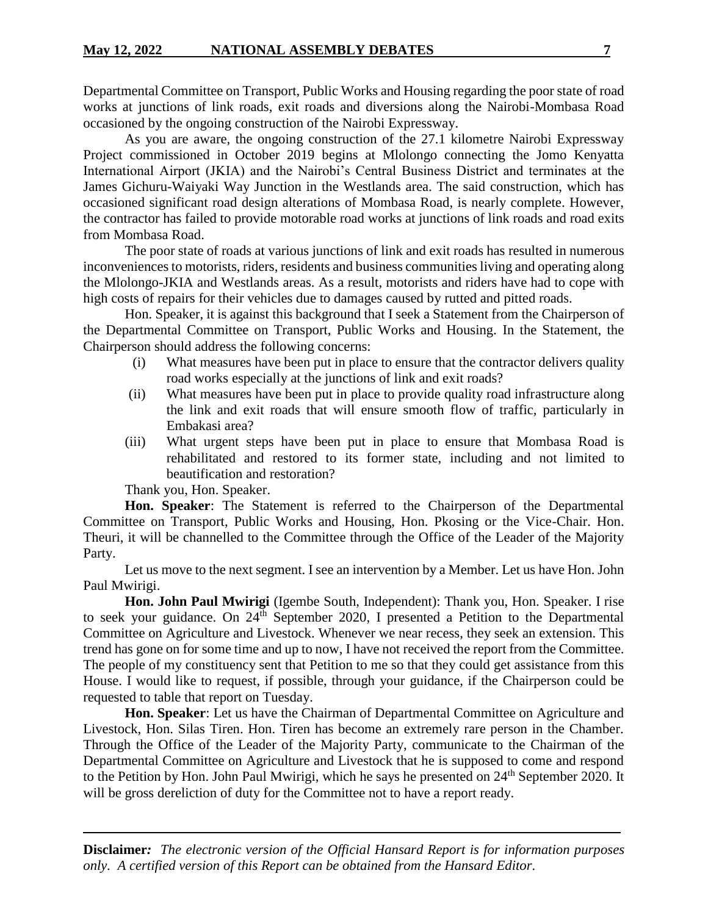Departmental Committee on Transport, Public Works and Housing regarding the poor state of road works at junctions of link roads, exit roads and diversions along the Nairobi-Mombasa Road occasioned by the ongoing construction of the Nairobi Expressway.

As you are aware, the ongoing construction of the 27.1 kilometre Nairobi Expressway Project commissioned in October 2019 begins at Mlolongo connecting the Jomo Kenyatta International Airport (JKIA) and the Nairobi's Central Business District and terminates at the James Gichuru-Waiyaki Way Junction in the Westlands area. The said construction, which has occasioned significant road design alterations of Mombasa Road, is nearly complete. However, the contractor has failed to provide motorable road works at junctions of link roads and road exits from Mombasa Road.

The poor state of roads at various junctions of link and exit roads has resulted in numerous inconveniences to motorists, riders, residents and business communities living and operating along the Mlolongo-JKIA and Westlands areas. As a result, motorists and riders have had to cope with high costs of repairs for their vehicles due to damages caused by rutted and pitted roads.

Hon. Speaker, it is against this background that I seek a Statement from the Chairperson of the Departmental Committee on Transport, Public Works and Housing. In the Statement, the Chairperson should address the following concerns:

- (i) What measures have been put in place to ensure that the contractor delivers quality road works especially at the junctions of link and exit roads?
- (ii) What measures have been put in place to provide quality road infrastructure along the link and exit roads that will ensure smooth flow of traffic, particularly in Embakasi area?
- (iii) What urgent steps have been put in place to ensure that Mombasa Road is rehabilitated and restored to its former state, including and not limited to beautification and restoration?

Thank you, Hon. Speaker.

**Hon. Speaker**: The Statement is referred to the Chairperson of the Departmental Committee on Transport, Public Works and Housing, Hon. Pkosing or the Vice-Chair. Hon. Theuri, it will be channelled to the Committee through the Office of the Leader of the Majority Party.

Let us move to the next segment. I see an intervention by a Member. Let us have Hon. John Paul Mwirigi.

**Hon. John Paul Mwirigi** (Igembe South, Independent): Thank you, Hon. Speaker. I rise to seek your guidance. On 24<sup>th</sup> September 2020, I presented a Petition to the Departmental Committee on Agriculture and Livestock. Whenever we near recess, they seek an extension. This trend has gone on for some time and up to now, I have not received the report from the Committee. The people of my constituency sent that Petition to me so that they could get assistance from this House. I would like to request, if possible, through your guidance, if the Chairperson could be requested to table that report on Tuesday.

**Hon. Speaker**: Let us have the Chairman of Departmental Committee on Agriculture and Livestock, Hon. Silas Tiren. Hon. Tiren has become an extremely rare person in the Chamber. Through the Office of the Leader of the Majority Party, communicate to the Chairman of the Departmental Committee on Agriculture and Livestock that he is supposed to come and respond to the Petition by Hon. John Paul Mwirigi, which he says he presented on 24<sup>th</sup> September 2020. It will be gross dereliction of duty for the Committee not to have a report ready.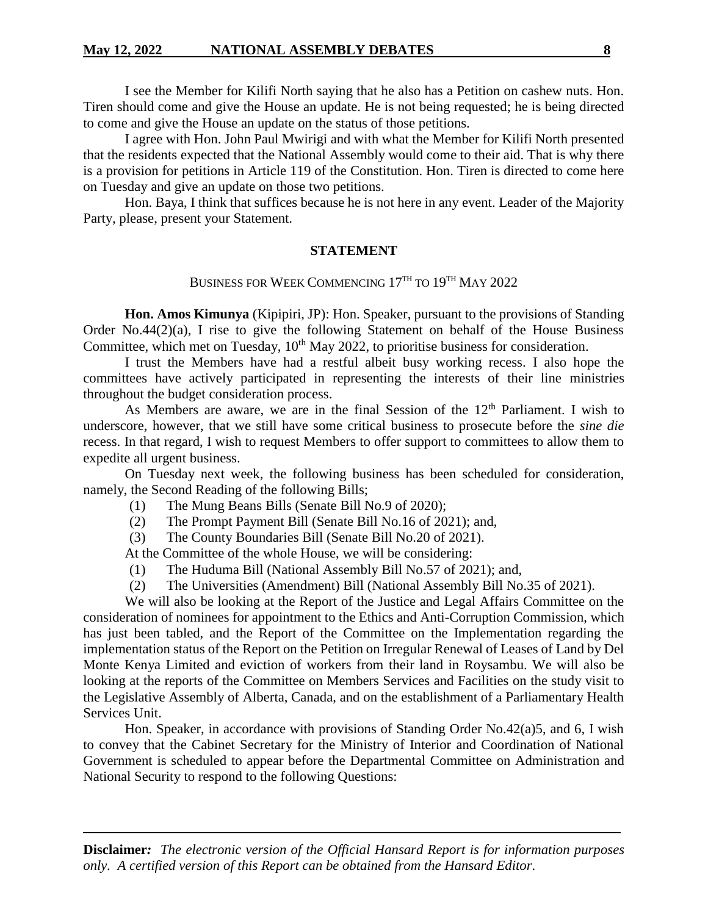I see the Member for Kilifi North saying that he also has a Petition on cashew nuts. Hon. Tiren should come and give the House an update. He is not being requested; he is being directed to come and give the House an update on the status of those petitions.

I agree with Hon. John Paul Mwirigi and with what the Member for Kilifi North presented that the residents expected that the National Assembly would come to their aid. That is why there is a provision for petitions in Article 119 of the Constitution. Hon. Tiren is directed to come here on Tuesday and give an update on those two petitions.

Hon. Baya, I think that suffices because he is not here in any event. Leader of the Majority Party, please, present your Statement.

# **STATEMENT**

# BUSINESS FOR WEEK COMMENCING 17<sup>TH</sup> TO 19<sup>TH</sup> MAY 2022

**Hon. Amos Kimunya** (Kipipiri, JP): Hon. Speaker, pursuant to the provisions of Standing Order No.44(2)(a), I rise to give the following Statement on behalf of the House Business Committee, which met on Tuesday,  $10^{th}$  May 2022, to prioritise business for consideration.

I trust the Members have had a restful albeit busy working recess. I also hope the committees have actively participated in representing the interests of their line ministries throughout the budget consideration process.

As Members are aware, we are in the final Session of the 12<sup>th</sup> Parliament. I wish to underscore, however, that we still have some critical business to prosecute before the *sine die*  recess. In that regard, I wish to request Members to offer support to committees to allow them to expedite all urgent business.

On Tuesday next week, the following business has been scheduled for consideration, namely, the Second Reading of the following Bills;

- (1) The Mung Beans Bills (Senate Bill No.9 of 2020);
- (2) The Prompt Payment Bill (Senate Bill No.16 of 2021); and,
- (3) The County Boundaries Bill (Senate Bill No.20 of 2021).

At the Committee of the whole House, we will be considering:

- (1) The Huduma Bill (National Assembly Bill No.57 of 2021); and,
- (2) The Universities (Amendment) Bill (National Assembly Bill No.35 of 2021).

We will also be looking at the Report of the Justice and Legal Affairs Committee on the consideration of nominees for appointment to the Ethics and Anti-Corruption Commission, which has just been tabled, and the Report of the Committee on the Implementation regarding the implementation status of the Report on the Petition on Irregular Renewal of Leases of Land by Del Monte Kenya Limited and eviction of workers from their land in Roysambu. We will also be looking at the reports of the Committee on Members Services and Facilities on the study visit to the Legislative Assembly of Alberta, Canada, and on the establishment of a Parliamentary Health Services Unit.

Hon. Speaker, in accordance with provisions of Standing Order No.42(a)5, and 6, I wish to convey that the Cabinet Secretary for the Ministry of Interior and Coordination of National Government is scheduled to appear before the Departmental Committee on Administration and National Security to respond to the following Questions: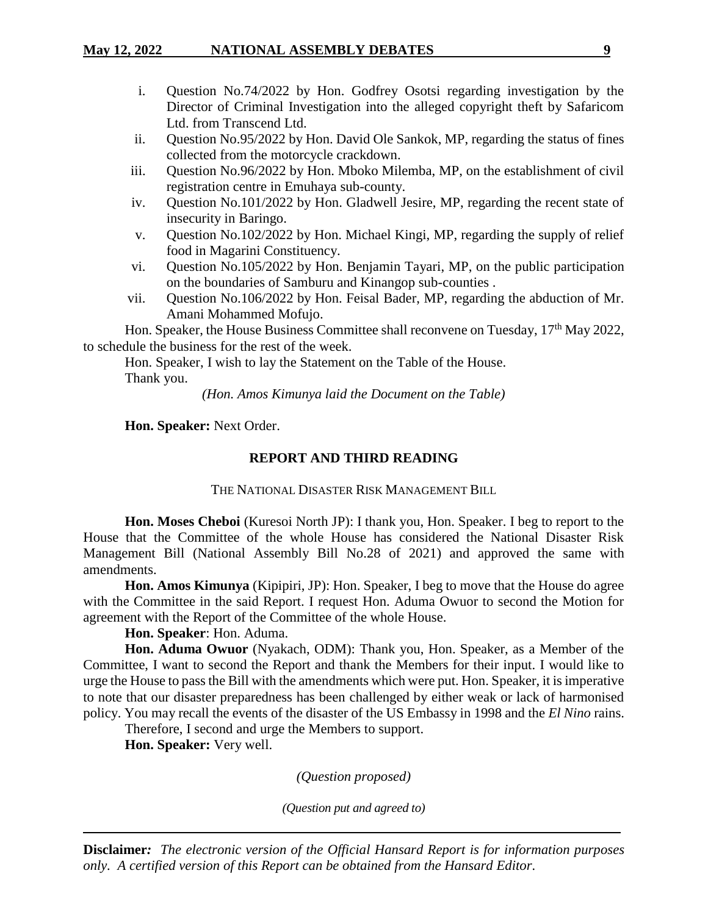- i. Question No.74/2022 by Hon. Godfrey Osotsi regarding investigation by the Director of Criminal Investigation into the alleged copyright theft by Safaricom Ltd. from Transcend Ltd.
- ii. Question No.95/2022 by Hon. David Ole Sankok, MP, regarding the status of fines collected from the motorcycle crackdown.
- iii. Question No.96/2022 by Hon. Mboko Milemba, MP, on the establishment of civil registration centre in Emuhaya sub-county.
- iv. Question No.101/2022 by Hon. Gladwell Jesire, MP, regarding the recent state of insecurity in Baringo.
- v. Question No.102/2022 by Hon. Michael Kingi, MP, regarding the supply of relief food in Magarini Constituency.
- vi. Question No.105/2022 by Hon. Benjamin Tayari, MP, on the public participation on the boundaries of Samburu and Kinangop sub-counties .
- vii. Question No.106/2022 by Hon. Feisal Bader, MP, regarding the abduction of Mr. Amani Mohammed Mofujo.

Hon. Speaker, the House Business Committee shall reconvene on Tuesday, 17<sup>th</sup> May 2022. to schedule the business for the rest of the week.

Hon. Speaker, I wish to lay the Statement on the Table of the House. Thank you.

*(Hon. Amos Kimunya laid the Document on the Table)*

**Hon. Speaker:** Next Order.

# **REPORT AND THIRD READING**

THE NATIONAL DISASTER RISK MANAGEMENT BILL

**Hon. Moses Cheboi** (Kuresoi North JP): I thank you, Hon. Speaker. I beg to report to the House that the Committee of the whole House has considered the National Disaster Risk Management Bill (National Assembly Bill No.28 of 2021) and approved the same with amendments.

**Hon. Amos Kimunya** (Kipipiri, JP): Hon. Speaker, I beg to move that the House do agree with the Committee in the said Report. I request Hon. Aduma Owuor to second the Motion for agreement with the Report of the Committee of the whole House.

**Hon. Speaker**: Hon. Aduma.

**Hon. Aduma Owuor** (Nyakach, ODM): Thank you, Hon. Speaker, as a Member of the Committee, I want to second the Report and thank the Members for their input. I would like to urge the House to pass the Bill with the amendments which were put. Hon. Speaker, it is imperative to note that our disaster preparedness has been challenged by either weak or lack of harmonised policy. You may recall the events of the disaster of the US Embassy in 1998 and the *El Nino* rains.

Therefore, I second and urge the Members to support.

**Hon. Speaker:** Very well.

*(Question proposed)*

*(Question put and agreed to)*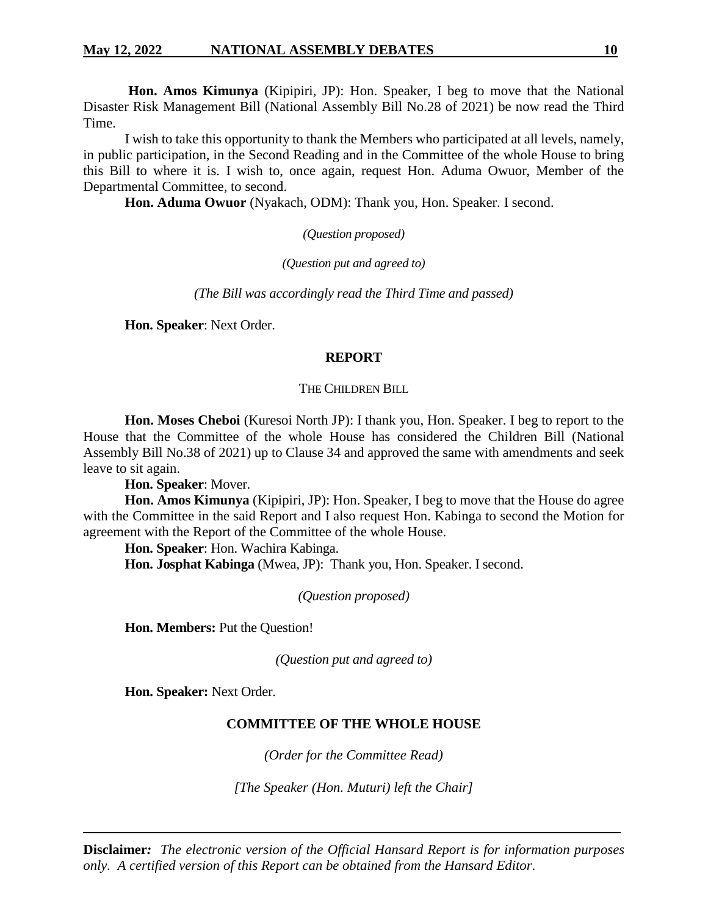**Hon. Amos Kimunya** (Kipipiri, JP): Hon. Speaker, I beg to move that the National Disaster Risk Management Bill (National Assembly Bill No.28 of 2021) be now read the Third Time.

I wish to take this opportunity to thank the Members who participated at all levels, namely, in public participation, in the Second Reading and in the Committee of the whole House to bring this Bill to where it is. I wish to, once again, request Hon. Aduma Owuor, Member of the Departmental Committee, to second.

**Hon. Aduma Owuor** (Nyakach, ODM): Thank you, Hon. Speaker. I second.

*(Question proposed)*

*(Question put and agreed to)*

*(The Bill was accordingly read the Third Time and passed)*

**Hon. Speaker**: Next Order.

### **REPORT**

#### THE CHILDREN BILL

**Hon. Moses Cheboi** (Kuresoi North JP): I thank you, Hon. Speaker. I beg to report to the House that the Committee of the whole House has considered the Children Bill (National Assembly Bill No.38 of 2021) up to Clause 34 and approved the same with amendments and seek leave to sit again.

**Hon. Speaker**: Mover.

**Hon. Amos Kimunya** (Kipipiri, JP): Hon. Speaker, I beg to move that the House do agree with the Committee in the said Report and I also request Hon. Kabinga to second the Motion for agreement with the Report of the Committee of the whole House.

**Hon. Speaker**: Hon. Wachira Kabinga.

**Hon. Josphat Kabinga** (Mwea, JP): Thank you, Hon. Speaker. I second.

*(Question proposed)*

**Hon. Members:** Put the Question!

*(Question put and agreed to)*

**Hon. Speaker:** Next Order.

# **COMMITTEE OF THE WHOLE HOUSE**

*(Order for the Committee Read)*

*[The Speaker (Hon. Muturi) left the Chair]*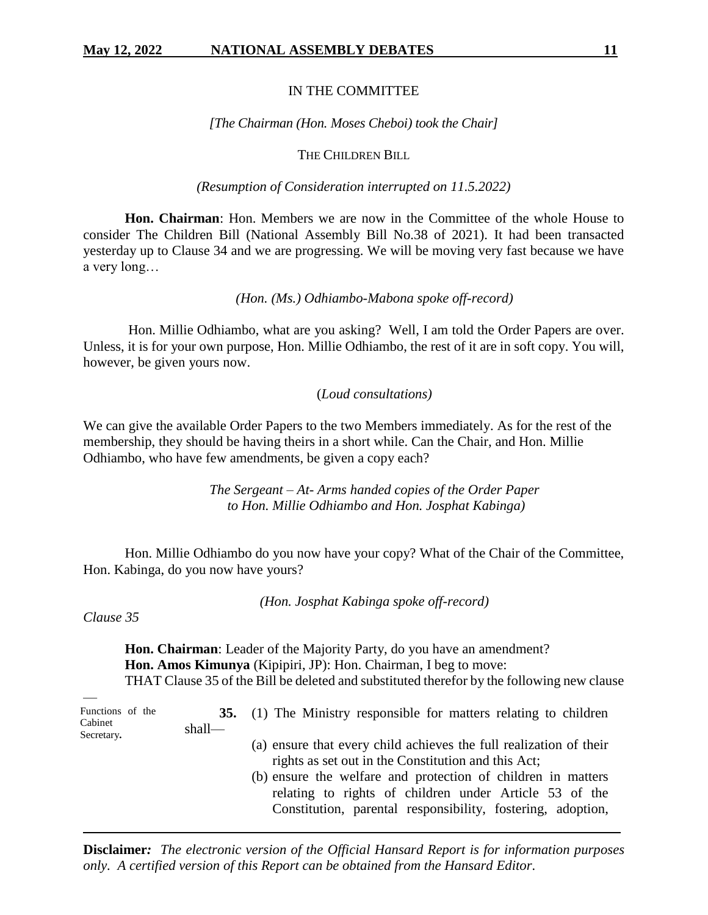#### IN THE COMMITTEE

#### *[The Chairman (Hon. Moses Cheboi) took the Chair]*

# THE CHILDREN BILL

#### *(Resumption of Consideration interrupted on 11.5.2022)*

**Hon. Chairman**: Hon. Members we are now in the Committee of the whole House to consider The Children Bill (National Assembly Bill No.38 of 2021). It had been transacted yesterday up to Clause 34 and we are progressing. We will be moving very fast because we have a very long…

#### *(Hon. (Ms.) Odhiambo-Mabona spoke off-record)*

Hon. Millie Odhiambo, what are you asking? Well, I am told the Order Papers are over. Unless, it is for your own purpose, Hon. Millie Odhiambo, the rest of it are in soft copy. You will, however, be given yours now.

## (*Loud consultations)*

We can give the available Order Papers to the two Members immediately. As for the rest of the membership, they should be having theirs in a short while. Can the Chair, and Hon. Millie Odhiambo, who have few amendments, be given a copy each?

> *The Sergeant – At- Arms handed copies of the Order Paper to Hon. Millie Odhiambo and Hon. Josphat Kabinga)*

Hon. Millie Odhiambo do you now have your copy? What of the Chair of the Committee, Hon. Kabinga, do you now have yours?

*(Hon. Josphat Kabinga spoke off-record)*

*Clause 35*

**Hon. Chairman**: Leader of the Majority Party, do you have an amendment? **Hon. Amos Kimunya** (Kipipiri, JP): Hon. Chairman, I beg to move: THAT Clause 35 of the Bill be deleted and substituted therefor by the following new clause

| Functions of the<br>Cabinet<br>Secretary. | $shall$ — | 35. (1) The Ministry responsible for matters relating to children                                                                                                                                                                                                                                                  |
|-------------------------------------------|-----------|--------------------------------------------------------------------------------------------------------------------------------------------------------------------------------------------------------------------------------------------------------------------------------------------------------------------|
|                                           |           | (a) ensure that every child achieves the full realization of their<br>rights as set out in the Constitution and this Act;<br>(b) ensure the welfare and protection of children in matters<br>relating to rights of children under Article 53 of the<br>Constitution, parental responsibility, fostering, adoption, |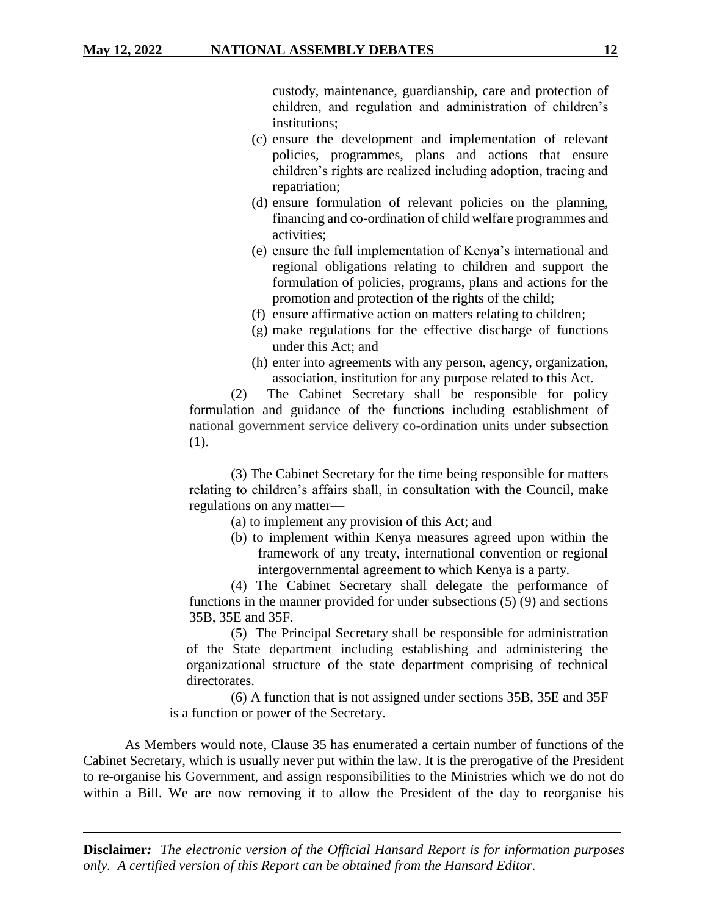custody, maintenance, guardianship, care and protection of children, and regulation and administration of children's institutions;

- (c) ensure the development and implementation of relevant policies, programmes, plans and actions that ensure children's rights are realized including adoption, tracing and repatriation;
- (d) ensure formulation of relevant policies on the planning, financing and co-ordination of child welfare programmes and activities;
- (e) ensure the full implementation of Kenya's international and regional obligations relating to children and support the formulation of policies, programs, plans and actions for the promotion and protection of the rights of the child;
- (f) ensure affirmative action on matters relating to children;
- (g) make regulations for the effective discharge of functions under this Act; and
- (h) enter into agreements with any person, agency, organization, association, institution for any purpose related to this Act.

(2) The Cabinet Secretary shall be responsible for policy formulation and guidance of the functions including establishment of national government service delivery co-ordination units under subsection (1).

(3) The Cabinet Secretary for the time being responsible for matters relating to children's affairs shall, in consultation with the Council, make regulations on any matter—

- (a) to implement any provision of this Act; and
- (b) to implement within Kenya measures agreed upon within the framework of any treaty, international convention or regional intergovernmental agreement to which Kenya is a party.

(4) The Cabinet Secretary shall delegate the performance of functions in the manner provided for under subsections (5) (9) and sections 35B, 35E and 35F.

 (5) The Principal Secretary shall be responsible for administration of the State department including establishing and administering the organizational structure of the state department comprising of technical directorates.

 (6) A function that is not assigned under sections 35B, 35E and 35F is a function or power of the Secretary.

As Members would note, Clause 35 has enumerated a certain number of functions of the Cabinet Secretary, which is usually never put within the law. It is the prerogative of the President to re-organise his Government, and assign responsibilities to the Ministries which we do not do within a Bill. We are now removing it to allow the President of the day to reorganise his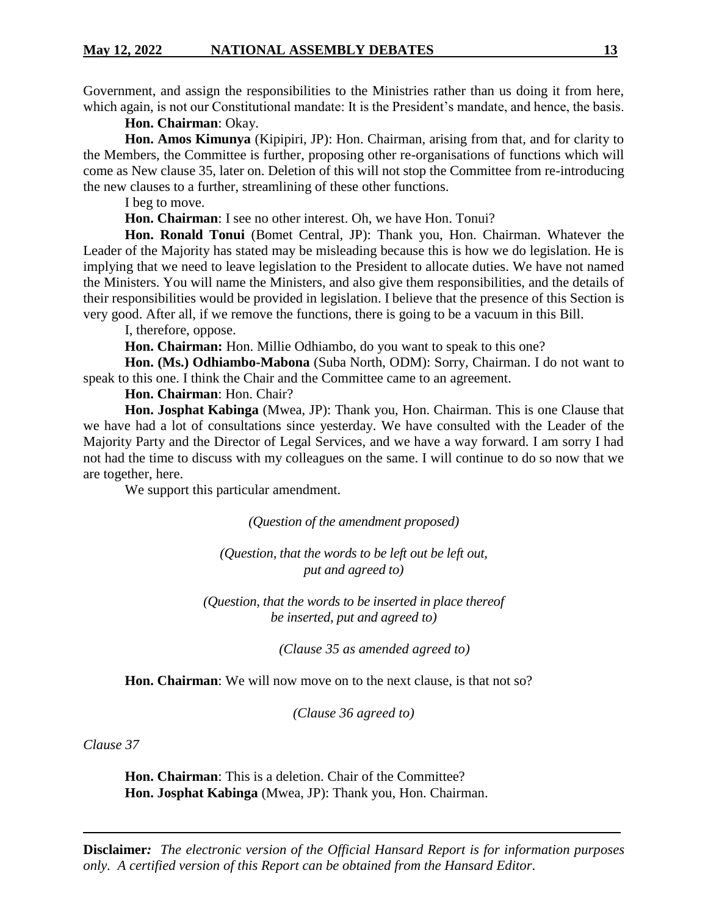Government, and assign the responsibilities to the Ministries rather than us doing it from here, which again, is not our Constitutional mandate: It is the President's mandate, and hence, the basis.

**Hon. Chairman**: Okay.

**Hon. Amos Kimunya** (Kipipiri, JP): Hon. Chairman, arising from that, and for clarity to the Members, the Committee is further, proposing other re-organisations of functions which will come as New clause 35, later on. Deletion of this will not stop the Committee from re-introducing the new clauses to a further, streamlining of these other functions.

I beg to move.

**Hon. Chairman**: I see no other interest. Oh, we have Hon. Tonui?

**Hon. Ronald Tonui** (Bomet Central, JP): Thank you, Hon. Chairman. Whatever the Leader of the Majority has stated may be misleading because this is how we do legislation. He is implying that we need to leave legislation to the President to allocate duties. We have not named the Ministers. You will name the Ministers, and also give them responsibilities, and the details of their responsibilities would be provided in legislation. I believe that the presence of this Section is very good. After all, if we remove the functions, there is going to be a vacuum in this Bill.

I, therefore, oppose.

**Hon. Chairman:** Hon. Millie Odhiambo, do you want to speak to this one?

**Hon. (Ms.) Odhiambo-Mabona** (Suba North, ODM): Sorry, Chairman. I do not want to speak to this one. I think the Chair and the Committee came to an agreement.

**Hon. Chairman**: Hon. Chair?

**Hon. Josphat Kabinga** (Mwea, JP): Thank you, Hon. Chairman. This is one Clause that we have had a lot of consultations since yesterday. We have consulted with the Leader of the Majority Party and the Director of Legal Services, and we have a way forward. I am sorry I had not had the time to discuss with my colleagues on the same. I will continue to do so now that we are together, here.

We support this particular amendment.

*(Question of the amendment proposed)*

*(Question, that the words to be left out be left out, put and agreed to)*

*(Question, that the words to be inserted in place thereof be inserted, put and agreed to)*

*(Clause 35 as amended agreed to)*

**Hon. Chairman**: We will now move on to the next clause, is that not so?

*(Clause 36 agreed to)*

*Clause 37*

**Hon. Chairman**: This is a deletion. Chair of the Committee? **Hon. Josphat Kabinga** (Mwea, JP): Thank you, Hon. Chairman.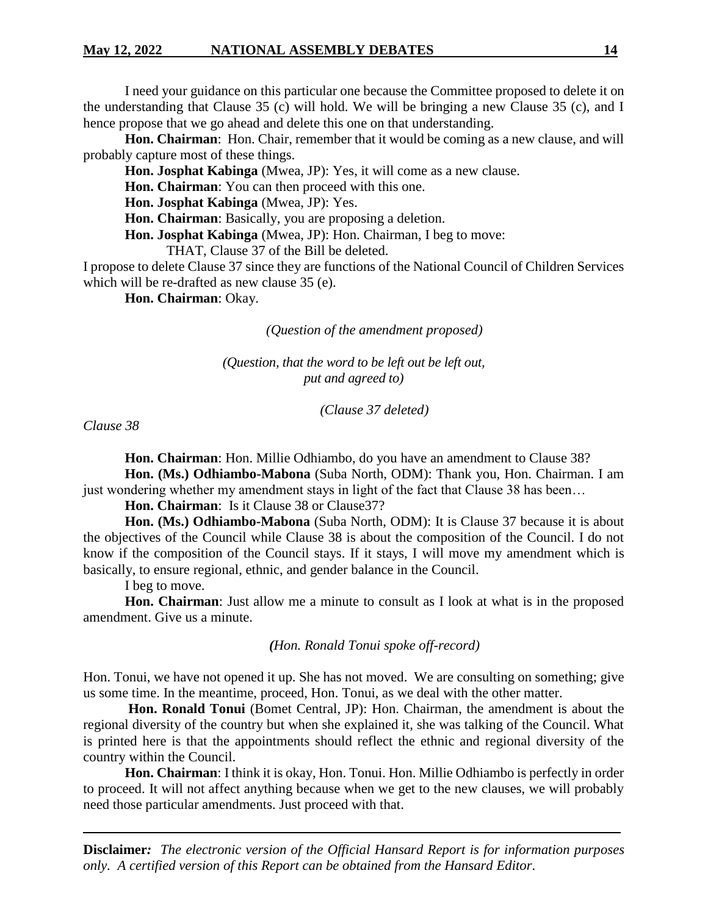I need your guidance on this particular one because the Committee proposed to delete it on the understanding that Clause 35 (c) will hold. We will be bringing a new Clause 35 (c), and I hence propose that we go ahead and delete this one on that understanding.

**Hon. Chairman**: Hon. Chair, remember that it would be coming as a new clause, and will probably capture most of these things.

**Hon. Josphat Kabinga** (Mwea, JP): Yes, it will come as a new clause.

**Hon. Chairman**: You can then proceed with this one.

**Hon. Josphat Kabinga** (Mwea, JP): Yes.

**Hon. Chairman**: Basically, you are proposing a deletion.

**Hon. Josphat Kabinga** (Mwea, JP): Hon. Chairman, I beg to move:

THAT, Clause 37 of the Bill be deleted.

I propose to delete Clause 37 since they are functions of the National Council of Children Services which will be re-drafted as new clause 35 (e).

**Hon. Chairman**: Okay.

*(Question of the amendment proposed)*

*(Question, that the word to be left out be left out, put and agreed to)*

*(Clause 37 deleted)*

*Clause 38*

**Hon. Chairman**: Hon. Millie Odhiambo, do you have an amendment to Clause 38?

**Hon. (Ms.) Odhiambo-Mabona** (Suba North, ODM): Thank you, Hon. Chairman. I am just wondering whether my amendment stays in light of the fact that Clause 38 has been...

**Hon. Chairman**: Is it Clause 38 or Clause37?

**Hon. (Ms.) Odhiambo-Mabona** (Suba North, ODM): It is Clause 37 because it is about the objectives of the Council while Clause 38 is about the composition of the Council. I do not know if the composition of the Council stays. If it stays, I will move my amendment which is basically, to ensure regional, ethnic, and gender balance in the Council.

I beg to move.

**Hon. Chairman**: Just allow me a minute to consult as I look at what is in the proposed amendment. Give us a minute.

*(Hon. Ronald Tonui spoke off-record)*

Hon. Tonui, we have not opened it up. She has not moved. We are consulting on something; give us some time. In the meantime, proceed, Hon. Tonui, as we deal with the other matter.

**Hon. Ronald Tonui** (Bomet Central, JP): Hon. Chairman, the amendment is about the regional diversity of the country but when she explained it, she was talking of the Council. What is printed here is that the appointments should reflect the ethnic and regional diversity of the country within the Council.

**Hon. Chairman**: I think it is okay, Hon. Tonui. Hon. Millie Odhiambo is perfectly in order to proceed. It will not affect anything because when we get to the new clauses, we will probably need those particular amendments. Just proceed with that.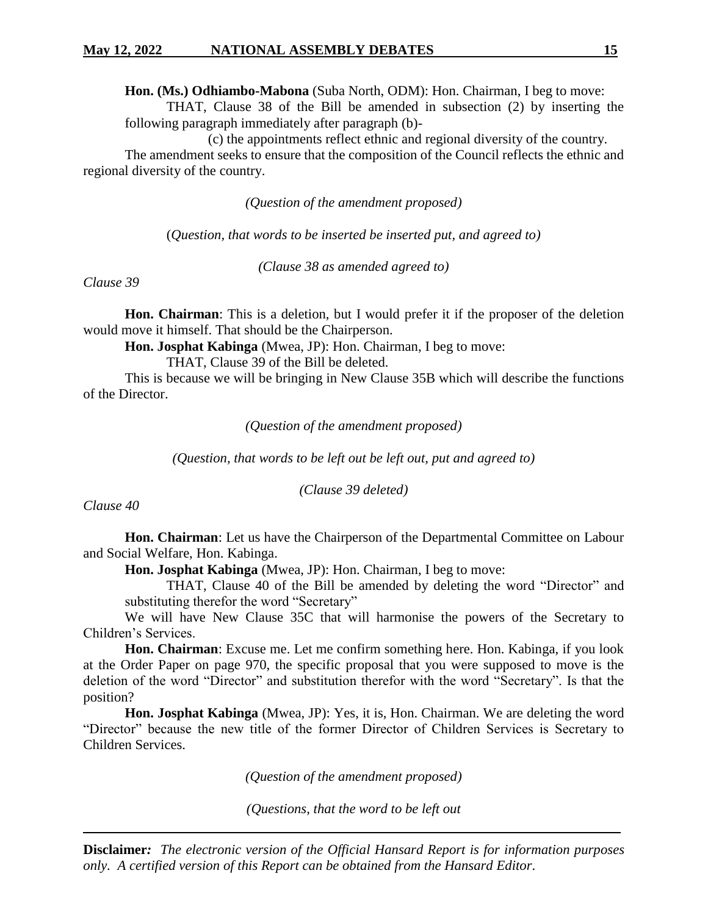**Hon. (Ms.) Odhiambo-Mabona** (Suba North, ODM): Hon. Chairman, I beg to move:

THAT, Clause 38 of the Bill be amended in subsection (2) by inserting the following paragraph immediately after paragraph (b)-

(c) the appointments reflect ethnic and regional diversity of the country.

The amendment seeks to ensure that the composition of the Council reflects the ethnic and regional diversity of the country.

*(Question of the amendment proposed)*

(*Question, that words to be inserted be inserted put, and agreed to)*

*(Clause 38 as amended agreed to)*

*Clause 39*

**Hon. Chairman**: This is a deletion, but I would prefer it if the proposer of the deletion would move it himself. That should be the Chairperson.

**Hon. Josphat Kabinga** (Mwea, JP): Hon. Chairman, I beg to move:

THAT, Clause 39 of the Bill be deleted.

This is because we will be bringing in New Clause 35B which will describe the functions of the Director.

*(Question of the amendment proposed)*

*(Question, that words to be left out be left out, put and agreed to)*

*(Clause 39 deleted)*

*Clause 40*

**Hon. Chairman**: Let us have the Chairperson of the Departmental Committee on Labour and Social Welfare, Hon. Kabinga.

**Hon. Josphat Kabinga** (Mwea, JP): Hon. Chairman, I beg to move:

THAT, Clause 40 of the Bill be amended by deleting the word "Director" and substituting therefor the word "Secretary"

We will have New Clause 35C that will harmonise the powers of the Secretary to Children's Services.

**Hon. Chairman**: Excuse me. Let me confirm something here. Hon. Kabinga, if you look at the Order Paper on page 970, the specific proposal that you were supposed to move is the deletion of the word "Director" and substitution therefor with the word "Secretary". Is that the position?

**Hon. Josphat Kabinga** (Mwea, JP): Yes, it is, Hon. Chairman. We are deleting the word "Director" because the new title of the former Director of Children Services is Secretary to Children Services.

*(Question of the amendment proposed)*

*(Questions, that the word to be left out*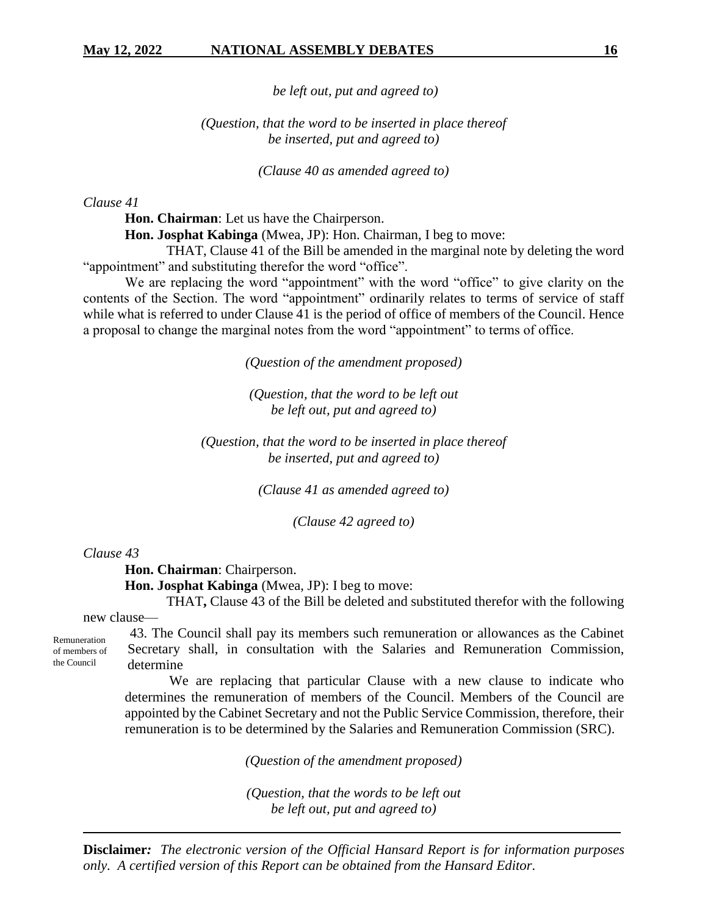*be left out, put and agreed to)*

# *(Question, that the word to be inserted in place thereof be inserted, put and agreed to)*

*(Clause 40 as amended agreed to)*

*Clause 41*

**Hon. Chairman**: Let us have the Chairperson.

**Hon. Josphat Kabinga** (Mwea, JP): Hon. Chairman, I beg to move:

THAT, Clause 41 of the Bill be amended in the marginal note by deleting the word "appointment" and substituting therefor the word "office".

We are replacing the word "appointment" with the word "office" to give clarity on the contents of the Section. The word "appointment" ordinarily relates to terms of service of staff while what is referred to under Clause 41 is the period of office of members of the Council. Hence a proposal to change the marginal notes from the word "appointment" to terms of office.

*(Question of the amendment proposed)*

*(Question, that the word to be left out be left out, put and agreed to)*

*(Question, that the word to be inserted in place thereof be inserted, put and agreed to)*

*(Clause 41 as amended agreed to)*

*(Clause 42 agreed to)*

*Clause 43*

**Hon. Chairman**: Chairperson.

**Hon. Josphat Kabinga** (Mwea, JP): I beg to move:

THAT**,** Clause 43 of the Bill be deleted and substituted therefor with the following

new clause—

43. The Council shall pay its members such remuneration or allowances as the Cabinet Secretary shall, in consultation with the Salaries and Remuneration Commission, determine

We are replacing that particular Clause with a new clause to indicate who determines the remuneration of members of the Council. Members of the Council are appointed by the Cabinet Secretary and not the Public Service Commission, therefore, their remuneration is to be determined by the Salaries and Remuneration Commission (SRC).

*(Question of the amendment proposed)*

*(Question, that the words to be left out be left out, put and agreed to)*

**Disclaimer***: The electronic version of the Official Hansard Report is for information purposes only. A certified version of this Report can be obtained from the Hansard Editor.*

the Council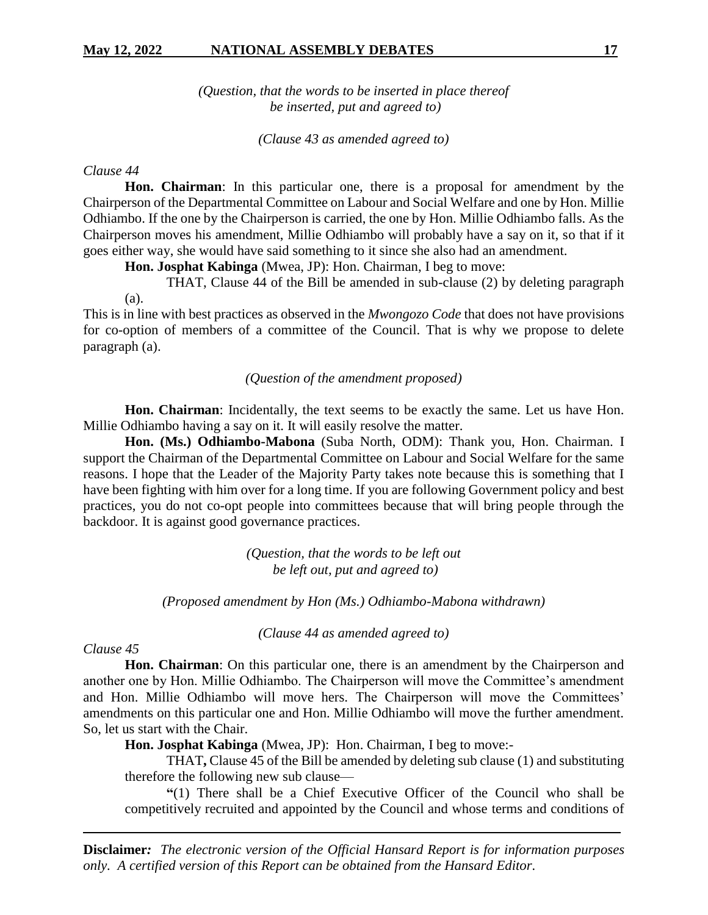*(Question, that the words to be inserted in place thereof be inserted, put and agreed to)*

*(Clause 43 as amended agreed to)*

### *Clause 44*

**Hon. Chairman**: In this particular one, there is a proposal for amendment by the Chairperson of the Departmental Committee on Labour and Social Welfare and one by Hon. Millie Odhiambo. If the one by the Chairperson is carried, the one by Hon. Millie Odhiambo falls. As the Chairperson moves his amendment, Millie Odhiambo will probably have a say on it, so that if it goes either way, she would have said something to it since she also had an amendment.

**Hon. Josphat Kabinga** (Mwea, JP): Hon. Chairman, I beg to move:

THAT, Clause 44 of the Bill be amended in sub-clause (2) by deleting paragraph (a).

This is in line with best practices as observed in the *Mwongozo Code* that does not have provisions for co-option of members of a committee of the Council. That is why we propose to delete paragraph (a).

#### *(Question of the amendment proposed)*

**Hon. Chairman**: Incidentally, the text seems to be exactly the same. Let us have Hon. Millie Odhiambo having a say on it. It will easily resolve the matter.

**Hon. (Ms.) Odhiambo-Mabona** (Suba North, ODM): Thank you, Hon. Chairman. I support the Chairman of the Departmental Committee on Labour and Social Welfare for the same reasons. I hope that the Leader of the Majority Party takes note because this is something that I have been fighting with him over for a long time. If you are following Government policy and best practices, you do not co-opt people into committees because that will bring people through the backdoor. It is against good governance practices.

> *(Question, that the words to be left out be left out, put and agreed to)*

*(Proposed amendment by Hon (Ms.) Odhiambo-Mabona withdrawn)*

*(Clause 44 as amended agreed to)*

# *Clause 45*

**Hon. Chairman**: On this particular one, there is an amendment by the Chairperson and another one by Hon. Millie Odhiambo. The Chairperson will move the Committee's amendment and Hon. Millie Odhiambo will move hers. The Chairperson will move the Committees' amendments on this particular one and Hon. Millie Odhiambo will move the further amendment. So, let us start with the Chair.

**Hon. Josphat Kabinga** (Mwea, JP): Hon. Chairman, I beg to move:-

THAT**,** Clause 45 of the Bill be amended by deleting sub clause (1) and substituting therefore the following new sub clause—

**"**(1) There shall be a Chief Executive Officer of the Council who shall be competitively recruited and appointed by the Council and whose terms and conditions of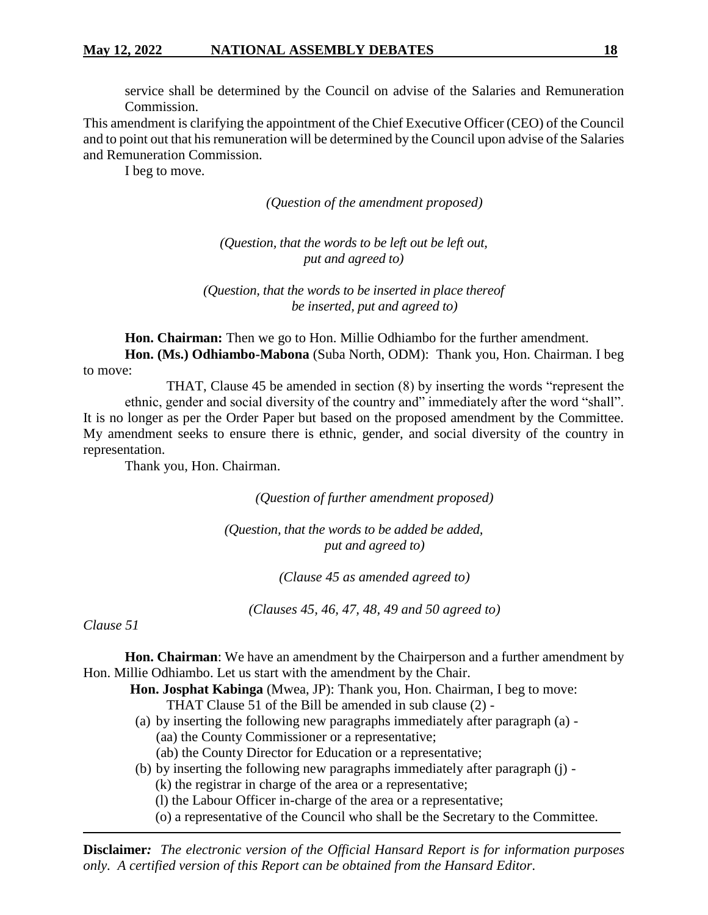service shall be determined by the Council on advise of the Salaries and Remuneration Commission.

This amendment is clarifying the appointment of the Chief Executive Officer (CEO) of the Council and to point out that his remuneration will be determined by the Council upon advise of the Salaries and Remuneration Commission.

I beg to move.

*(Question of the amendment proposed)*

*(Question, that the words to be left out be left out, put and agreed to)*

*(Question, that the words to be inserted in place thereof be inserted, put and agreed to)*

**Hon. Chairman:** Then we go to Hon. Millie Odhiambo for the further amendment.

**Hon. (Ms.) Odhiambo-Mabona** (Suba North, ODM): Thank you, Hon. Chairman. I beg to move:

THAT, Clause 45 be amended in section (8) by inserting the words "represent the ethnic, gender and social diversity of the country and" immediately after the word "shall". It is no longer as per the Order Paper but based on the proposed amendment by the Committee. My amendment seeks to ensure there is ethnic, gender, and social diversity of the country in representation.

Thank you, Hon. Chairman.

*(Question of further amendment proposed)*

*(Question, that the words to be added be added, put and agreed to)*

*(Clause 45 as amended agreed to)*

*(Clauses 45, 46, 47, 48, 49 and 50 agreed to)*

*Clause 51*

**Hon. Chairman**: We have an amendment by the Chairperson and a further amendment by Hon. Millie Odhiambo. Let us start with the amendment by the Chair.

**Hon. Josphat Kabinga** (Mwea, JP): Thank you, Hon. Chairman, I beg to move:

THAT Clause 51 of the Bill be amended in sub clause (2) -

- (a) by inserting the following new paragraphs immediately after paragraph (a) (aa) the County Commissioner or a representative;
	- (ab) the County Director for Education or a representative;
- (b) by inserting the following new paragraphs immediately after paragraph (j) -

(k) the registrar in charge of the area or a representative;

(l) the Labour Officer in-charge of the area or a representative;

(o) a representative of the Council who shall be the Secretary to the Committee.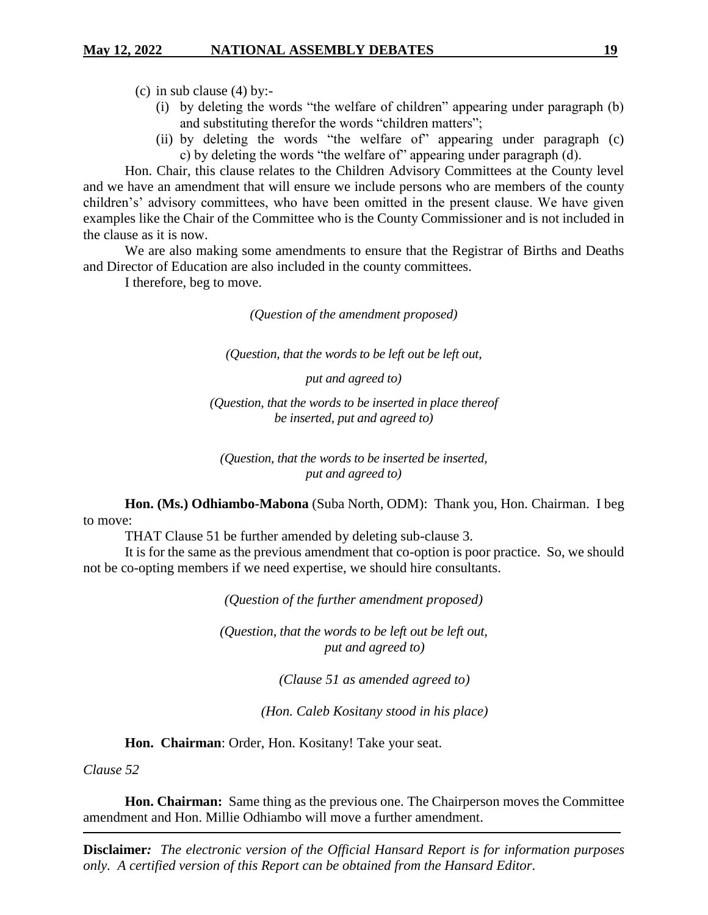(c) in sub clause (4) by:-

- (i) by deleting the words "the welfare of children" appearing under paragraph (b) and substituting therefor the words "children matters";
- (ii) by deleting the words "the welfare of" appearing under paragraph (c) c) by deleting the words "the welfare of" appearing under paragraph (d).

Hon. Chair, this clause relates to the Children Advisory Committees at the County level and we have an amendment that will ensure we include persons who are members of the county children's' advisory committees, who have been omitted in the present clause. We have given examples like the Chair of the Committee who is the County Commissioner and is not included in the clause as it is now.

We are also making some amendments to ensure that the Registrar of Births and Deaths and Director of Education are also included in the county committees.

I therefore, beg to move.

*(Question of the amendment proposed)*

*(Question, that the words to be left out be left out,*

*put and agreed to)* 

*(Question, that the words to be inserted in place thereof be inserted, put and agreed to)* 

*(Question, that the words to be inserted be inserted, put and agreed to)* 

**Hon. (Ms.) Odhiambo-Mabona** (Suba North, ODM): Thank you, Hon. Chairman. I beg to move:

THAT Clause 51 be further amended by deleting sub-clause 3.

It is for the same as the previous amendment that co-option is poor practice. So, we should not be co-opting members if we need expertise, we should hire consultants.

*(Question of the further amendment proposed)*

*(Question, that the words to be left out be left out, put and agreed to)*

*(Clause 51 as amended agreed to)*

*(Hon. Caleb Kositany stood in his place)*

**Hon. Chairman**: Order, Hon. Kositany! Take your seat.

*Clause 52*

**Hon. Chairman:** Same thing as the previous one. The Chairperson moves the Committee amendment and Hon. Millie Odhiambo will move a further amendment.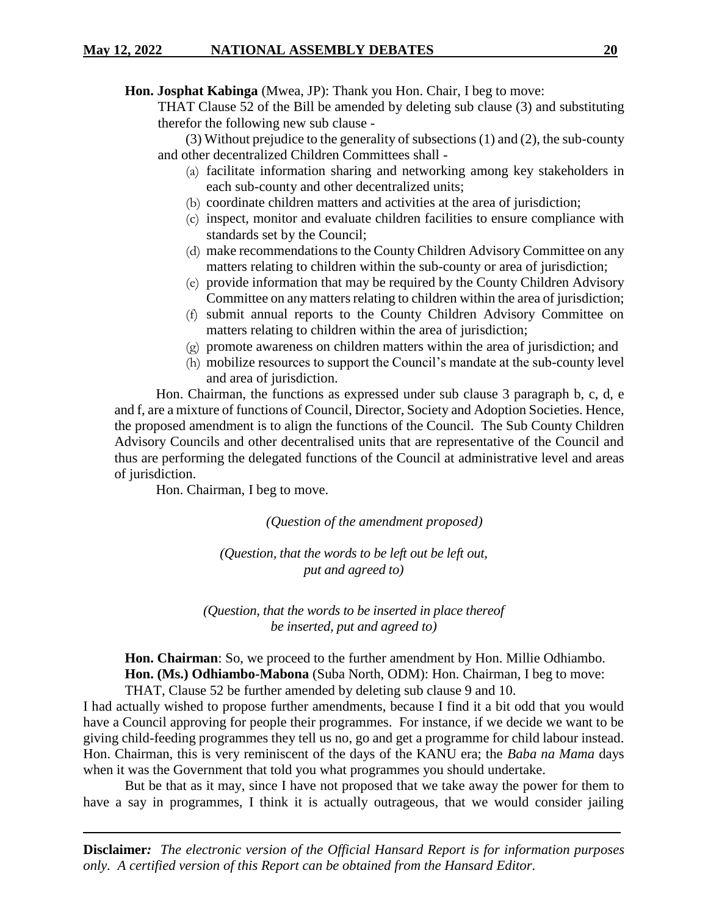**Hon. Josphat Kabinga** (Mwea, JP): Thank you Hon. Chair, I beg to move:

THAT Clause 52 of the Bill be amended by deleting sub clause (3) and substituting therefor the following new sub clause -

(3) Without prejudice to the generality of subsections (1) and (2), the sub-county and other decentralized Children Committees shall -

- (a) facilitate information sharing and networking among key stakeholders in each sub-county and other decentralized units;
- (b) coordinate children matters and activities at the area of jurisdiction;
- (c) inspect, monitor and evaluate children facilities to ensure compliance with standards set by the Council;
- (d) make recommendations to the County Children Advisory Committee on any matters relating to children within the sub-county or area of jurisdiction;
- (e) provide information that may be required by the County Children Advisory Committee on any matters relating to children within the area of jurisdiction;
- (f) submit annual reports to the County Children Advisory Committee on matters relating to children within the area of jurisdiction;
- (g) promote awareness on children matters within the area of jurisdiction; and
- (h) mobilize resources to support the Council's mandate at the sub-county level and area of jurisdiction.

Hon. Chairman, the functions as expressed under sub clause 3 paragraph b, c, d, e and f, are a mixture of functions of Council, Director, Society and Adoption Societies. Hence, the proposed amendment is to align the functions of the Council. The Sub County Children Advisory Councils and other decentralised units that are representative of the Council and thus are performing the delegated functions of the Council at administrative level and areas of jurisdiction.

Hon. Chairman, I beg to move.

*(Question of the amendment proposed)*

*(Question, that the words to be left out be left out, put and agreed to)*

*(Question, that the words to be inserted in place thereof be inserted, put and agreed to)*

**Hon. Chairman**: So, we proceed to the further amendment by Hon. Millie Odhiambo. **Hon. (Ms.) Odhiambo-Mabona** (Suba North, ODM): Hon. Chairman, I beg to move: THAT, Clause 52 be further amended by deleting sub clause 9 and 10.

I had actually wished to propose further amendments, because I find it a bit odd that you would have a Council approving for people their programmes. For instance, if we decide we want to be giving child-feeding programmes they tell us no, go and get a programme for child labour instead. Hon. Chairman, this is very reminiscent of the days of the KANU era; the *Baba na Mama* days when it was the Government that told you what programmes you should undertake.

But be that as it may, since I have not proposed that we take away the power for them to have a say in programmes, I think it is actually outrageous, that we would consider jailing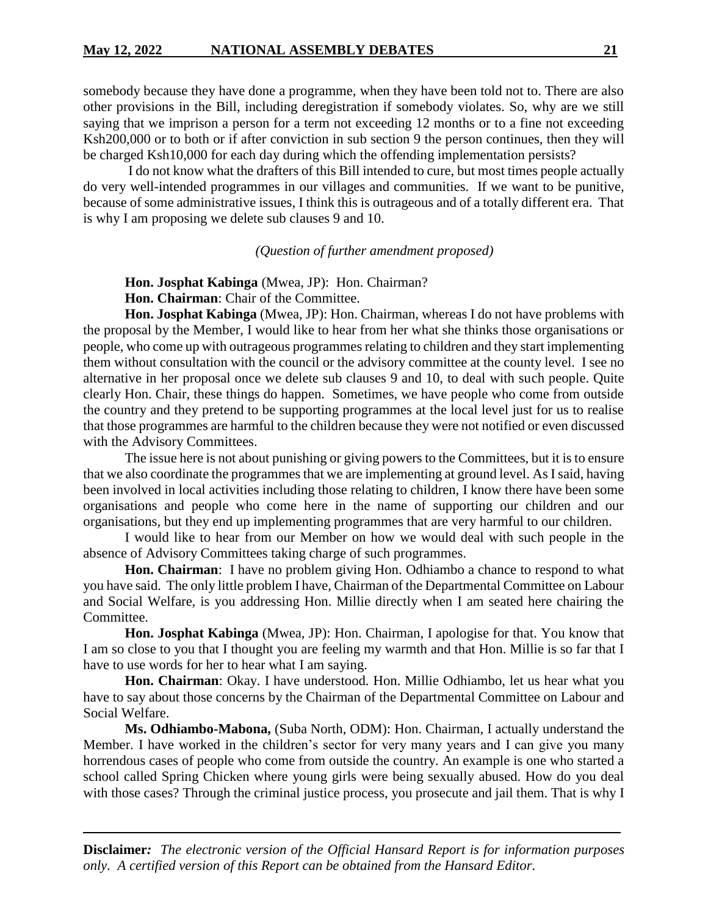somebody because they have done a programme, when they have been told not to. There are also other provisions in the Bill, including deregistration if somebody violates. So, why are we still saying that we imprison a person for a term not exceeding 12 months or to a fine not exceeding Ksh200,000 or to both or if after conviction in sub section 9 the person continues, then they will be charged Ksh10,000 for each day during which the offending implementation persists?

I do not know what the drafters of this Bill intended to cure, but most times people actually do very well-intended programmes in our villages and communities. If we want to be punitive, because of some administrative issues, I think this is outrageous and of a totally different era. That is why I am proposing we delete sub clauses 9 and 10.

*(Question of further amendment proposed)*

**Hon. Josphat Kabinga** (Mwea, JP): Hon. Chairman?

**Hon. Chairman**: Chair of the Committee.

**Hon. Josphat Kabinga** (Mwea, JP): Hon. Chairman, whereas I do not have problems with the proposal by the Member, I would like to hear from her what she thinks those organisations or people, who come up with outrageous programmes relating to children and they start implementing them without consultation with the council or the advisory committee at the county level. I see no alternative in her proposal once we delete sub clauses 9 and 10, to deal with such people. Quite clearly Hon. Chair, these things do happen. Sometimes, we have people who come from outside the country and they pretend to be supporting programmes at the local level just for us to realise that those programmes are harmful to the children because they were not notified or even discussed with the Advisory Committees.

The issue here is not about punishing or giving powers to the Committees, but it is to ensure that we also coordinate the programmes that we are implementing at ground level. As I said, having been involved in local activities including those relating to children, I know there have been some organisations and people who come here in the name of supporting our children and our organisations, but they end up implementing programmes that are very harmful to our children.

I would like to hear from our Member on how we would deal with such people in the absence of Advisory Committees taking charge of such programmes.

**Hon. Chairman**: I have no problem giving Hon. Odhiambo a chance to respond to what you have said. The only little problem I have, Chairman of the Departmental Committee on Labour and Social Welfare, is you addressing Hon. Millie directly when I am seated here chairing the Committee.

**Hon. Josphat Kabinga** (Mwea, JP): Hon. Chairman, I apologise for that. You know that I am so close to you that I thought you are feeling my warmth and that Hon. Millie is so far that I have to use words for her to hear what I am saying.

**Hon. Chairman**: Okay. I have understood. Hon. Millie Odhiambo, let us hear what you have to say about those concerns by the Chairman of the Departmental Committee on Labour and Social Welfare.

**Ms. Odhiambo-Mabona,** (Suba North, ODM): Hon. Chairman, I actually understand the Member. I have worked in the children's sector for very many years and I can give you many horrendous cases of people who come from outside the country. An example is one who started a school called Spring Chicken where young girls were being sexually abused. How do you deal with those cases? Through the criminal justice process, you prosecute and jail them. That is why I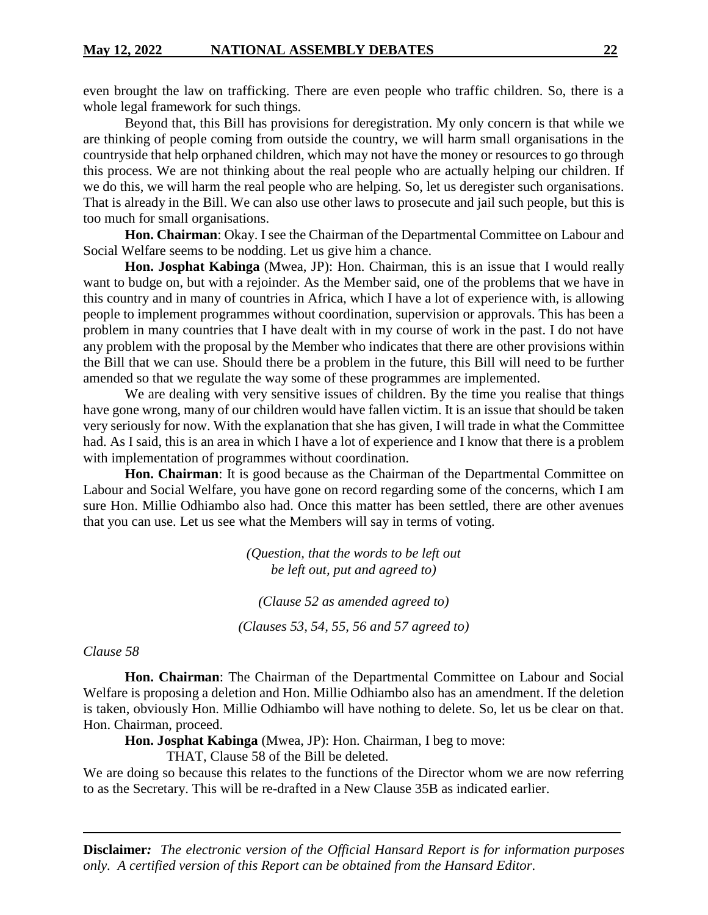even brought the law on trafficking. There are even people who traffic children. So, there is a whole legal framework for such things.

Beyond that, this Bill has provisions for deregistration. My only concern is that while we are thinking of people coming from outside the country, we will harm small organisations in the countryside that help orphaned children, which may not have the money or resources to go through this process. We are not thinking about the real people who are actually helping our children. If we do this, we will harm the real people who are helping. So, let us deregister such organisations. That is already in the Bill. We can also use other laws to prosecute and jail such people, but this is too much for small organisations.

**Hon. Chairman**: Okay. I see the Chairman of the Departmental Committee on Labour and Social Welfare seems to be nodding. Let us give him a chance.

**Hon. Josphat Kabinga** (Mwea, JP): Hon. Chairman, this is an issue that I would really want to budge on, but with a rejoinder. As the Member said, one of the problems that we have in this country and in many of countries in Africa, which I have a lot of experience with, is allowing people to implement programmes without coordination, supervision or approvals. This has been a problem in many countries that I have dealt with in my course of work in the past. I do not have any problem with the proposal by the Member who indicates that there are other provisions within the Bill that we can use. Should there be a problem in the future, this Bill will need to be further amended so that we regulate the way some of these programmes are implemented.

We are dealing with very sensitive issues of children. By the time you realise that things have gone wrong, many of our children would have fallen victim. It is an issue that should be taken very seriously for now. With the explanation that she has given, I will trade in what the Committee had. As I said, this is an area in which I have a lot of experience and I know that there is a problem with implementation of programmes without coordination.

**Hon. Chairman**: It is good because as the Chairman of the Departmental Committee on Labour and Social Welfare, you have gone on record regarding some of the concerns, which I am sure Hon. Millie Odhiambo also had. Once this matter has been settled, there are other avenues that you can use. Let us see what the Members will say in terms of voting.

> *(Question, that the words to be left out be left out, put and agreed to)*

*(Clause 52 as amended agreed to)*

*(Clauses 53, 54, 55, 56 and 57 agreed to)*

# *Clause 58*

**Hon. Chairman**: The Chairman of the Departmental Committee on Labour and Social Welfare is proposing a deletion and Hon. Millie Odhiambo also has an amendment. If the deletion is taken, obviously Hon. Millie Odhiambo will have nothing to delete. So, let us be clear on that. Hon. Chairman, proceed.

**Hon. Josphat Kabinga** (Mwea, JP): Hon. Chairman, I beg to move:

THAT, Clause 58 of the Bill be deleted.

We are doing so because this relates to the functions of the Director whom we are now referring to as the Secretary. This will be re-drafted in a New Clause 35B as indicated earlier.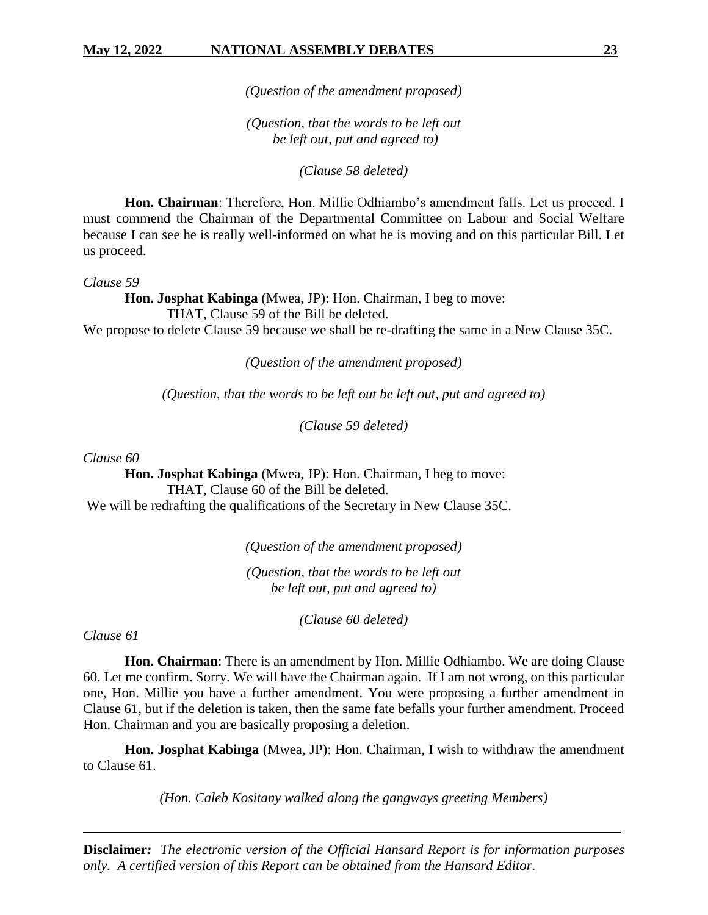*(Question of the amendment proposed)*

*(Question, that the words to be left out be left out, put and agreed to)*

*(Clause 58 deleted)*

**Hon. Chairman**: Therefore, Hon. Millie Odhiambo's amendment falls. Let us proceed. I must commend the Chairman of the Departmental Committee on Labour and Social Welfare because I can see he is really well-informed on what he is moving and on this particular Bill. Let us proceed.

*Clause 59*

**Hon. Josphat Kabinga** (Mwea, JP): Hon. Chairman, I beg to move: THAT, Clause 59 of the Bill be deleted. We propose to delete Clause 59 because we shall be re-drafting the same in a New Clause 35C.

*(Question of the amendment proposed)*

*(Question, that the words to be left out be left out, put and agreed to)*

*(Clause 59 deleted)*

*Clause 60*

**Hon. Josphat Kabinga** (Mwea, JP): Hon. Chairman, I beg to move: THAT, Clause 60 of the Bill be deleted.

We will be redrafting the qualifications of the Secretary in New Clause 35C.

*(Question of the amendment proposed)*

*(Question, that the words to be left out be left out, put and agreed to)*

*(Clause 60 deleted)*

*Clause 61*

**Hon. Chairman**: There is an amendment by Hon. Millie Odhiambo. We are doing Clause 60. Let me confirm. Sorry. We will have the Chairman again. If I am not wrong, on this particular one, Hon. Millie you have a further amendment. You were proposing a further amendment in Clause 61, but if the deletion is taken, then the same fate befalls your further amendment. Proceed Hon. Chairman and you are basically proposing a deletion.

**Hon. Josphat Kabinga** (Mwea, JP): Hon. Chairman, I wish to withdraw the amendment to Clause 61.

*(Hon. Caleb Kositany walked along the gangways greeting Members)*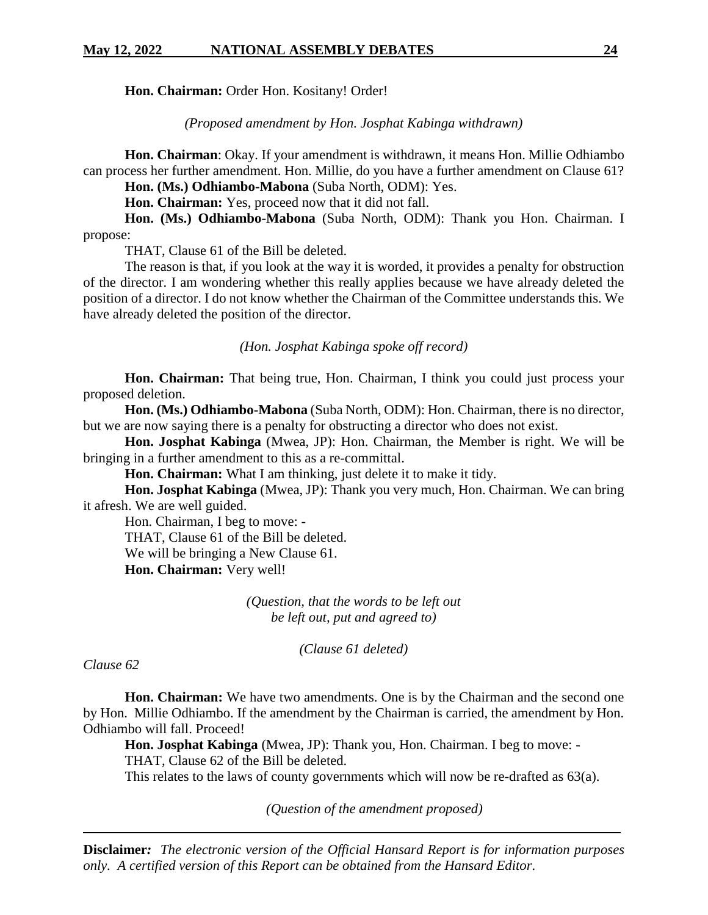**Hon. Chairman:** Order Hon. Kositany! Order!

*(Proposed amendment by Hon. Josphat Kabinga withdrawn)*

**Hon. Chairman**: Okay. If your amendment is withdrawn, it means Hon. Millie Odhiambo can process her further amendment. Hon. Millie, do you have a further amendment on Clause 61?

**Hon. (Ms.) Odhiambo-Mabona** (Suba North, ODM): Yes.

**Hon. Chairman:** Yes, proceed now that it did not fall.

**Hon. (Ms.) Odhiambo-Mabona** (Suba North, ODM): Thank you Hon. Chairman. I propose:

THAT, Clause 61 of the Bill be deleted.

The reason is that, if you look at the way it is worded, it provides a penalty for obstruction of the director. I am wondering whether this really applies because we have already deleted the position of a director. I do not know whether the Chairman of the Committee understands this. We have already deleted the position of the director.

*(Hon. Josphat Kabinga spoke off record)*

**Hon. Chairman:** That being true, Hon. Chairman, I think you could just process your proposed deletion.

**Hon. (Ms.) Odhiambo-Mabona** (Suba North, ODM): Hon. Chairman, there is no director, but we are now saying there is a penalty for obstructing a director who does not exist.

**Hon. Josphat Kabinga** (Mwea, JP): Hon. Chairman, the Member is right. We will be bringing in a further amendment to this as a re-committal.

**Hon. Chairman:** What I am thinking, just delete it to make it tidy.

**Hon. Josphat Kabinga** (Mwea, JP): Thank you very much, Hon. Chairman. We can bring it afresh. We are well guided.

Hon. Chairman, I beg to move: - THAT, Clause 61 of the Bill be deleted. We will be bringing a New Clause 61. **Hon. Chairman:** Very well!

> *(Question, that the words to be left out be left out, put and agreed to)*

> > *(Clause 61 deleted)*

*Clause 62*

**Hon. Chairman:** We have two amendments. One is by the Chairman and the second one by Hon. Millie Odhiambo. If the amendment by the Chairman is carried, the amendment by Hon. Odhiambo will fall. Proceed!

**Hon. Josphat Kabinga** (Mwea, JP): Thank you, Hon. Chairman. I beg to move: - THAT, Clause 62 of the Bill be deleted.

This relates to the laws of county governments which will now be re-drafted as 63(a).

*(Question of the amendment proposed)*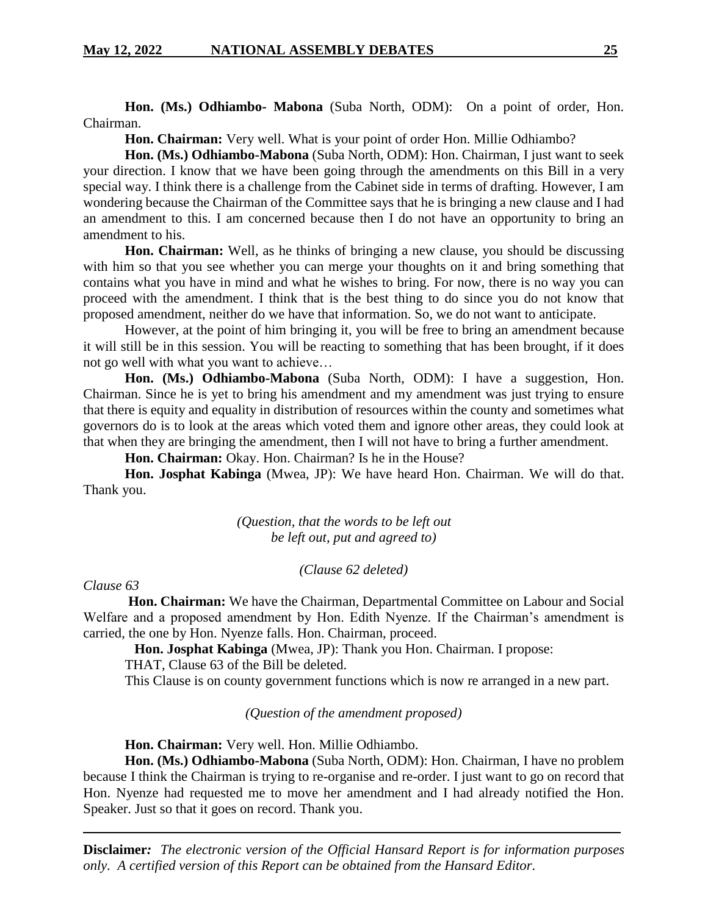**Hon. (Ms.) Odhiambo- Mabona** (Suba North, ODM): On a point of order, Hon. Chairman.

**Hon. Chairman:** Very well. What is your point of order Hon. Millie Odhiambo?

**Hon. (Ms.) Odhiambo-Mabona** (Suba North, ODM): Hon. Chairman, I just want to seek your direction. I know that we have been going through the amendments on this Bill in a very special way. I think there is a challenge from the Cabinet side in terms of drafting. However, I am wondering because the Chairman of the Committee says that he is bringing a new clause and I had an amendment to this. I am concerned because then I do not have an opportunity to bring an amendment to his.

**Hon. Chairman:** Well, as he thinks of bringing a new clause, you should be discussing with him so that you see whether you can merge your thoughts on it and bring something that contains what you have in mind and what he wishes to bring. For now, there is no way you can proceed with the amendment. I think that is the best thing to do since you do not know that proposed amendment, neither do we have that information. So, we do not want to anticipate.

However, at the point of him bringing it, you will be free to bring an amendment because it will still be in this session. You will be reacting to something that has been brought, if it does not go well with what you want to achieve…

**Hon. (Ms.) Odhiambo-Mabona** (Suba North, ODM): I have a suggestion, Hon. Chairman. Since he is yet to bring his amendment and my amendment was just trying to ensure that there is equity and equality in distribution of resources within the county and sometimes what governors do is to look at the areas which voted them and ignore other areas, they could look at that when they are bringing the amendment, then I will not have to bring a further amendment.

**Hon. Chairman:** Okay. Hon. Chairman? Is he in the House?

**Hon. Josphat Kabinga** (Mwea, JP): We have heard Hon. Chairman. We will do that. Thank you.

> *(Question, that the words to be left out be left out, put and agreed to)*

> > *(Clause 62 deleted)*

#### *Clause 63*

 **Hon. Chairman:** We have the Chairman, Departmental Committee on Labour and Social Welfare and a proposed amendment by Hon. Edith Nyenze. If the Chairman's amendment is carried, the one by Hon. Nyenze falls. Hon. Chairman, proceed.

**Hon. Josphat Kabinga** (Mwea, JP): Thank you Hon. Chairman. I propose:

THAT, Clause 63 of the Bill be deleted.

This Clause is on county government functions which is now re arranged in a new part.

*(Question of the amendment proposed)*

**Hon. Chairman:** Very well. Hon. Millie Odhiambo.

**Hon. (Ms.) Odhiambo-Mabona** (Suba North, ODM): Hon. Chairman, I have no problem because I think the Chairman is trying to re-organise and re-order. I just want to go on record that Hon. Nyenze had requested me to move her amendment and I had already notified the Hon. Speaker. Just so that it goes on record. Thank you.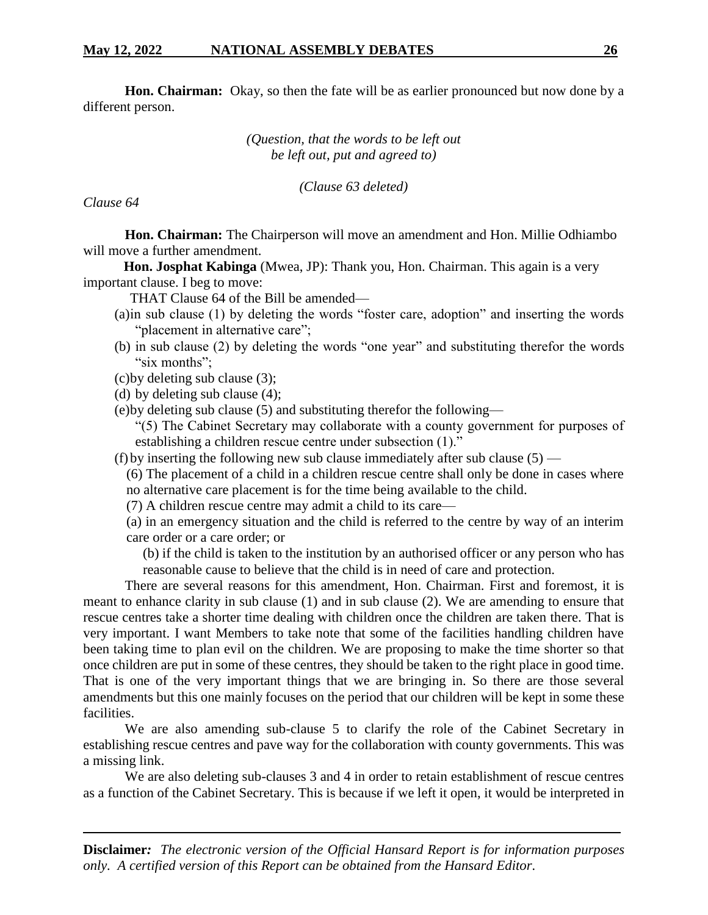**Hon. Chairman:** Okay, so then the fate will be as earlier pronounced but now done by a different person.

> *(Question, that the words to be left out be left out, put and agreed to)*

> > *(Clause 63 deleted)*

*Clause 64*

 **Hon. Chairman:** The Chairperson will move an amendment and Hon. Millie Odhiambo will move a further amendment.

 **Hon. Josphat Kabinga** (Mwea, JP): Thank you, Hon. Chairman. This again is a very important clause. I beg to move:

THAT Clause 64 of the Bill be amended—

- (a)in sub clause (1) by deleting the words "foster care, adoption" and inserting the words "placement in alternative care";
- (b) in sub clause (2) by deleting the words "one year" and substituting therefor the words "six months";
- (c)by deleting sub clause (3);
- (d) by deleting sub clause (4);
- (e)by deleting sub clause (5) and substituting therefor the following—

"(5) The Cabinet Secretary may collaborate with a county government for purposes of establishing a children rescue centre under subsection (1)."

(f) by inserting the following new sub clause immediately after sub clause  $(5)$  —

(6) The placement of a child in a children rescue centre shall only be done in cases where no alternative care placement is for the time being available to the child.

(7) A children rescue centre may admit a child to its care—

(a) in an emergency situation and the child is referred to the centre by way of an interim care order or a care order; or

(b) if the child is taken to the institution by an authorised officer or any person who has reasonable cause to believe that the child is in need of care and protection.

 There are several reasons for this amendment, Hon. Chairman. First and foremost, it is meant to enhance clarity in sub clause (1) and in sub clause (2). We are amending to ensure that rescue centres take a shorter time dealing with children once the children are taken there. That is very important. I want Members to take note that some of the facilities handling children have been taking time to plan evil on the children. We are proposing to make the time shorter so that once children are put in some of these centres, they should be taken to the right place in good time. That is one of the very important things that we are bringing in. So there are those several amendments but this one mainly focuses on the period that our children will be kept in some these facilities.

 We are also amending sub-clause 5 to clarify the role of the Cabinet Secretary in establishing rescue centres and pave way for the collaboration with county governments. This was a missing link.

 We are also deleting sub-clauses 3 and 4 in order to retain establishment of rescue centres as a function of the Cabinet Secretary. This is because if we left it open, it would be interpreted in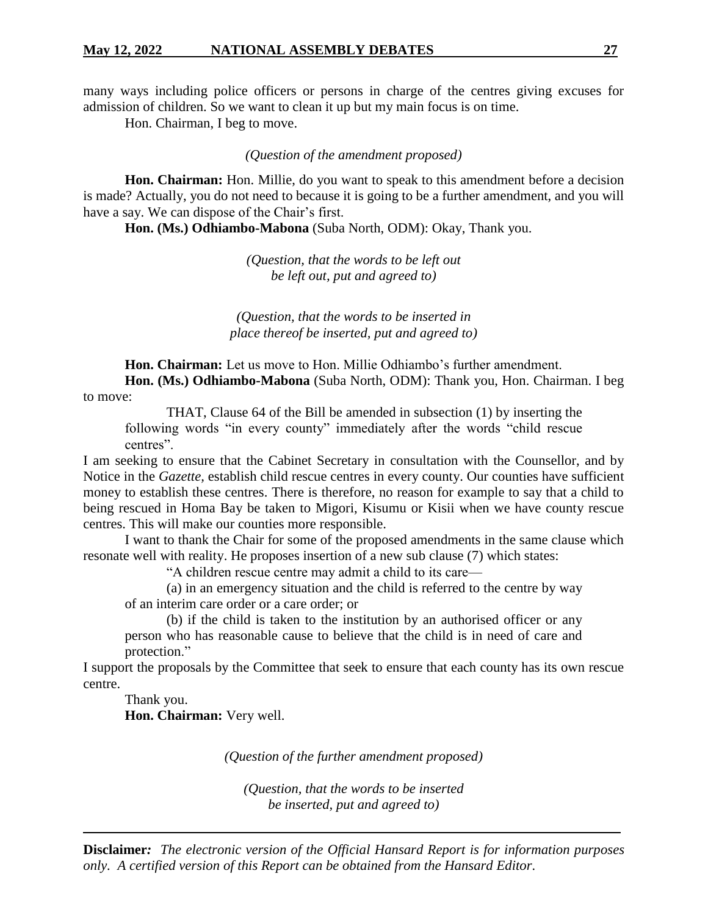many ways including police officers or persons in charge of the centres giving excuses for admission of children. So we want to clean it up but my main focus is on time.

Hon. Chairman, I beg to move.

# *(Question of the amendment proposed)*

**Hon. Chairman:** Hon. Millie, do you want to speak to this amendment before a decision is made? Actually, you do not need to because it is going to be a further amendment, and you will have a say. We can dispose of the Chair's first.

**Hon. (Ms.) Odhiambo-Mabona** (Suba North, ODM): Okay, Thank you.

*(Question, that the words to be left out be left out, put and agreed to)*

*(Question, that the words to be inserted in place thereof be inserted, put and agreed to)*

**Hon. Chairman:** Let us move to Hon. Millie Odhiambo's further amendment.

**Hon. (Ms.) Odhiambo-Mabona** (Suba North, ODM): Thank you, Hon. Chairman. I beg to move:

THAT, Clause 64 of the Bill be amended in subsection (1) by inserting the following words "in every county" immediately after the words "child rescue centres".

I am seeking to ensure that the Cabinet Secretary in consultation with the Counsellor, and by Notice in the *Gazette,* establish child rescue centres in every county. Our counties have sufficient money to establish these centres. There is therefore, no reason for example to say that a child to being rescued in Homa Bay be taken to Migori, Kisumu or Kisii when we have county rescue centres. This will make our counties more responsible.

I want to thank the Chair for some of the proposed amendments in the same clause which resonate well with reality. He proposes insertion of a new sub clause (7) which states:

"A children rescue centre may admit a child to its care—

(a) in an emergency situation and the child is referred to the centre by way of an interim care order or a care order; or

(b) if the child is taken to the institution by an authorised officer or any person who has reasonable cause to believe that the child is in need of care and protection."

I support the proposals by the Committee that seek to ensure that each county has its own rescue centre.

Thank you. **Hon. Chairman:** Very well.

*(Question of the further amendment proposed)*

*(Question, that the words to be inserted be inserted, put and agreed to)*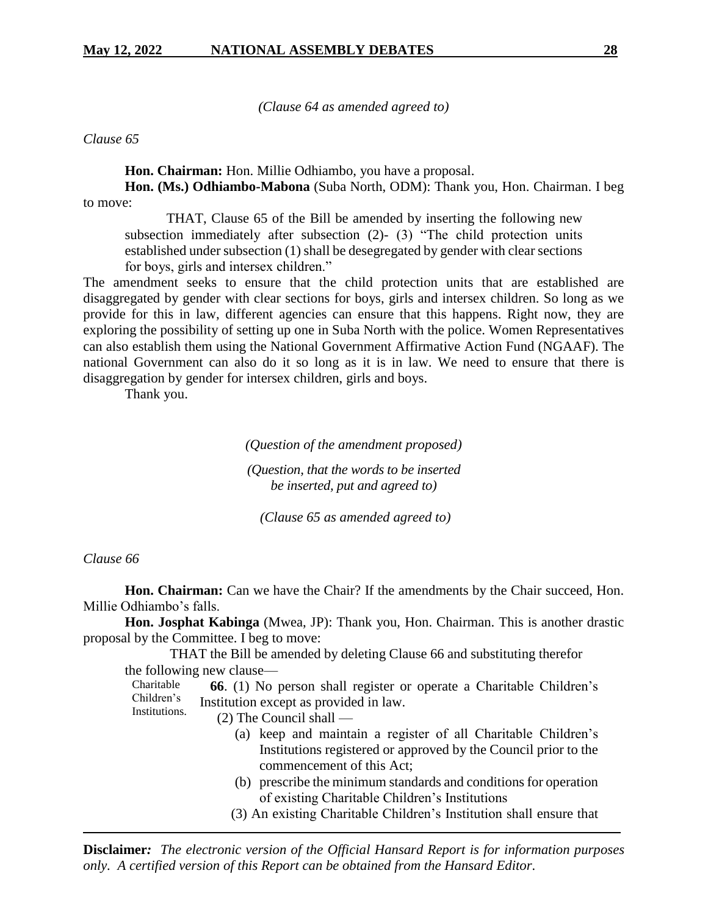*(Clause 64 as amended agreed to)*

*Clause 65*

**Hon. Chairman:** Hon. Millie Odhiambo, you have a proposal.

**Hon. (Ms.) Odhiambo-Mabona** (Suba North, ODM): Thank you, Hon. Chairman. I beg to move:

THAT, Clause 65 of the Bill be amended by inserting the following new subsection immediately after subsection (2)- (3) "The child protection units established under subsection (1) shall be desegregated by gender with clear sections for boys, girls and intersex children."

The amendment seeks to ensure that the child protection units that are established are disaggregated by gender with clear sections for boys, girls and intersex children. So long as we provide for this in law, different agencies can ensure that this happens. Right now, they are exploring the possibility of setting up one in Suba North with the police. Women Representatives can also establish them using the National Government Affirmative Action Fund (NGAAF). The national Government can also do it so long as it is in law. We need to ensure that there is disaggregation by gender for intersex children, girls and boys.

Thank you.

# *(Question of the amendment proposed) (Question, that the words to be inserted be inserted, put and agreed to)*

*(Clause 65 as amended agreed to)*

# *Clause 66*

**Hon. Chairman:** Can we have the Chair? If the amendments by the Chair succeed, Hon. Millie Odhiambo's falls.

**Hon. Josphat Kabinga** (Mwea, JP): Thank you, Hon. Chairman. This is another drastic proposal by the Committee. I beg to move:

THAT the Bill be amended by deleting Clause 66 and substituting therefor the following new clause—

Charitable Children's Institutions.  **66**. (1) No person shall register or operate a Charitable Children's Institution except as provided in law.

- (2) The Council shall
	- (a) keep and maintain a register of all Charitable Children's Institutions registered or approved by the Council prior to the commencement of this Act;
	- (b) prescribe the minimum standards and conditions for operation of existing Charitable Children's Institutions
	- (3) An existing Charitable Children's Institution shall ensure that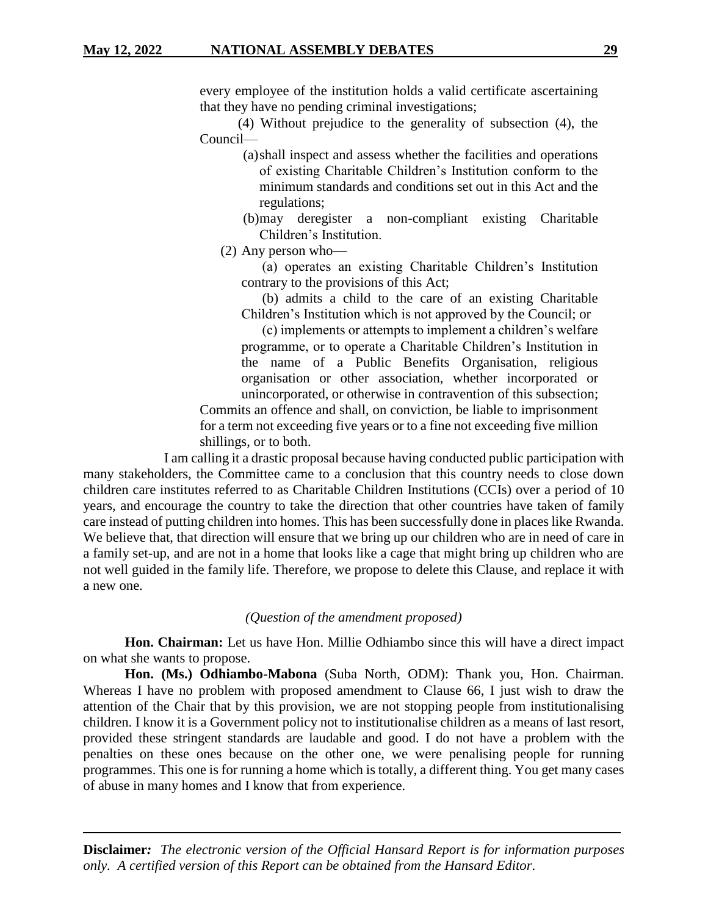# **May 12, 2022 NATIONAL ASSEMBLY DEBATES 29**

every employee of the institution holds a valid certificate ascertaining that they have no pending criminal investigations;

 (4) Without prejudice to the generality of subsection (4), the Council—

> (a)shall inspect and assess whether the facilities and operations of existing Charitable Children's Institution conform to the minimum standards and conditions set out in this Act and the regulations;

> (b)may deregister a non-compliant existing Charitable Children's Institution.

(2) Any person who—

 (a) operates an existing Charitable Children's Institution contrary to the provisions of this Act;

 (b) admits a child to the care of an existing Charitable Children's Institution which is not approved by the Council; or

 (c) implements or attempts to implement a children's welfare programme, or to operate a Charitable Children's Institution in the name of a Public Benefits Organisation, religious organisation or other association, whether incorporated or unincorporated, or otherwise in contravention of this subsection;

Commits an offence and shall, on conviction, be liable to imprisonment for a term not exceeding five years or to a fine not exceeding five million shillings, or to both.

I am calling it a drastic proposal because having conducted public participation with many stakeholders, the Committee came to a conclusion that this country needs to close down children care institutes referred to as Charitable Children Institutions (CCIs) over a period of 10 years, and encourage the country to take the direction that other countries have taken of family care instead of putting children into homes. This has been successfully done in places like Rwanda. We believe that, that direction will ensure that we bring up our children who are in need of care in a family set-up, and are not in a home that looks like a cage that might bring up children who are not well guided in the family life. Therefore, we propose to delete this Clause, and replace it with a new one.

# *(Question of the amendment proposed)*

**Hon. Chairman:** Let us have Hon. Millie Odhiambo since this will have a direct impact on what she wants to propose.

**Hon. (Ms.) Odhiambo-Mabona** (Suba North, ODM): Thank you, Hon. Chairman. Whereas I have no problem with proposed amendment to Clause 66, I just wish to draw the attention of the Chair that by this provision, we are not stopping people from institutionalising children. I know it is a Government policy not to institutionalise children as a means of last resort, provided these stringent standards are laudable and good. I do not have a problem with the penalties on these ones because on the other one, we were penalising people for running programmes. This one is for running a home which is totally, a different thing. You get many cases of abuse in many homes and I know that from experience.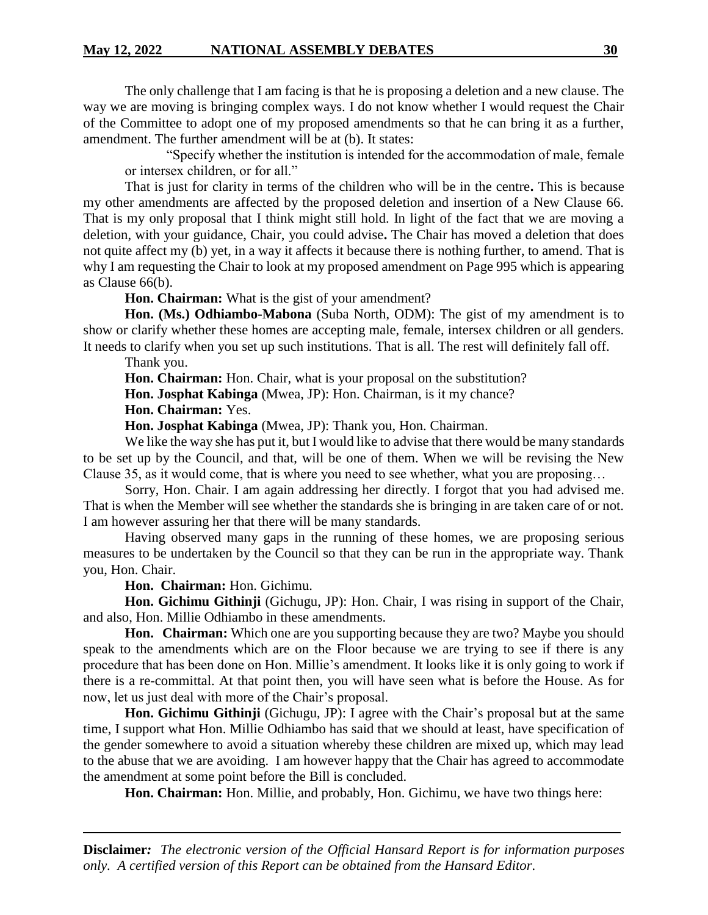The only challenge that I am facing is that he is proposing a deletion and a new clause. The way we are moving is bringing complex ways. I do not know whether I would request the Chair of the Committee to adopt one of my proposed amendments so that he can bring it as a further, amendment. The further amendment will be at (b). It states:

"Specify whether the institution is intended for the accommodation of male, female or intersex children, or for all."

That is just for clarity in terms of the children who will be in the centre**.** This is because my other amendments are affected by the proposed deletion and insertion of a New Clause 66. That is my only proposal that I think might still hold. In light of the fact that we are moving a deletion, with your guidance, Chair, you could advise**.** The Chair has moved a deletion that does not quite affect my (b) yet, in a way it affects it because there is nothing further, to amend. That is why I am requesting the Chair to look at my proposed amendment on Page 995 which is appearing as Clause 66(b).

**Hon. Chairman:** What is the gist of your amendment?

**Hon. (Ms.) Odhiambo-Mabona** (Suba North, ODM): The gist of my amendment is to show or clarify whether these homes are accepting male, female, intersex children or all genders. It needs to clarify when you set up such institutions. That is all. The rest will definitely fall off.

Thank you.

**Hon. Chairman:** Hon. Chair, what is your proposal on the substitution?

**Hon. Josphat Kabinga** (Mwea, JP): Hon. Chairman, is it my chance?

**Hon. Chairman:** Yes.

**Hon. Josphat Kabinga** (Mwea, JP): Thank you, Hon. Chairman.

We like the way she has put it, but I would like to advise that there would be many standards to be set up by the Council, and that, will be one of them. When we will be revising the New Clause 35, as it would come, that is where you need to see whether, what you are proposing…

Sorry, Hon. Chair. I am again addressing her directly. I forgot that you had advised me. That is when the Member will see whether the standards she is bringing in are taken care of or not. I am however assuring her that there will be many standards.

Having observed many gaps in the running of these homes, we are proposing serious measures to be undertaken by the Council so that they can be run in the appropriate way. Thank you, Hon. Chair.

**Hon. Chairman:** Hon. Gichimu.

**Hon. Gichimu Githinji** (Gichugu, JP): Hon. Chair, I was rising in support of the Chair, and also, Hon. Millie Odhiambo in these amendments.

**Hon. Chairman:** Which one are you supporting because they are two? Maybe you should speak to the amendments which are on the Floor because we are trying to see if there is any procedure that has been done on Hon. Millie's amendment. It looks like it is only going to work if there is a re-committal. At that point then, you will have seen what is before the House. As for now, let us just deal with more of the Chair's proposal.

**Hon. Gichimu Githinji** (Gichugu, JP): I agree with the Chair's proposal but at the same time, I support what Hon. Millie Odhiambo has said that we should at least, have specification of the gender somewhere to avoid a situation whereby these children are mixed up, which may lead to the abuse that we are avoiding. I am however happy that the Chair has agreed to accommodate the amendment at some point before the Bill is concluded.

**Hon. Chairman:** Hon. Millie, and probably, Hon. Gichimu, we have two things here: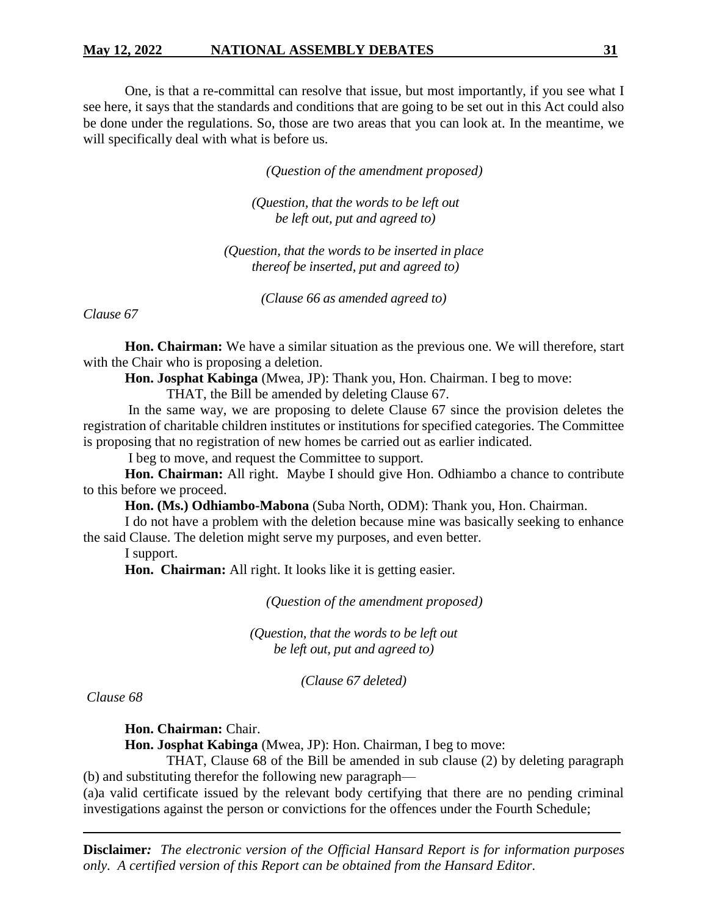# **May 12, 2022 NATIONAL ASSEMBLY DEBATES 31**

One, is that a re-committal can resolve that issue, but most importantly, if you see what I see here, it says that the standards and conditions that are going to be set out in this Act could also be done under the regulations. So, those are two areas that you can look at. In the meantime, we will specifically deal with what is before us.

*(Question of the amendment proposed)*

*(Question, that the words to be left out be left out, put and agreed to)*

*(Question, that the words to be inserted in place thereof be inserted, put and agreed to)*

*(Clause 66 as amended agreed to)*

*Clause 67*

**Hon. Chairman:** We have a similar situation as the previous one. We will therefore, start with the Chair who is proposing a deletion.

**Hon. Josphat Kabinga** (Mwea, JP): Thank you, Hon. Chairman. I beg to move:

THAT, the Bill be amended by deleting Clause 67.

In the same way, we are proposing to delete Clause 67 since the provision deletes the registration of charitable children institutes or institutions for specified categories. The Committee is proposing that no registration of new homes be carried out as earlier indicated.

I beg to move, and request the Committee to support.

**Hon. Chairman:** All right. Maybe I should give Hon. Odhiambo a chance to contribute to this before we proceed.

**Hon. (Ms.) Odhiambo-Mabona** (Suba North, ODM): Thank you, Hon. Chairman.

I do not have a problem with the deletion because mine was basically seeking to enhance the said Clause. The deletion might serve my purposes, and even better.

I support.

**Hon. Chairman:** All right. It looks like it is getting easier.

*(Question of the amendment proposed)*

*(Question, that the words to be left out be left out, put and agreed to)*

*(Clause 67 deleted)*

*Clause 68* 

**Hon. Chairman:** Chair.

**Hon. Josphat Kabinga** (Mwea, JP): Hon. Chairman, I beg to move:

THAT, Clause 68 of the Bill be amended in sub clause (2) by deleting paragraph (b) and substituting therefor the following new paragraph—

(a)a valid certificate issued by the relevant body certifying that there are no pending criminal investigations against the person or convictions for the offences under the Fourth Schedule;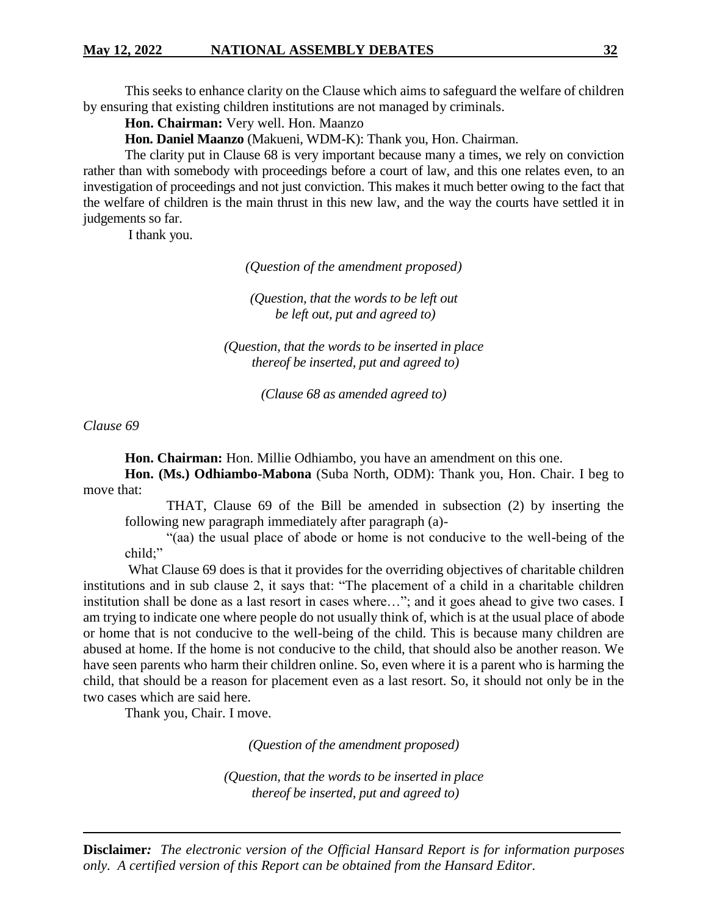This seeks to enhance clarity on the Clause which aims to safeguard the welfare of children by ensuring that existing children institutions are not managed by criminals.

**Hon. Chairman:** Very well. Hon. Maanzo

**Hon. Daniel Maanzo** (Makueni, WDM-K): Thank you, Hon. Chairman.

The clarity put in Clause 68 is very important because many a times, we rely on conviction rather than with somebody with proceedings before a court of law, and this one relates even, to an investigation of proceedings and not just conviction. This makes it much better owing to the fact that the welfare of children is the main thrust in this new law, and the way the courts have settled it in judgements so far.

I thank you.

*(Question of the amendment proposed)*

*(Question, that the words to be left out be left out, put and agreed to)*

*(Question, that the words to be inserted in place thereof be inserted, put and agreed to)*

*(Clause 68 as amended agreed to)*

*Clause 69*

**Hon. Chairman:** Hon. Millie Odhiambo, you have an amendment on this one.

**Hon. (Ms.) Odhiambo-Mabona** (Suba North, ODM): Thank you, Hon. Chair. I beg to move that:

THAT, Clause 69 of the Bill be amended in subsection (2) by inserting the following new paragraph immediately after paragraph (a)-

"(aa) the usual place of abode or home is not conducive to the well-being of the child;"

What Clause 69 does is that it provides for the overriding objectives of charitable children institutions and in sub clause 2, it says that: "The placement of a child in a charitable children institution shall be done as a last resort in cases where…"; and it goes ahead to give two cases. I am trying to indicate one where people do not usually think of, which is at the usual place of abode or home that is not conducive to the well-being of the child. This is because many children are abused at home. If the home is not conducive to the child, that should also be another reason. We have seen parents who harm their children online. So, even where it is a parent who is harming the child, that should be a reason for placement even as a last resort. So, it should not only be in the two cases which are said here.

Thank you, Chair. I move.

*(Question of the amendment proposed)*

*(Question, that the words to be inserted in place thereof be inserted, put and agreed to)*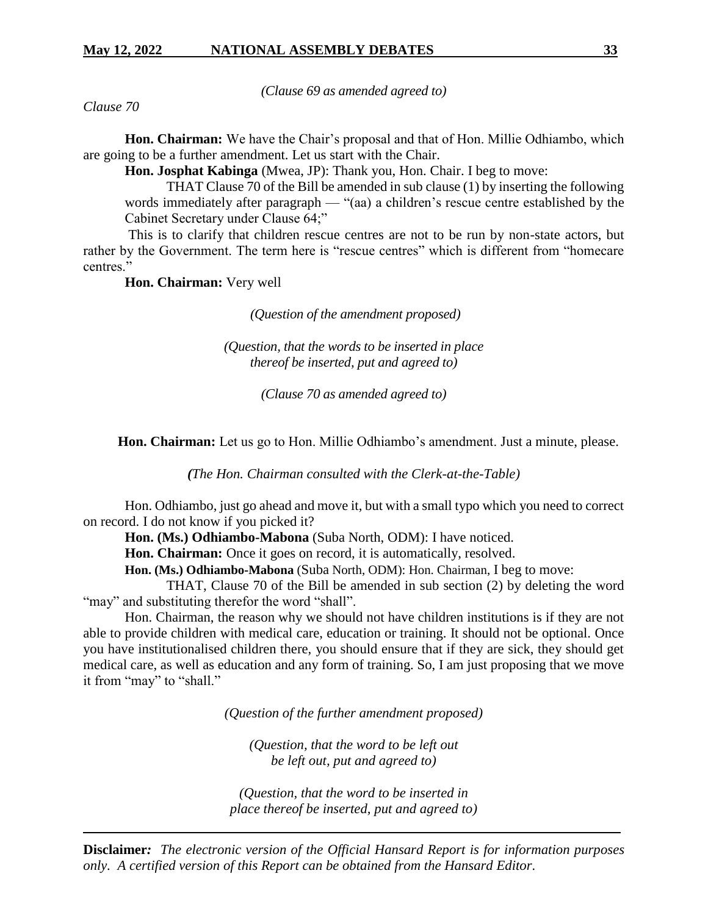*(Clause 69 as amended agreed to)*

*Clause 70*

**Hon. Chairman:** We have the Chair's proposal and that of Hon. Millie Odhiambo, which are going to be a further amendment. Let us start with the Chair.

**Hon. Josphat Kabinga** (Mwea, JP): Thank you, Hon. Chair. I beg to move:

THAT Clause 70 of the Bill be amended in sub clause (1) by inserting the following words immediately after paragraph — "(aa) a children's rescue centre established by the Cabinet Secretary under Clause 64;"

This is to clarify that children rescue centres are not to be run by non-state actors, but rather by the Government. The term here is "rescue centres" which is different from "homecare centres."

**Hon. Chairman:** Very well

*(Question of the amendment proposed)*

*(Question, that the words to be inserted in place thereof be inserted, put and agreed to)*

*(Clause 70 as amended agreed to)*

 **Hon. Chairman:** Let us go to Hon. Millie Odhiambo's amendment. Just a minute, please.

*(The Hon. Chairman consulted with the Clerk-at-the-Table)*

Hon. Odhiambo, just go ahead and move it, but with a small typo which you need to correct on record. I do not know if you picked it?

**Hon. (Ms.) Odhiambo-Mabona** (Suba North, ODM): I have noticed.

**Hon. Chairman:** Once it goes on record, it is automatically, resolved.

**Hon. (Ms.) Odhiambo-Mabona** (Suba North, ODM): Hon. Chairman, I beg to move:

THAT, Clause 70 of the Bill be amended in sub section (2) by deleting the word "may" and substituting therefor the word "shall".

Hon. Chairman, the reason why we should not have children institutions is if they are not able to provide children with medical care, education or training. It should not be optional. Once you have institutionalised children there, you should ensure that if they are sick, they should get medical care, as well as education and any form of training. So, I am just proposing that we move it from "may" to "shall."

*(Question of the further amendment proposed)*

*(Question, that the word to be left out be left out, put and agreed to)*

*(Question, that the word to be inserted in place thereof be inserted, put and agreed to)*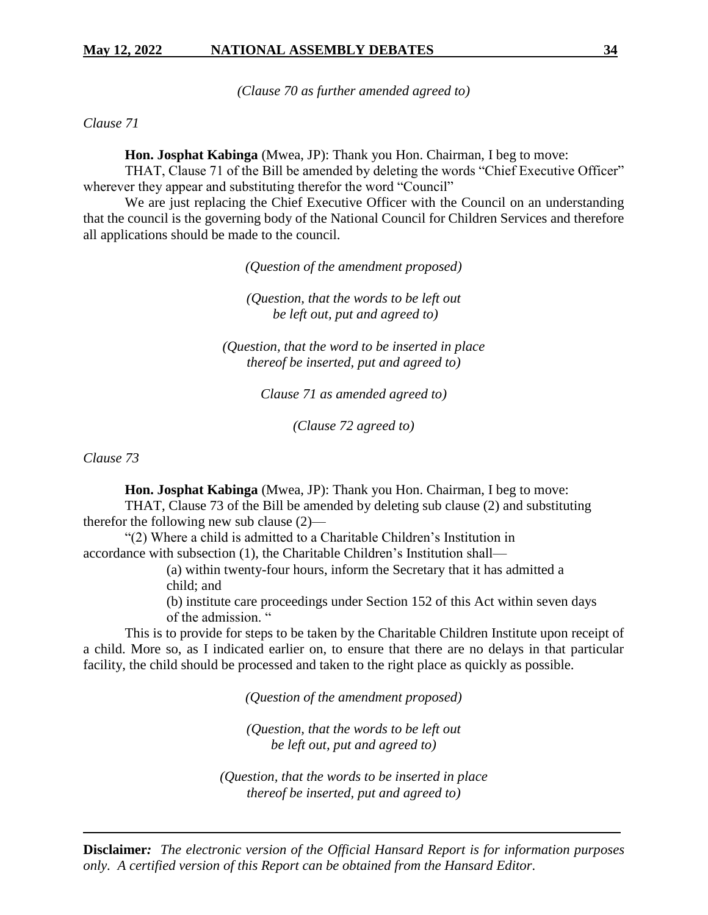*(Clause 70 as further amended agreed to)*

*Clause 71*

**Hon. Josphat Kabinga** (Mwea, JP): Thank you Hon. Chairman, I beg to move:

THAT, Clause 71 of the Bill be amended by deleting the words "Chief Executive Officer" wherever they appear and substituting therefor the word "Council"

We are just replacing the Chief Executive Officer with the Council on an understanding that the council is the governing body of the National Council for Children Services and therefore all applications should be made to the council.

*(Question of the amendment proposed)*

*(Question, that the words to be left out be left out, put and agreed to)*

*(Question, that the word to be inserted in place thereof be inserted, put and agreed to)*

*Clause 71 as amended agreed to)*

*(Clause 72 agreed to)*

*Clause 73* 

**Hon. Josphat Kabinga** (Mwea, JP): Thank you Hon. Chairman, I beg to move:

THAT, Clause 73 of the Bill be amended by deleting sub clause (2) and substituting therefor the following new sub clause (2)—

"(2) Where a child is admitted to a Charitable Children's Institution in accordance with subsection (1), the Charitable Children's Institution shall—

> (a) within twenty-four hours, inform the Secretary that it has admitted a child; and

(b) institute care proceedings under Section 152 of this Act within seven days of the admission. "

This is to provide for steps to be taken by the Charitable Children Institute upon receipt of a child. More so, as I indicated earlier on, to ensure that there are no delays in that particular facility, the child should be processed and taken to the right place as quickly as possible.

*(Question of the amendment proposed)*

*(Question, that the words to be left out be left out, put and agreed to)*

*(Question, that the words to be inserted in place thereof be inserted, put and agreed to)*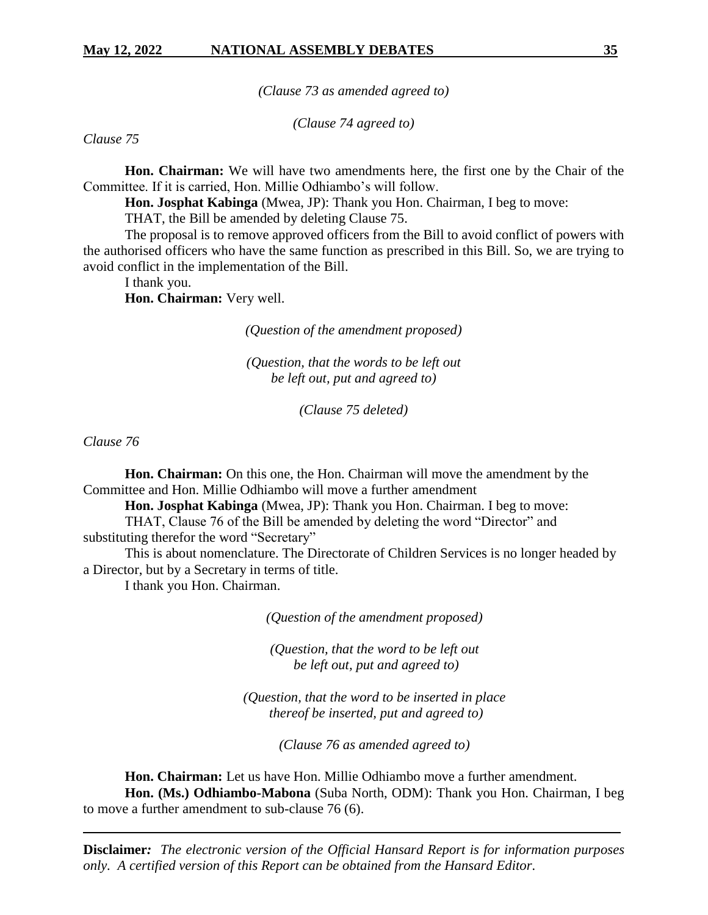*(Clause 73 as amended agreed to)*

*(Clause 74 agreed to)*

*Clause 75*

**Hon. Chairman:** We will have two amendments here, the first one by the Chair of the Committee. If it is carried, Hon. Millie Odhiambo's will follow.

**Hon. Josphat Kabinga** (Mwea, JP): Thank you Hon. Chairman, I beg to move:

THAT, the Bill be amended by deleting Clause 75.

The proposal is to remove approved officers from the Bill to avoid conflict of powers with the authorised officers who have the same function as prescribed in this Bill. So, we are trying to avoid conflict in the implementation of the Bill.

I thank you.

**Hon. Chairman:** Very well.

*(Question of the amendment proposed)*

*(Question, that the words to be left out be left out, put and agreed to)*

*(Clause 75 deleted)*

*Clause 76*

**Hon. Chairman:** On this one, the Hon. Chairman will move the amendment by the Committee and Hon. Millie Odhiambo will move a further amendment

**Hon. Josphat Kabinga** (Mwea, JP): Thank you Hon. Chairman. I beg to move:

THAT, Clause 76 of the Bill be amended by deleting the word "Director" and substituting therefor the word "Secretary"

This is about nomenclature. The Directorate of Children Services is no longer headed by a Director, but by a Secretary in terms of title.

I thank you Hon. Chairman.

*(Question of the amendment proposed)*

*(Question, that the word to be left out be left out, put and agreed to)*

*(Question, that the word to be inserted in place thereof be inserted, put and agreed to)*

*(Clause 76 as amended agreed to)*

**Hon. Chairman:** Let us have Hon. Millie Odhiambo move a further amendment. **Hon. (Ms.) Odhiambo-Mabona** (Suba North, ODM): Thank you Hon. Chairman, I beg to move a further amendment to sub-clause 76 (6).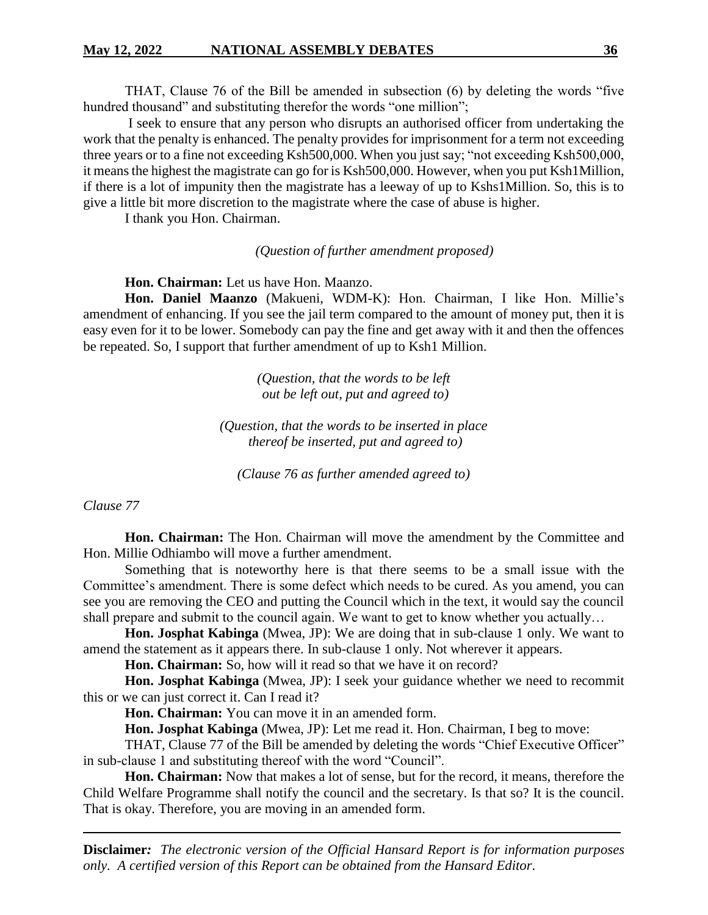THAT, Clause 76 of the Bill be amended in subsection (6) by deleting the words "five hundred thousand" and substituting therefor the words "one million";

I seek to ensure that any person who disrupts an authorised officer from undertaking the work that the penalty is enhanced. The penalty provides for imprisonment for a term not exceeding three years or to a fine not exceeding Ksh500,000. When you just say; "not exceeding Ksh500,000, it means the highest the magistrate can go for is Ksh500,000. However, when you put Ksh1Million, if there is a lot of impunity then the magistrate has a leeway of up to Kshs1Million. So, this is to give a little bit more discretion to the magistrate where the case of abuse is higher.

I thank you Hon. Chairman.

*(Question of further amendment proposed)*

**Hon. Chairman:** Let us have Hon. Maanzo.

**Hon. Daniel Maanzo** (Makueni, WDM-K): Hon. Chairman, I like Hon. Millie's amendment of enhancing. If you see the jail term compared to the amount of money put, then it is easy even for it to be lower. Somebody can pay the fine and get away with it and then the offences be repeated. So, I support that further amendment of up to Ksh1 Million.

> *(Question, that the words to be left out be left out, put and agreed to)*

*(Question, that the words to be inserted in place thereof be inserted, put and agreed to)*

*(Clause 76 as further amended agreed to)*

*Clause 77*

**Hon. Chairman:** The Hon. Chairman will move the amendment by the Committee and Hon. Millie Odhiambo will move a further amendment.

Something that is noteworthy here is that there seems to be a small issue with the Committee's amendment. There is some defect which needs to be cured. As you amend, you can see you are removing the CEO and putting the Council which in the text, it would say the council shall prepare and submit to the council again. We want to get to know whether you actually…

**Hon. Josphat Kabinga** (Mwea, JP): We are doing that in sub-clause 1 only. We want to amend the statement as it appears there. In sub-clause 1 only. Not wherever it appears.

**Hon. Chairman:** So, how will it read so that we have it on record?

**Hon. Josphat Kabinga** (Mwea, JP): I seek your guidance whether we need to recommit this or we can just correct it. Can I read it?

**Hon. Chairman:** You can move it in an amended form.

**Hon. Josphat Kabinga** (Mwea, JP): Let me read it. Hon. Chairman, I beg to move:

THAT, Clause 77 of the Bill be amended by deleting the words "Chief Executive Officer" in sub-clause 1 and substituting thereof with the word "Council".

**Hon. Chairman:** Now that makes a lot of sense, but for the record, it means, therefore the Child Welfare Programme shall notify the council and the secretary. Is that so? It is the council. That is okay. Therefore, you are moving in an amended form.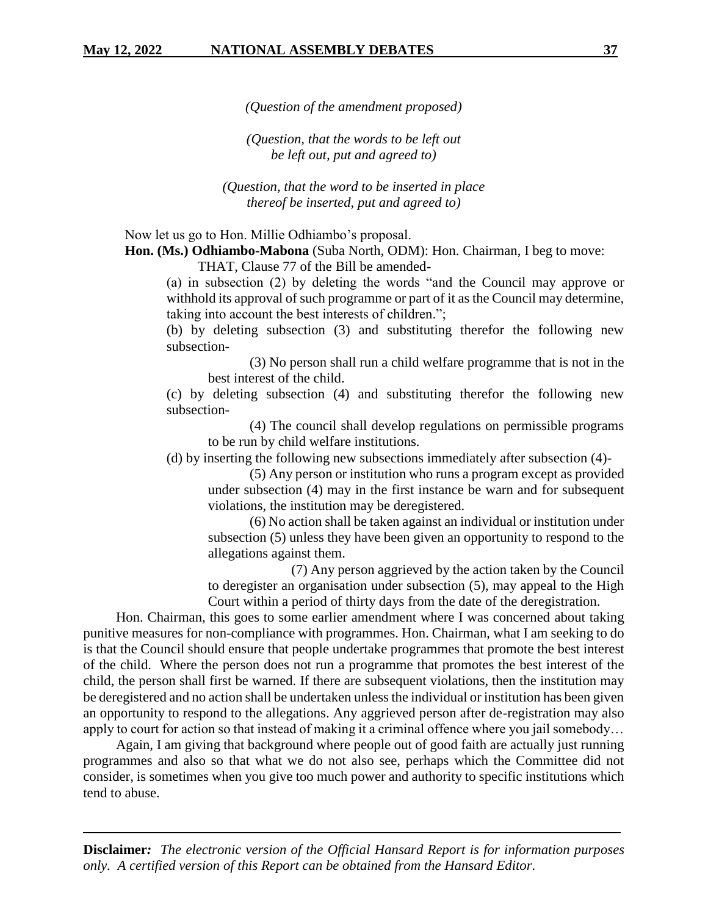*(Question of the amendment proposed)*

*(Question, that the words to be left out be left out, put and agreed to)*

*(Question, that the word to be inserted in place thereof be inserted, put and agreed to)*

Now let us go to Hon. Millie Odhiambo's proposal.

**Hon. (Ms.) Odhiambo-Mabona** (Suba North, ODM): Hon. Chairman, I beg to move:

THAT, Clause 77 of the Bill be amended-

(a) in subsection (2) by deleting the words "and the Council may approve or withhold its approval of such programme or part of it as the Council may determine, taking into account the best interests of children.";

(b) by deleting subsection (3) and substituting therefor the following new subsection-

(3) No person shall run a child welfare programme that is not in the best interest of the child.

(c) by deleting subsection (4) and substituting therefor the following new subsection-

(4) The council shall develop regulations on permissible programs to be run by child welfare institutions.

(d) by inserting the following new subsections immediately after subsection (4)-

(5) Any person or institution who runs a program except as provided under subsection (4) may in the first instance be warn and for subsequent violations, the institution may be deregistered.

(6) No action shall be taken against an individual or institution under subsection (5) unless they have been given an opportunity to respond to the allegations against them.

(7) Any person aggrieved by the action taken by the Council to deregister an organisation under subsection (5), may appeal to the High Court within a period of thirty days from the date of the deregistration.

Hon. Chairman, this goes to some earlier amendment where I was concerned about taking punitive measures for non-compliance with programmes. Hon. Chairman, what I am seeking to do is that the Council should ensure that people undertake programmes that promote the best interest of the child. Where the person does not run a programme that promotes the best interest of the child, the person shall first be warned. If there are subsequent violations, then the institution may be deregistered and no action shall be undertaken unless the individual or institution has been given an opportunity to respond to the allegations. Any aggrieved person after de-registration may also apply to court for action so that instead of making it a criminal offence where you jail somebody…

Again, I am giving that background where people out of good faith are actually just running programmes and also so that what we do not also see, perhaps which the Committee did not consider, is sometimes when you give too much power and authority to specific institutions which tend to abuse.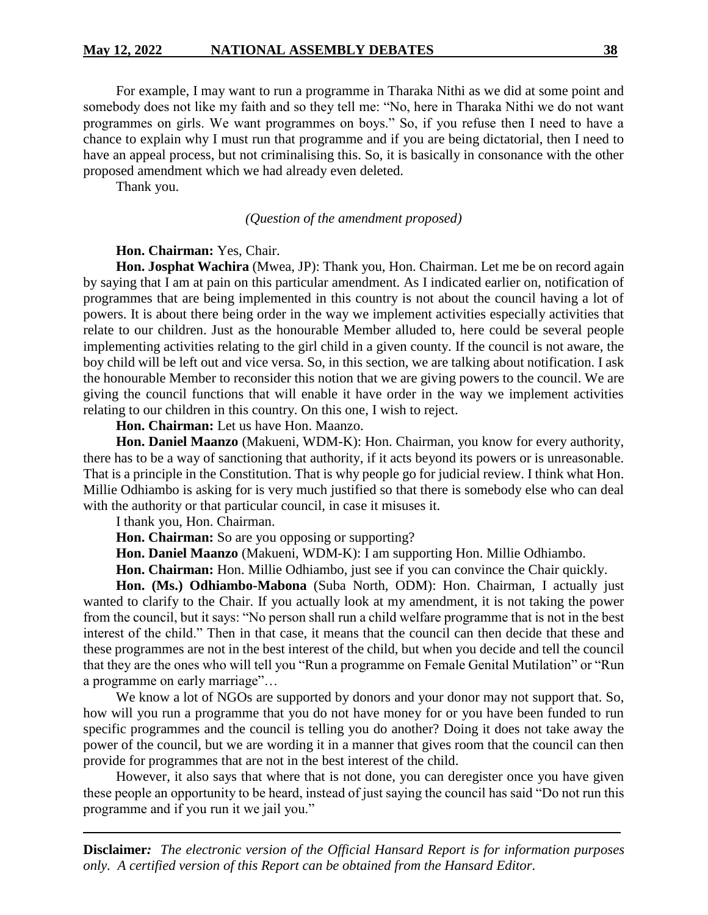#### **May 12, 2022 NATIONAL ASSEMBLY DEBATES 38**

For example, I may want to run a programme in Tharaka Nithi as we did at some point and somebody does not like my faith and so they tell me: "No, here in Tharaka Nithi we do not want programmes on girls. We want programmes on boys." So, if you refuse then I need to have a chance to explain why I must run that programme and if you are being dictatorial, then I need to have an appeal process, but not criminalising this. So, it is basically in consonance with the other proposed amendment which we had already even deleted.

Thank you.

#### *(Question of the amendment proposed)*

#### **Hon. Chairman:** Yes, Chair.

**Hon. Josphat Wachira** (Mwea, JP): Thank you, Hon. Chairman. Let me be on record again by saying that I am at pain on this particular amendment. As I indicated earlier on, notification of programmes that are being implemented in this country is not about the council having a lot of powers. It is about there being order in the way we implement activities especially activities that relate to our children. Just as the honourable Member alluded to, here could be several people implementing activities relating to the girl child in a given county. If the council is not aware, the boy child will be left out and vice versa. So, in this section, we are talking about notification. I ask the honourable Member to reconsider this notion that we are giving powers to the council. We are giving the council functions that will enable it have order in the way we implement activities relating to our children in this country. On this one, I wish to reject.

**Hon. Chairman:** Let us have Hon. Maanzo.

**Hon. Daniel Maanzo** (Makueni, WDM-K): Hon. Chairman, you know for every authority, there has to be a way of sanctioning that authority, if it acts beyond its powers or is unreasonable. That is a principle in the Constitution. That is why people go for judicial review. I think what Hon. Millie Odhiambo is asking for is very much justified so that there is somebody else who can deal with the authority or that particular council, in case it misuses it.

I thank you, Hon. Chairman.

**Hon. Chairman:** So are you opposing or supporting?

**Hon. Daniel Maanzo** (Makueni, WDM-K): I am supporting Hon. Millie Odhiambo.

**Hon. Chairman:** Hon. Millie Odhiambo, just see if you can convince the Chair quickly.

**Hon. (Ms.) Odhiambo-Mabona** (Suba North, ODM): Hon. Chairman, I actually just wanted to clarify to the Chair. If you actually look at my amendment, it is not taking the power from the council, but it says: "No person shall run a child welfare programme that is not in the best interest of the child." Then in that case, it means that the council can then decide that these and these programmes are not in the best interest of the child, but when you decide and tell the council that they are the ones who will tell you "Run a programme on Female Genital Mutilation" or "Run a programme on early marriage"…

We know a lot of NGOs are supported by donors and your donor may not support that. So, how will you run a programme that you do not have money for or you have been funded to run specific programmes and the council is telling you do another? Doing it does not take away the power of the council, but we are wording it in a manner that gives room that the council can then provide for programmes that are not in the best interest of the child.

However, it also says that where that is not done, you can deregister once you have given these people an opportunity to be heard, instead of just saying the council has said "Do not run this programme and if you run it we jail you."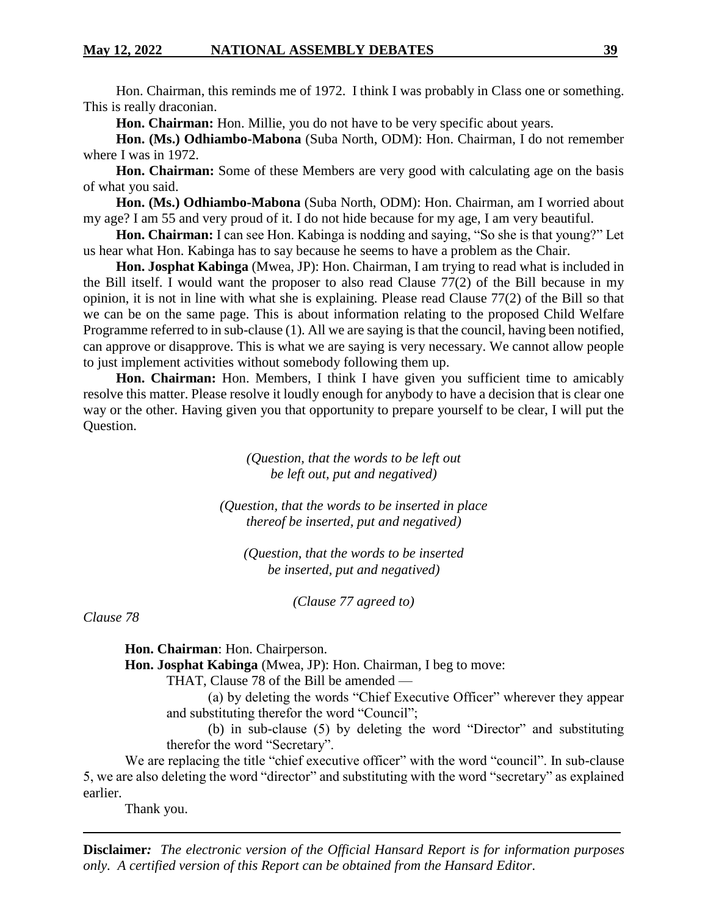Hon. Chairman, this reminds me of 1972. I think I was probably in Class one or something. This is really draconian.

**Hon. Chairman:** Hon. Millie, you do not have to be very specific about years.

**Hon. (Ms.) Odhiambo-Mabona** (Suba North, ODM): Hon. Chairman, I do not remember where I was in 1972.

**Hon. Chairman:** Some of these Members are very good with calculating age on the basis of what you said.

**Hon. (Ms.) Odhiambo-Mabona** (Suba North, ODM): Hon. Chairman, am I worried about my age? I am 55 and very proud of it. I do not hide because for my age, I am very beautiful.

**Hon. Chairman:** I can see Hon. Kabinga is nodding and saying, "So she is that young?" Let us hear what Hon. Kabinga has to say because he seems to have a problem as the Chair.

**Hon. Josphat Kabinga** (Mwea, JP): Hon. Chairman, I am trying to read what is included in the Bill itself. I would want the proposer to also read Clause 77(2) of the Bill because in my opinion, it is not in line with what she is explaining. Please read Clause 77(2) of the Bill so that we can be on the same page. This is about information relating to the proposed Child Welfare Programme referred to in sub-clause (1). All we are saying is that the council, having been notified, can approve or disapprove. This is what we are saying is very necessary. We cannot allow people to just implement activities without somebody following them up.

**Hon. Chairman:** Hon. Members, I think I have given you sufficient time to amicably resolve this matter. Please resolve it loudly enough for anybody to have a decision that is clear one way or the other. Having given you that opportunity to prepare yourself to be clear, I will put the Question.

> *(Question, that the words to be left out be left out, put and negatived)*

*(Question, that the words to be inserted in place thereof be inserted, put and negatived)*

*(Question, that the words to be inserted be inserted, put and negatived)*

*(Clause 77 agreed to)*

*Clause 78*

**Hon. Chairman**: Hon. Chairperson.

**Hon. Josphat Kabinga** (Mwea, JP): Hon. Chairman, I beg to move:

THAT, Clause 78 of the Bill be amended —

(a) by deleting the words "Chief Executive Officer" wherever they appear and substituting therefor the word "Council";

(b) in sub-clause (5) by deleting the word "Director" and substituting therefor the word "Secretary".

We are replacing the title "chief executive officer" with the word "council". In sub-clause 5, we are also deleting the word "director" and substituting with the word "secretary" as explained earlier.

Thank you.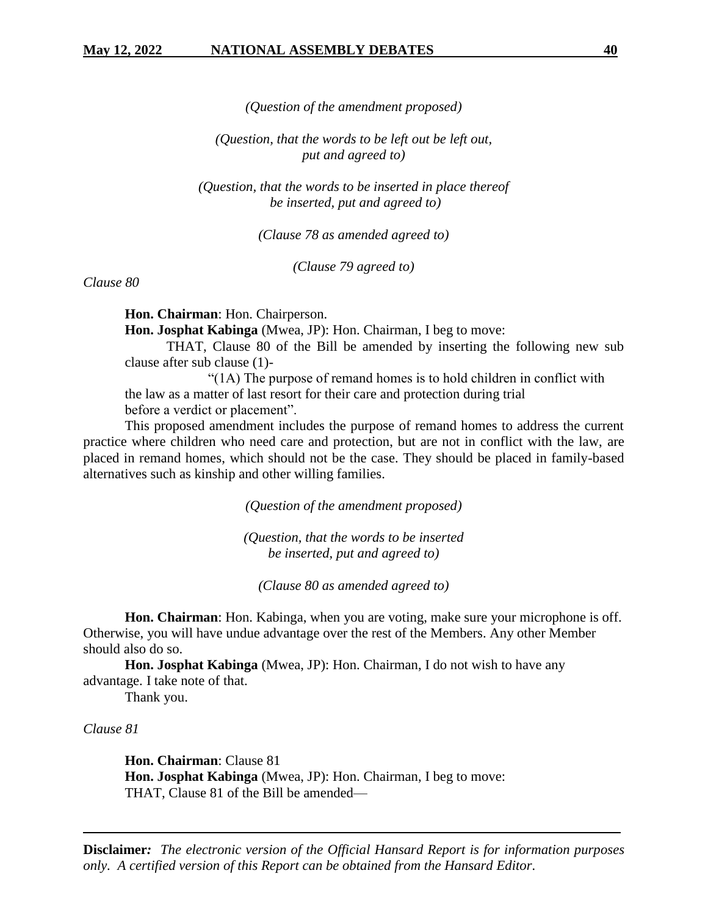*(Question of the amendment proposed)*

*(Question, that the words to be left out be left out, put and agreed to)*

*(Question, that the words to be inserted in place thereof be inserted, put and agreed to)*

*(Clause 78 as amended agreed to)*

*(Clause 79 agreed to)*

*Clause 80*

**Hon. Chairman**: Hon. Chairperson.

**Hon. Josphat Kabinga** (Mwea, JP): Hon. Chairman, I beg to move:

THAT, Clause 80 of the Bill be amended by inserting the following new sub clause after sub clause (1)-

"(1A) The purpose of remand homes is to hold children in conflict with the law as a matter of last resort for their care and protection during trial before a verdict or placement".

This proposed amendment includes the purpose of remand homes to address the current practice where children who need care and protection, but are not in conflict with the law, are placed in remand homes, which should not be the case. They should be placed in family-based alternatives such as kinship and other willing families.

*(Question of the amendment proposed)*

*(Question, that the words to be inserted be inserted, put and agreed to)*

*(Clause 80 as amended agreed to)*

**Hon. Chairman**: Hon. Kabinga, when you are voting, make sure your microphone is off. Otherwise, you will have undue advantage over the rest of the Members. Any other Member should also do so.

**Hon. Josphat Kabinga** (Mwea, JP): Hon. Chairman, I do not wish to have any advantage. I take note of that.

Thank you.

*Clause 81*

**Hon. Chairman**: Clause 81 **Hon. Josphat Kabinga** (Mwea, JP): Hon. Chairman, I beg to move: THAT, Clause 81 of the Bill be amended—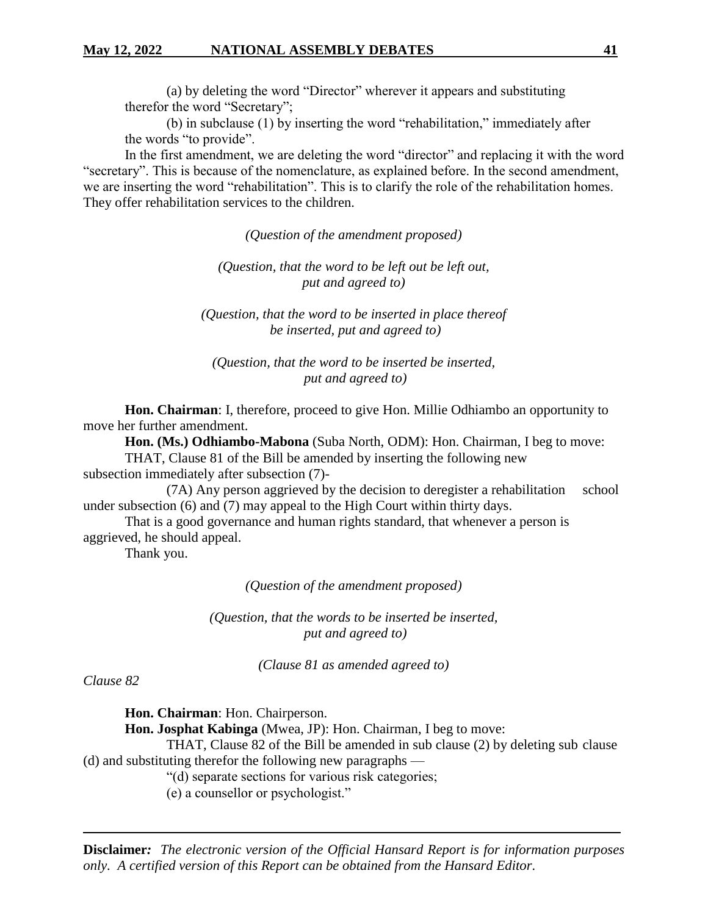(a) by deleting the word "Director" wherever it appears and substituting therefor the word "Secretary";

(b) in subclause (1) by inserting the word "rehabilitation," immediately after the words "to provide".

In the first amendment, we are deleting the word "director" and replacing it with the word "secretary". This is because of the nomenclature, as explained before. In the second amendment, we are inserting the word "rehabilitation". This is to clarify the role of the rehabilitation homes. They offer rehabilitation services to the children.

*(Question of the amendment proposed)*

*(Question, that the word to be left out be left out, put and agreed to)*

*(Question, that the word to be inserted in place thereof be inserted, put and agreed to)*

*(Question, that the word to be inserted be inserted, put and agreed to)*

**Hon. Chairman**: I, therefore, proceed to give Hon. Millie Odhiambo an opportunity to move her further amendment.

**Hon. (Ms.) Odhiambo-Mabona** (Suba North, ODM): Hon. Chairman, I beg to move:

THAT, Clause 81 of the Bill be amended by inserting the following new subsection immediately after subsection (7)-

(7A) Any person aggrieved by the decision to deregister a rehabilitation school under subsection (6) and (7) may appeal to the High Court within thirty days.

That is a good governance and human rights standard, that whenever a person is aggrieved, he should appeal.

Thank you.

*(Question of the amendment proposed)*

*(Question, that the words to be inserted be inserted, put and agreed to)*

*(Clause 81 as amended agreed to)*

*Clause 82*

**Hon. Chairman**: Hon. Chairperson.

**Hon. Josphat Kabinga** (Mwea, JP): Hon. Chairman, I beg to move:

THAT, Clause 82 of the Bill be amended in sub clause (2) by deleting sub clause (d) and substituting therefor the following new paragraphs —

"(d) separate sections for various risk categories;

(e) a counsellor or psychologist."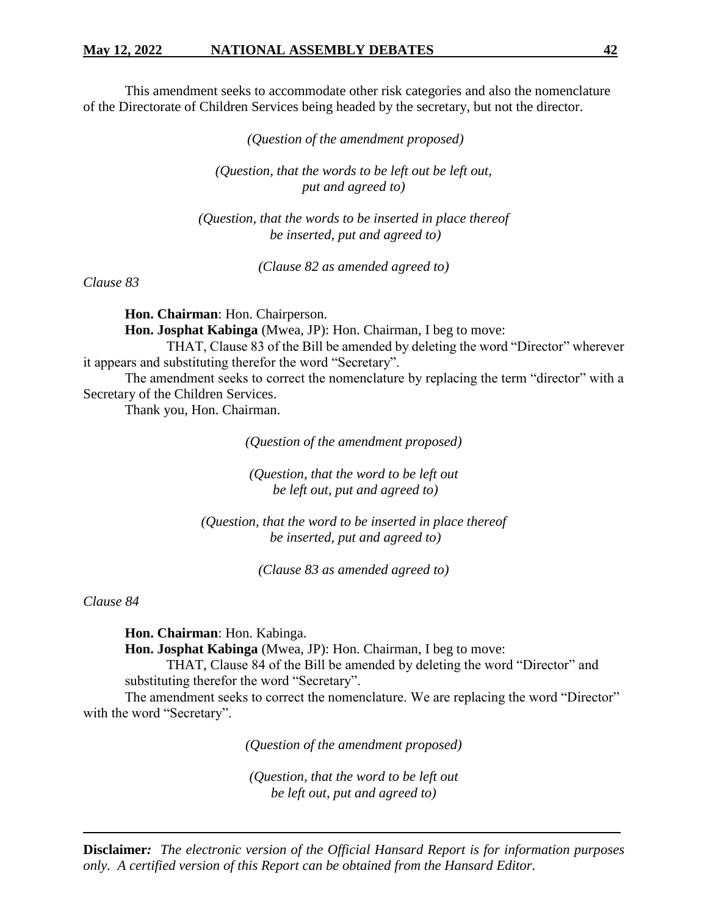This amendment seeks to accommodate other risk categories and also the nomenclature of the Directorate of Children Services being headed by the secretary, but not the director.

*(Question of the amendment proposed)*

*(Question, that the words to be left out be left out, put and agreed to)*

*(Question, that the words to be inserted in place thereof be inserted, put and agreed to)*

*(Clause 82 as amended agreed to)*

*Clause 83*

**Hon. Chairman**: Hon. Chairperson.

**Hon. Josphat Kabinga** (Mwea, JP): Hon. Chairman, I beg to move:

THAT, Clause 83 of the Bill be amended by deleting the word "Director" wherever it appears and substituting therefor the word "Secretary".

The amendment seeks to correct the nomenclature by replacing the term "director" with a Secretary of the Children Services.

Thank you, Hon. Chairman.

*(Question of the amendment proposed)*

*(Question, that the word to be left out be left out, put and agreed to)*

*(Question, that the word to be inserted in place thereof be inserted, put and agreed to)*

*(Clause 83 as amended agreed to)*

*Clause 84*

**Hon. Chairman**: Hon. Kabinga.

**Hon. Josphat Kabinga** (Mwea, JP): Hon. Chairman, I beg to move:

THAT, Clause 84 of the Bill be amended by deleting the word "Director" and substituting therefor the word "Secretary".

The amendment seeks to correct the nomenclature. We are replacing the word "Director" with the word "Secretary".

*(Question of the amendment proposed)*

*(Question, that the word to be left out be left out, put and agreed to)*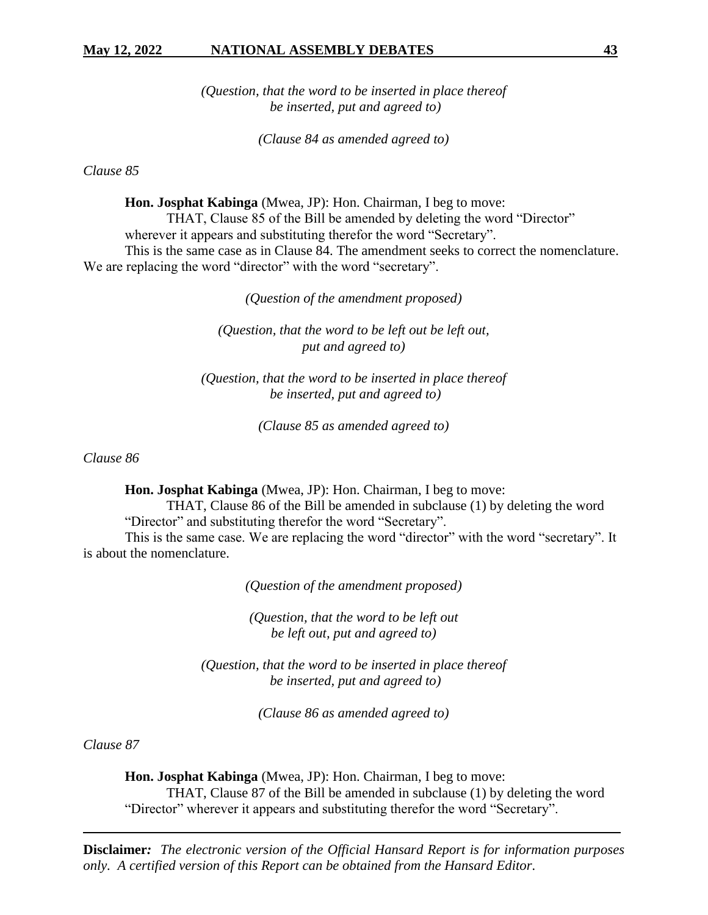*(Question, that the word to be inserted in place thereof be inserted, put and agreed to)*

*(Clause 84 as amended agreed to)*

*Clause 85*

**Hon. Josphat Kabinga** (Mwea, JP): Hon. Chairman, I beg to move: THAT, Clause 85 of the Bill be amended by deleting the word "Director" wherever it appears and substituting therefor the word "Secretary". This is the same case as in Clause 84. The amendment seeks to correct the nomenclature. We are replacing the word "director" with the word "secretary".

*(Question of the amendment proposed)*

*(Question, that the word to be left out be left out, put and agreed to)*

*(Question, that the word to be inserted in place thereof be inserted, put and agreed to)*

*(Clause 85 as amended agreed to)*

*Clause 86*

**Hon. Josphat Kabinga** (Mwea, JP): Hon. Chairman, I beg to move:

THAT, Clause 86 of the Bill be amended in subclause (1) by deleting the word "Director" and substituting therefor the word "Secretary".

This is the same case. We are replacing the word "director" with the word "secretary". It is about the nomenclature.

*(Question of the amendment proposed)*

*(Question, that the word to be left out be left out, put and agreed to)*

*(Question, that the word to be inserted in place thereof be inserted, put and agreed to)*

*(Clause 86 as amended agreed to)*

*Clause 87*

**Hon. Josphat Kabinga** (Mwea, JP): Hon. Chairman, I beg to move: THAT, Clause 87 of the Bill be amended in subclause (1) by deleting the word "Director" wherever it appears and substituting therefor the word "Secretary".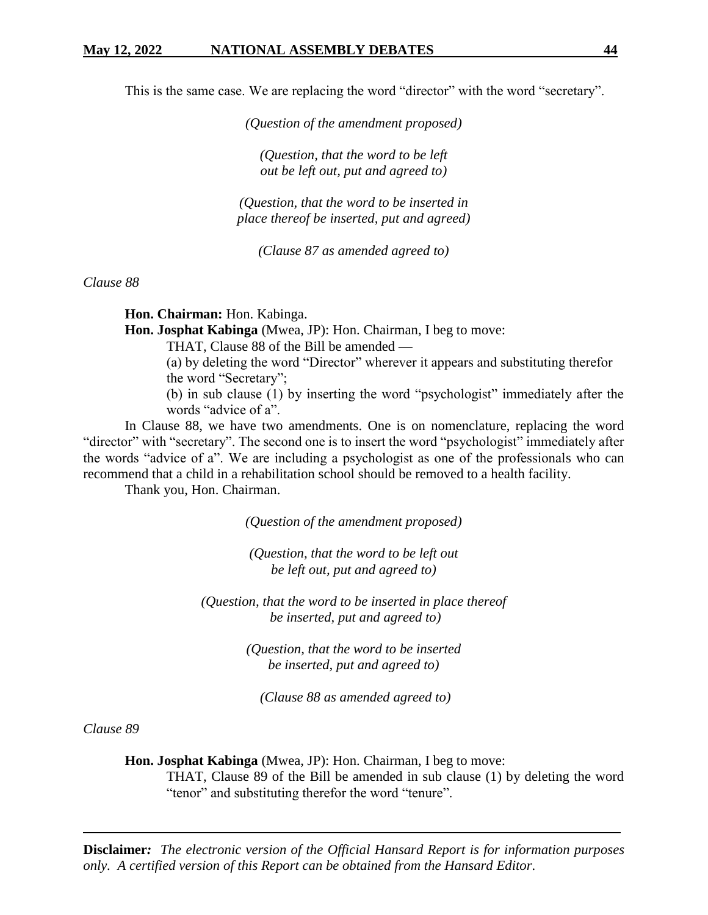This is the same case. We are replacing the word "director" with the word "secretary".

*(Question of the amendment proposed)*

*(Question, that the word to be left out be left out, put and agreed to)*

*(Question, that the word to be inserted in place thereof be inserted, put and agreed)*

*(Clause 87 as amended agreed to)*

*Clause 88*

**Hon. Chairman:** Hon. Kabinga.

**Hon. Josphat Kabinga** (Mwea, JP): Hon. Chairman, I beg to move:

THAT, Clause 88 of the Bill be amended —

(a) by deleting the word "Director" wherever it appears and substituting therefor the word "Secretary";

(b) in sub clause (1) by inserting the word "psychologist" immediately after the words "advice of a".

In Clause 88, we have two amendments. One is on nomenclature, replacing the word "director" with "secretary". The second one is to insert the word "psychologist" immediately after the words "advice of a". We are including a psychologist as one of the professionals who can recommend that a child in a rehabilitation school should be removed to a health facility.

Thank you, Hon. Chairman.

*(Question of the amendment proposed)*

*(Question, that the word to be left out be left out, put and agreed to)*

*(Question, that the word to be inserted in place thereof be inserted, put and agreed to)*

> *(Question, that the word to be inserted be inserted, put and agreed to)*

*(Clause 88 as amended agreed to)*

*Clause 89*

**Hon. Josphat Kabinga** (Mwea, JP): Hon. Chairman, I beg to move:

THAT, Clause 89 of the Bill be amended in sub clause (1) by deleting the word "tenor" and substituting therefor the word "tenure".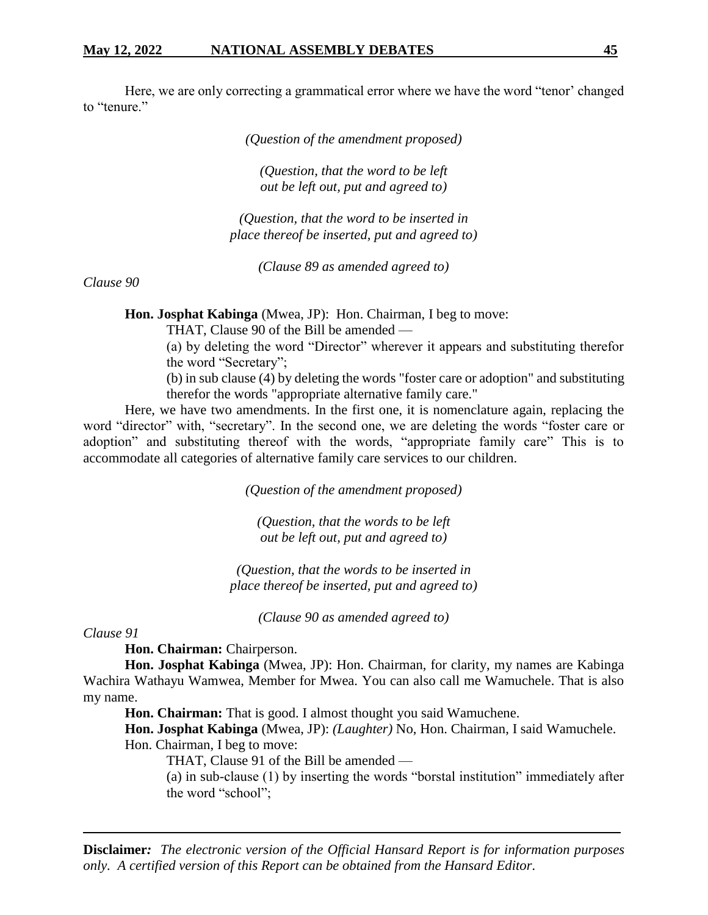Here, we are only correcting a grammatical error where we have the word "tenor' changed to "tenure."

*(Question of the amendment proposed)*

*(Question, that the word to be left out be left out, put and agreed to)*

*(Question, that the word to be inserted in place thereof be inserted, put and agreed to)*

*(Clause 89 as amended agreed to)*

*Clause 90*

**Hon. Josphat Kabinga** (Mwea, JP): Hon. Chairman, I beg to move:

THAT, Clause 90 of the Bill be amended —

(a) by deleting the word "Director" wherever it appears and substituting therefor the word "Secretary";

(b) in sub clause (4) by deleting the words "foster care or adoption" and substituting therefor the words "appropriate alternative family care."

Here, we have two amendments. In the first one, it is nomenclature again, replacing the word "director" with, "secretary". In the second one, we are deleting the words "foster care or adoption" and substituting thereof with the words, "appropriate family care" This is to accommodate all categories of alternative family care services to our children.

*(Question of the amendment proposed)*

*(Question, that the words to be left out be left out, put and agreed to)*

*(Question, that the words to be inserted in place thereof be inserted, put and agreed to)*

*(Clause 90 as amended agreed to)*

*Clause 91*

**Hon. Chairman:** Chairperson.

**Hon. Josphat Kabinga** (Mwea, JP): Hon. Chairman, for clarity, my names are Kabinga Wachira Wathayu Wamwea, Member for Mwea. You can also call me Wamuchele. That is also my name.

Hon. Chairman: That is good. I almost thought you said Wamuchene.

**Hon. Josphat Kabinga** (Mwea, JP): *(Laughter)* No, Hon. Chairman, I said Wamuchele. Hon. Chairman, I beg to move:

THAT, Clause 91 of the Bill be amended —

(a) in sub-clause (1) by inserting the words "borstal institution" immediately after the word "school";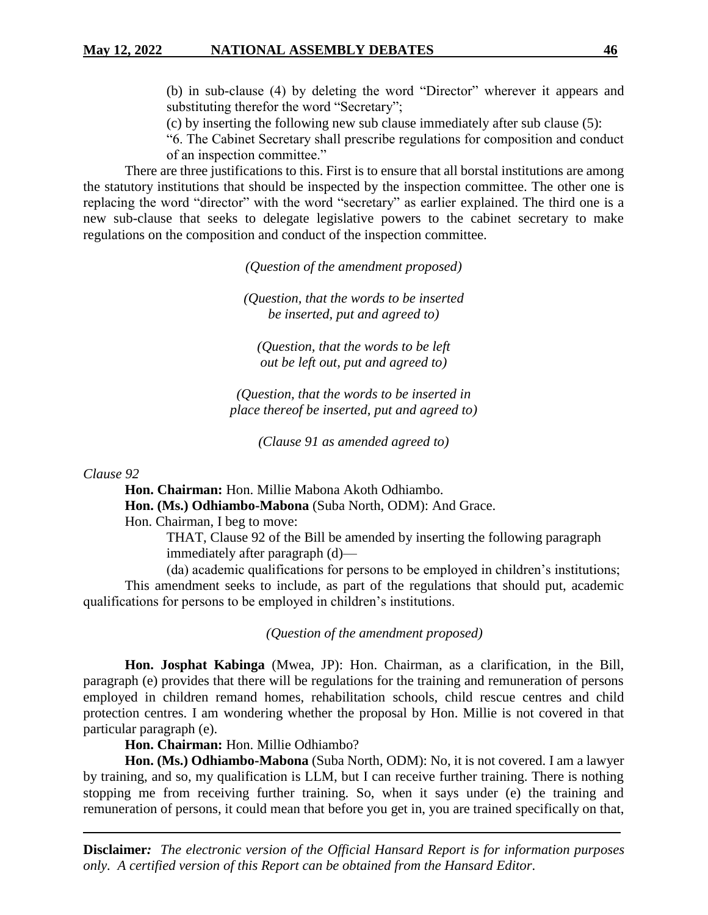(b) in sub-clause (4) by deleting the word "Director" wherever it appears and substituting therefor the word "Secretary";

(c) by inserting the following new sub clause immediately after sub clause (5):

"6. The Cabinet Secretary shall prescribe regulations for composition and conduct of an inspection committee."

There are three justifications to this. First is to ensure that all borstal institutions are among the statutory institutions that should be inspected by the inspection committee. The other one is replacing the word "director" with the word "secretary" as earlier explained. The third one is a new sub-clause that seeks to delegate legislative powers to the cabinet secretary to make regulations on the composition and conduct of the inspection committee.

*(Question of the amendment proposed)*

*(Question, that the words to be inserted be inserted, put and agreed to)*

*(Question, that the words to be left out be left out, put and agreed to)*

*(Question, that the words to be inserted in place thereof be inserted, put and agreed to)*

*(Clause 91 as amended agreed to)*

*Clause 92*

**Hon. Chairman:** Hon. Millie Mabona Akoth Odhiambo.

**Hon. (Ms.) Odhiambo-Mabona** (Suba North, ODM): And Grace.

Hon. Chairman, I beg to move:

THAT, Clause 92 of the Bill be amended by inserting the following paragraph immediately after paragraph (d)—

(da) academic qualifications for persons to be employed in children's institutions; This amendment seeks to include, as part of the regulations that should put, academic qualifications for persons to be employed in children's institutions.

*(Question of the amendment proposed)*

**Hon. Josphat Kabinga** (Mwea, JP): Hon. Chairman, as a clarification, in the Bill, paragraph (e) provides that there will be regulations for the training and remuneration of persons employed in children remand homes, rehabilitation schools, child rescue centres and child protection centres. I am wondering whether the proposal by Hon. Millie is not covered in that particular paragraph (e).

**Hon. Chairman:** Hon. Millie Odhiambo?

**Hon. (Ms.) Odhiambo-Mabona** (Suba North, ODM): No, it is not covered. I am a lawyer by training, and so, my qualification is LLM, but I can receive further training. There is nothing stopping me from receiving further training. So, when it says under (e) the training and remuneration of persons, it could mean that before you get in, you are trained specifically on that,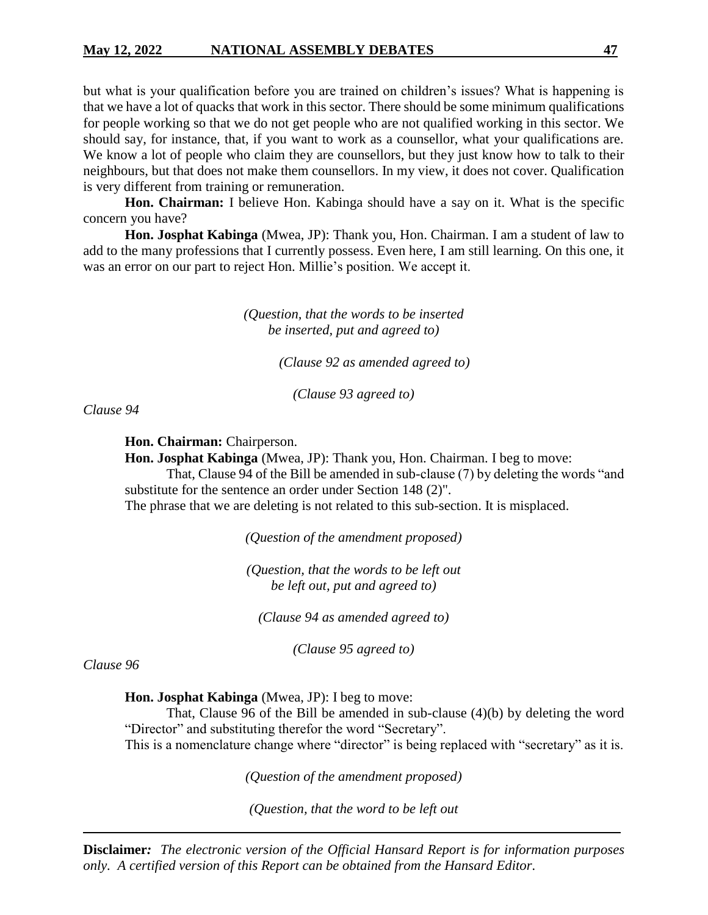but what is your qualification before you are trained on children's issues? What is happening is that we have a lot of quacks that work in this sector. There should be some minimum qualifications for people working so that we do not get people who are not qualified working in this sector. We should say, for instance, that, if you want to work as a counsellor, what your qualifications are. We know a lot of people who claim they are counsellors, but they just know how to talk to their neighbours, but that does not make them counsellors. In my view, it does not cover. Qualification is very different from training or remuneration.

**Hon. Chairman:** I believe Hon. Kabinga should have a say on it. What is the specific concern you have?

**Hon. Josphat Kabinga** (Mwea, JP): Thank you, Hon. Chairman. I am a student of law to add to the many professions that I currently possess. Even here, I am still learning. On this one, it was an error on our part to reject Hon. Millie's position. We accept it.

> *(Question, that the words to be inserted be inserted, put and agreed to)*

> > *(Clause 92 as amended agreed to)*

*(Clause 93 agreed to)*

*Clause 94*

**Hon. Chairman:** Chairperson.

**Hon. Josphat Kabinga** (Mwea, JP): Thank you, Hon. Chairman. I beg to move:

That, Clause 94 of the Bill be amended in sub-clause (7) by deleting the words "and substitute for the sentence an order under Section 148 (2)".

The phrase that we are deleting is not related to this sub-section. It is misplaced.

*(Question of the amendment proposed)*

*(Question, that the words to be left out be left out, put and agreed to)*

*(Clause 94 as amended agreed to)*

*(Clause 95 agreed to)*

*Clause 96*

**Hon. Josphat Kabinga** (Mwea, JP): I beg to move:

That, Clause 96 of the Bill be amended in sub-clause (4)(b) by deleting the word "Director" and substituting therefor the word "Secretary". This is a nomenclature change where "director" is being replaced with "secretary" as it is.

*(Question of the amendment proposed)*

*(Question, that the word to be left out*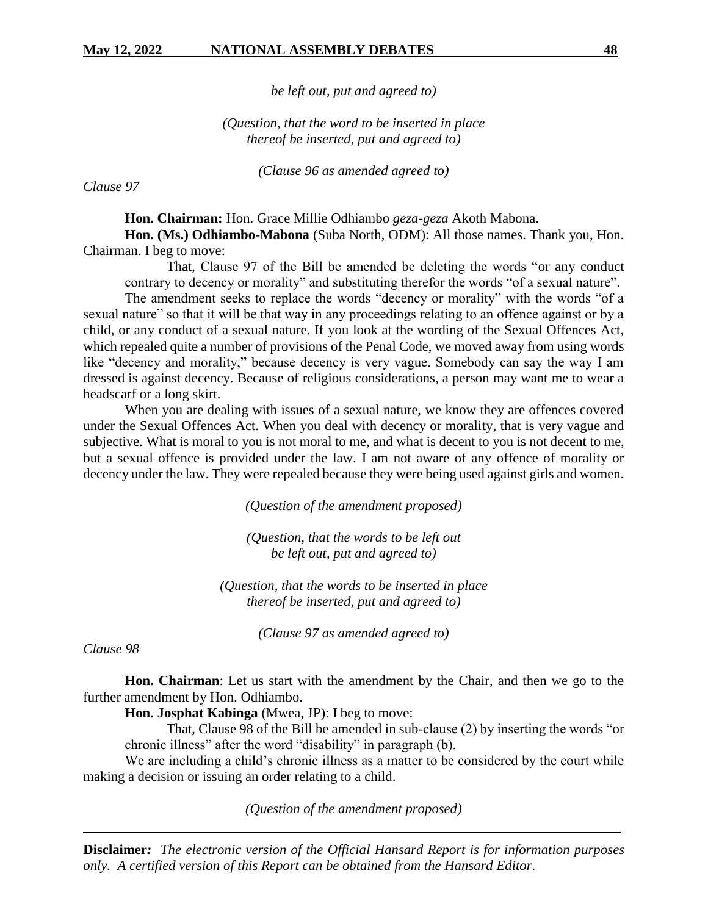*be left out, put and agreed to)*

*(Question, that the word to be inserted in place thereof be inserted, put and agreed to)*

*(Clause 96 as amended agreed to)*

*Clause 97*

**Hon. Chairman:** Hon. Grace Millie Odhiambo *geza-geza* Akoth Mabona.

**Hon. (Ms.) Odhiambo-Mabona** (Suba North, ODM): All those names. Thank you, Hon. Chairman. I beg to move:

That, Clause 97 of the Bill be amended be deleting the words "or any conduct contrary to decency or morality" and substituting therefor the words "of a sexual nature".

The amendment seeks to replace the words "decency or morality" with the words "of a sexual nature" so that it will be that way in any proceedings relating to an offence against or by a child, or any conduct of a sexual nature. If you look at the wording of the Sexual Offences Act, which repealed quite a number of provisions of the Penal Code, we moved away from using words like "decency and morality," because decency is very vague. Somebody can say the way I am dressed is against decency. Because of religious considerations, a person may want me to wear a headscarf or a long skirt.

When you are dealing with issues of a sexual nature, we know they are offences covered under the Sexual Offences Act. When you deal with decency or morality, that is very vague and subjective. What is moral to you is not moral to me, and what is decent to you is not decent to me, but a sexual offence is provided under the law. I am not aware of any offence of morality or decency under the law. They were repealed because they were being used against girls and women.

*(Question of the amendment proposed)*

*(Question, that the words to be left out be left out, put and agreed to)*

*(Question, that the words to be inserted in place thereof be inserted, put and agreed to)*

*(Clause 97 as amended agreed to)*

*Clause 98*

**Hon. Chairman**: Let us start with the amendment by the Chair, and then we go to the further amendment by Hon. Odhiambo.

**Hon. Josphat Kabinga** (Mwea, JP): I beg to move:

That, Clause 98 of the Bill be amended in sub-clause (2) by inserting the words "or chronic illness" after the word "disability" in paragraph (b).

We are including a child's chronic illness as a matter to be considered by the court while making a decision or issuing an order relating to a child.

*(Question of the amendment proposed)*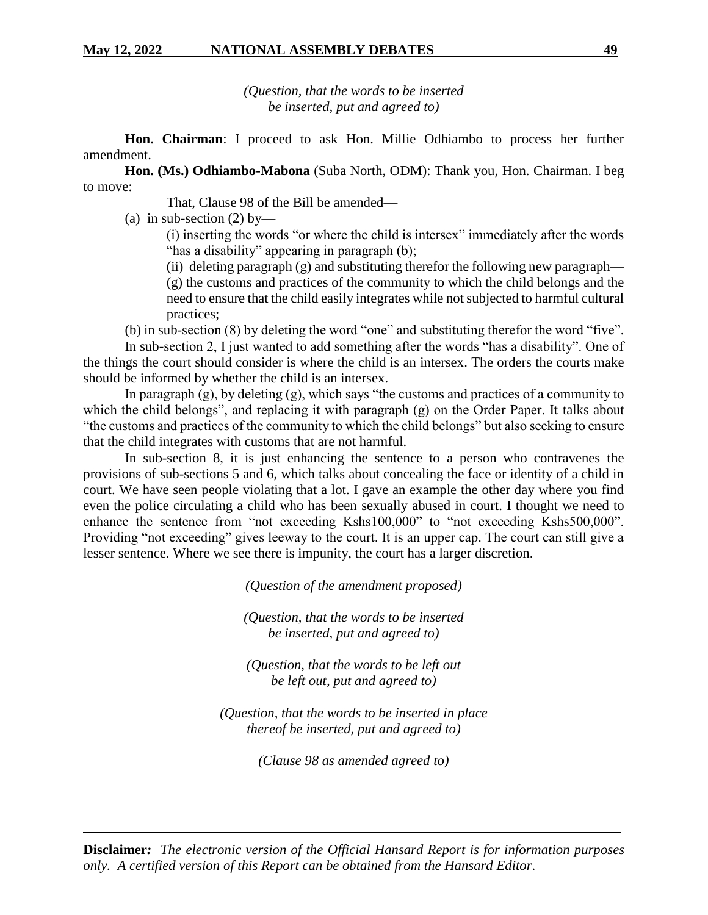*(Question, that the words to be inserted be inserted, put and agreed to)*

**Hon. Chairman**: I proceed to ask Hon. Millie Odhiambo to process her further amendment.

**Hon. (Ms.) Odhiambo-Mabona** (Suba North, ODM): Thank you, Hon. Chairman. I beg to move:

That, Clause 98 of the Bill be amended—

(a) in sub-section (2) by—

(i) inserting the words "or where the child is intersex" immediately after the words "has a disability" appearing in paragraph (b);

(ii) deleting paragraph (g) and substituting therefor the following new paragraph— (g) the customs and practices of the community to which the child belongs and the need to ensure that the child easily integrates while not subjected to harmful cultural practices;

(b) in sub-section (8) by deleting the word "one" and substituting therefor the word "five".

In sub-section 2, I just wanted to add something after the words "has a disability". One of the things the court should consider is where the child is an intersex. The orders the courts make should be informed by whether the child is an intersex.

In paragraph  $(g)$ , by deleting  $(g)$ , which says "the customs and practices of a community to which the child belongs", and replacing it with paragraph (g) on the Order Paper. It talks about "the customs and practices of the community to which the child belongs" but also seeking to ensure that the child integrates with customs that are not harmful.

In sub-section 8, it is just enhancing the sentence to a person who contravenes the provisions of sub-sections 5 and 6, which talks about concealing the face or identity of a child in court. We have seen people violating that a lot. I gave an example the other day where you find even the police circulating a child who has been sexually abused in court. I thought we need to enhance the sentence from "not exceeding Kshs100,000" to "not exceeding Kshs500,000". Providing "not exceeding" gives leeway to the court. It is an upper cap. The court can still give a lesser sentence. Where we see there is impunity, the court has a larger discretion.

*(Question of the amendment proposed)*

*(Question, that the words to be inserted be inserted, put and agreed to)*

*(Question, that the words to be left out be left out, put and agreed to)*

*(Question, that the words to be inserted in place thereof be inserted, put and agreed to)*

*(Clause 98 as amended agreed to)*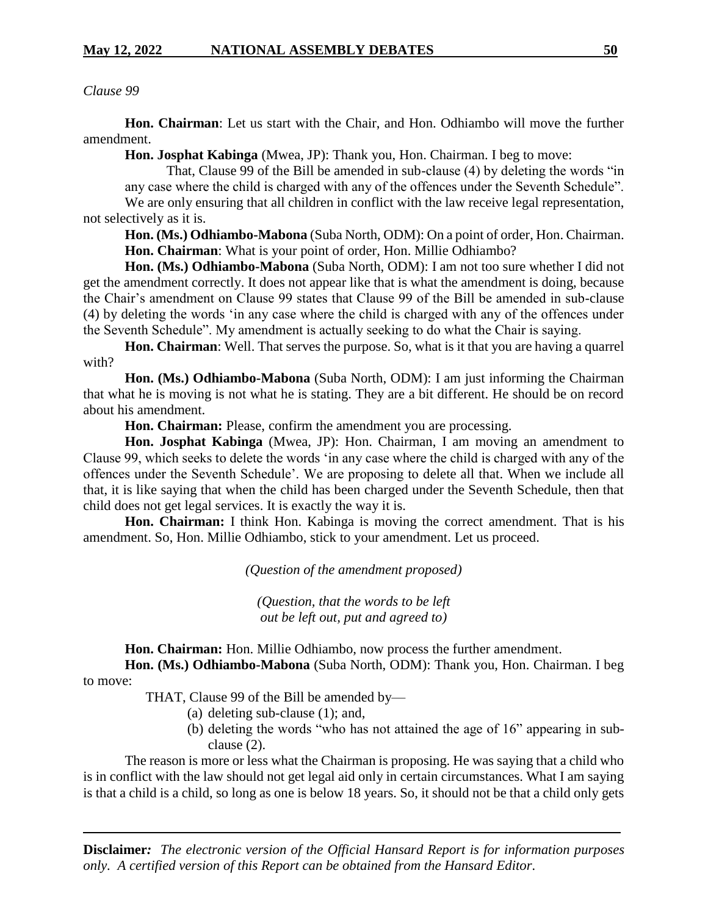*Clause 99*

**Hon. Chairman**: Let us start with the Chair, and Hon. Odhiambo will move the further amendment.

**Hon. Josphat Kabinga** (Mwea, JP): Thank you, Hon. Chairman. I beg to move:

That, Clause 99 of the Bill be amended in sub-clause (4) by deleting the words "in any case where the child is charged with any of the offences under the Seventh Schedule". We are only ensuring that all children in conflict with the law receive legal representation,

not selectively as it is.

**Hon. (Ms.) Odhiambo-Mabona** (Suba North, ODM): On a point of order, Hon. Chairman. **Hon. Chairman**: What is your point of order, Hon. Millie Odhiambo?

**Hon. (Ms.) Odhiambo-Mabona** (Suba North, ODM): I am not too sure whether I did not get the amendment correctly. It does not appear like that is what the amendment is doing, because the Chair's amendment on Clause 99 states that Clause 99 of the Bill be amended in sub-clause (4) by deleting the words 'in any case where the child is charged with any of the offences under the Seventh Schedule". My amendment is actually seeking to do what the Chair is saying.

**Hon. Chairman**: Well. That serves the purpose. So, what is it that you are having a quarrel with?

**Hon. (Ms.) Odhiambo-Mabona** (Suba North, ODM): I am just informing the Chairman that what he is moving is not what he is stating. They are a bit different. He should be on record about his amendment.

**Hon. Chairman:** Please, confirm the amendment you are processing.

**Hon. Josphat Kabinga** (Mwea, JP): Hon. Chairman, I am moving an amendment to Clause 99, which seeks to delete the words 'in any case where the child is charged with any of the offences under the Seventh Schedule'. We are proposing to delete all that. When we include all that, it is like saying that when the child has been charged under the Seventh Schedule, then that child does not get legal services. It is exactly the way it is.

**Hon. Chairman:** I think Hon. Kabinga is moving the correct amendment. That is his amendment. So, Hon. Millie Odhiambo, stick to your amendment. Let us proceed.

*(Question of the amendment proposed)*

*(Question, that the words to be left out be left out, put and agreed to)*

**Hon. Chairman:** Hon. Millie Odhiambo, now process the further amendment.

**Hon. (Ms.) Odhiambo-Mabona** (Suba North, ODM): Thank you, Hon. Chairman. I beg to move:

THAT, Clause 99 of the Bill be amended by—

- (a) deleting sub-clause (1); and,
- (b) deleting the words "who has not attained the age of 16" appearing in subclause (2).

The reason is more or less what the Chairman is proposing. He was saying that a child who is in conflict with the law should not get legal aid only in certain circumstances. What I am saying is that a child is a child, so long as one is below 18 years. So, it should not be that a child only gets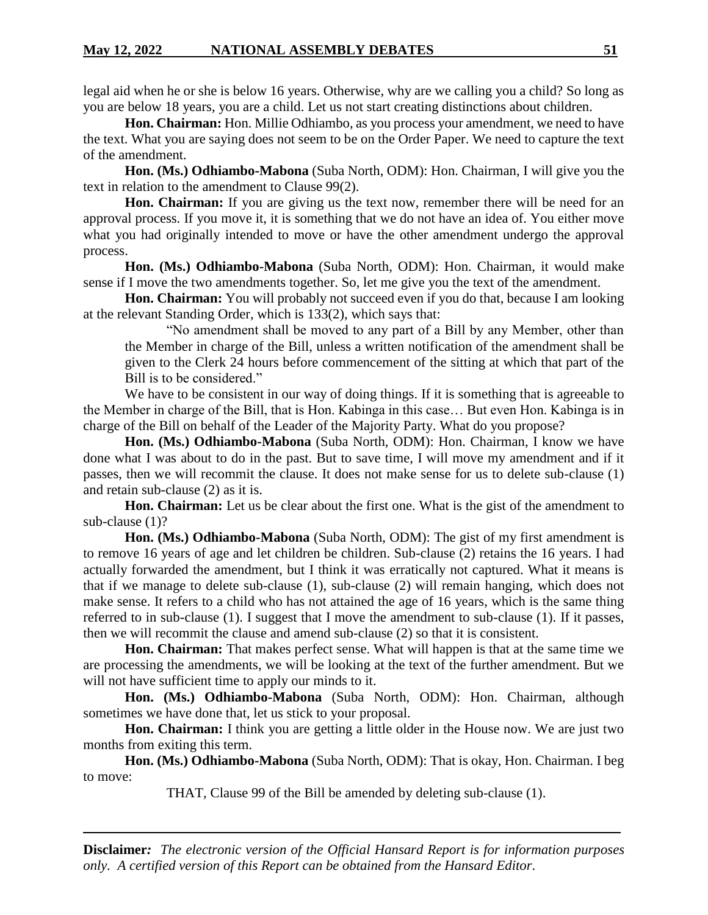legal aid when he or she is below 16 years. Otherwise, why are we calling you a child? So long as you are below 18 years, you are a child. Let us not start creating distinctions about children.

**Hon. Chairman:** Hon. Millie Odhiambo, as you process your amendment, we need to have the text. What you are saying does not seem to be on the Order Paper. We need to capture the text of the amendment.

**Hon. (Ms.) Odhiambo-Mabona** (Suba North, ODM): Hon. Chairman, I will give you the text in relation to the amendment to Clause 99(2).

**Hon. Chairman:** If you are giving us the text now, remember there will be need for an approval process. If you move it, it is something that we do not have an idea of. You either move what you had originally intended to move or have the other amendment undergo the approval process.

**Hon. (Ms.) Odhiambo-Mabona** (Suba North, ODM): Hon. Chairman, it would make sense if I move the two amendments together. So, let me give you the text of the amendment.

**Hon. Chairman:** You will probably not succeed even if you do that, because I am looking at the relevant Standing Order, which is 133(2), which says that:

"No amendment shall be moved to any part of a Bill by any Member, other than the Member in charge of the Bill, unless a written notification of the amendment shall be given to the Clerk 24 hours before commencement of the sitting at which that part of the Bill is to be considered."

We have to be consistent in our way of doing things. If it is something that is agreeable to the Member in charge of the Bill, that is Hon. Kabinga in this case… But even Hon. Kabinga is in charge of the Bill on behalf of the Leader of the Majority Party. What do you propose?

**Hon. (Ms.) Odhiambo-Mabona** (Suba North, ODM): Hon. Chairman, I know we have done what I was about to do in the past. But to save time, I will move my amendment and if it passes, then we will recommit the clause. It does not make sense for us to delete sub-clause (1) and retain sub-clause (2) as it is.

**Hon. Chairman:** Let us be clear about the first one. What is the gist of the amendment to sub-clause (1)?

**Hon. (Ms.) Odhiambo-Mabona** (Suba North, ODM): The gist of my first amendment is to remove 16 years of age and let children be children. Sub-clause (2) retains the 16 years. I had actually forwarded the amendment, but I think it was erratically not captured. What it means is that if we manage to delete sub-clause (1), sub-clause (2) will remain hanging, which does not make sense. It refers to a child who has not attained the age of 16 years, which is the same thing referred to in sub-clause (1). I suggest that I move the amendment to sub-clause (1). If it passes, then we will recommit the clause and amend sub-clause (2) so that it is consistent.

**Hon. Chairman:** That makes perfect sense. What will happen is that at the same time we are processing the amendments, we will be looking at the text of the further amendment. But we will not have sufficient time to apply our minds to it.

**Hon. (Ms.) Odhiambo-Mabona** (Suba North, ODM): Hon. Chairman, although sometimes we have done that, let us stick to your proposal.

**Hon. Chairman:** I think you are getting a little older in the House now. We are just two months from exiting this term.

**Hon. (Ms.) Odhiambo-Mabona** (Suba North, ODM): That is okay, Hon. Chairman. I beg to move:

THAT, Clause 99 of the Bill be amended by deleting sub-clause (1).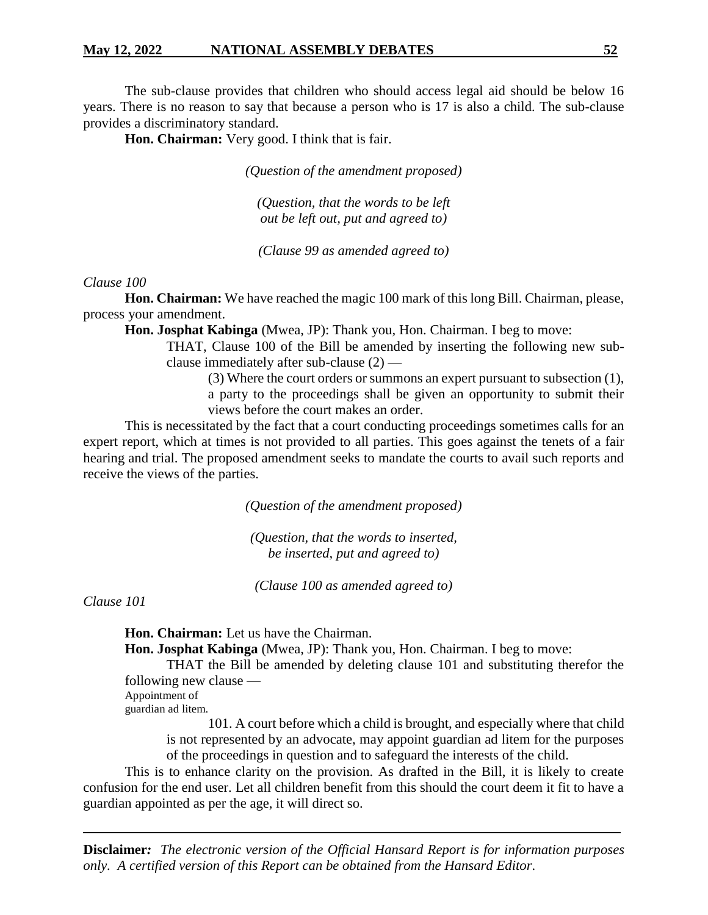The sub-clause provides that children who should access legal aid should be below 16 years. There is no reason to say that because a person who is 17 is also a child. The sub-clause provides a discriminatory standard.

**Hon. Chairman:** Very good. I think that is fair.

*(Question of the amendment proposed)*

*(Question, that the words to be left out be left out, put and agreed to)*

*(Clause 99 as amended agreed to)*

# *Clause 100*

**Hon. Chairman:** We have reached the magic 100 mark of this long Bill. Chairman, please, process your amendment.

**Hon. Josphat Kabinga** (Mwea, JP): Thank you, Hon. Chairman. I beg to move:

THAT, Clause 100 of the Bill be amended by inserting the following new subclause immediately after sub-clause (2) —

(3) Where the court orders or summons an expert pursuant to subsection (1), a party to the proceedings shall be given an opportunity to submit their views before the court makes an order.

This is necessitated by the fact that a court conducting proceedings sometimes calls for an expert report, which at times is not provided to all parties. This goes against the tenets of a fair hearing and trial. The proposed amendment seeks to mandate the courts to avail such reports and receive the views of the parties.

*(Question of the amendment proposed)*

*(Question, that the words to inserted, be inserted, put and agreed to)*

*(Clause 100 as amended agreed to)*

*Clause 101*

**Hon. Chairman:** Let us have the Chairman.

**Hon. Josphat Kabinga** (Mwea, JP): Thank you, Hon. Chairman. I beg to move:

THAT the Bill be amended by deleting clause 101 and substituting therefor the following new clause —

Appointment of guardian ad litem.

> 101. A court before which a child is brought, and especially where that child is not represented by an advocate, may appoint guardian ad litem for the purposes of the proceedings in question and to safeguard the interests of the child.

This is to enhance clarity on the provision. As drafted in the Bill, it is likely to create confusion for the end user. Let all children benefit from this should the court deem it fit to have a guardian appointed as per the age, it will direct so.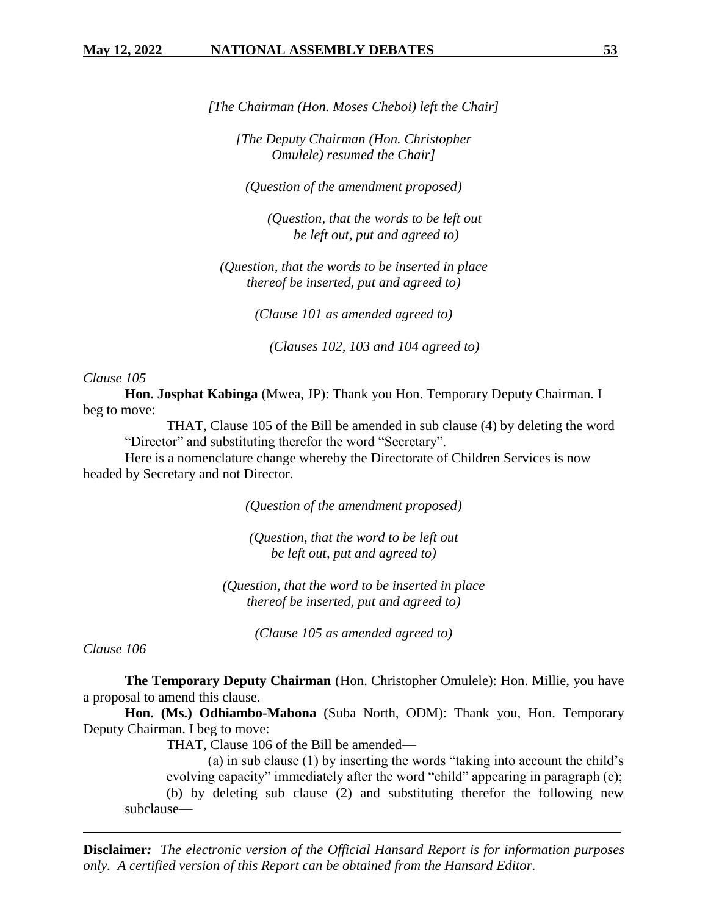*[The Chairman (Hon. Moses Cheboi) left the Chair]*

*[The Deputy Chairman (Hon. Christopher Omulele) resumed the Chair]*

*(Question of the amendment proposed)*

*(Question, that the words to be left out be left out, put and agreed to)*

*(Question, that the words to be inserted in place thereof be inserted, put and agreed to)*

*(Clause 101 as amended agreed to)*

*(Clauses 102, 103 and 104 agreed to)*

#### *Clause 105*

**Hon. Josphat Kabinga** (Mwea, JP): Thank you Hon. Temporary Deputy Chairman. I beg to move:

THAT, Clause 105 of the Bill be amended in sub clause (4) by deleting the word "Director" and substituting therefor the word "Secretary".

Here is a nomenclature change whereby the Directorate of Children Services is now headed by Secretary and not Director.

*(Question of the amendment proposed)*

*(Question, that the word to be left out be left out, put and agreed to)*

*(Question, that the word to be inserted in place thereof be inserted, put and agreed to)*

*(Clause 105 as amended agreed to)*

*Clause 106*

**The Temporary Deputy Chairman** (Hon. Christopher Omulele): Hon. Millie, you have a proposal to amend this clause.

**Hon. (Ms.) Odhiambo-Mabona** (Suba North, ODM): Thank you, Hon. Temporary Deputy Chairman. I beg to move:

THAT, Clause 106 of the Bill be amended—

(a) in sub clause (1) by inserting the words "taking into account the child's evolving capacity" immediately after the word "child" appearing in paragraph (c); (b) by deleting sub clause (2) and substituting therefor the following new subclause—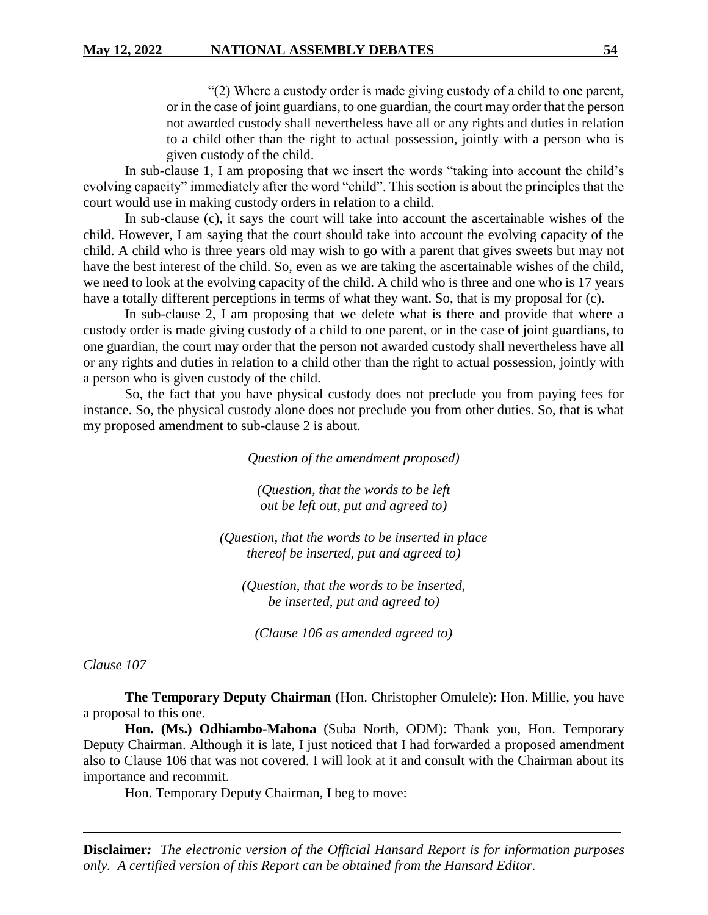"(2) Where a custody order is made giving custody of a child to one parent, or in the case of joint guardians, to one guardian, the court may order that the person not awarded custody shall nevertheless have all or any rights and duties in relation to a child other than the right to actual possession, jointly with a person who is given custody of the child.

In sub-clause 1, I am proposing that we insert the words "taking into account the child's evolving capacity" immediately after the word "child". This section is about the principles that the court would use in making custody orders in relation to a child.

In sub-clause (c), it says the court will take into account the ascertainable wishes of the child. However, I am saying that the court should take into account the evolving capacity of the child. A child who is three years old may wish to go with a parent that gives sweets but may not have the best interest of the child. So, even as we are taking the ascertainable wishes of the child, we need to look at the evolving capacity of the child. A child who is three and one who is 17 years have a totally different perceptions in terms of what they want. So, that is my proposal for (c).

In sub-clause 2, I am proposing that we delete what is there and provide that where a custody order is made giving custody of a child to one parent, or in the case of joint guardians, to one guardian, the court may order that the person not awarded custody shall nevertheless have all or any rights and duties in relation to a child other than the right to actual possession, jointly with a person who is given custody of the child.

So, the fact that you have physical custody does not preclude you from paying fees for instance. So, the physical custody alone does not preclude you from other duties. So, that is what my proposed amendment to sub-clause 2 is about.

*Question of the amendment proposed)*

*(Question, that the words to be left out be left out, put and agreed to)*

*(Question, that the words to be inserted in place thereof be inserted, put and agreed to)*

*(Question, that the words to be inserted, be inserted, put and agreed to)* 

*(Clause 106 as amended agreed to)*

*Clause 107*

**The Temporary Deputy Chairman** (Hon. Christopher Omulele): Hon. Millie, you have a proposal to this one.

**Hon. (Ms.) Odhiambo-Mabona** (Suba North, ODM): Thank you, Hon. Temporary Deputy Chairman. Although it is late, I just noticed that I had forwarded a proposed amendment also to Clause 106 that was not covered. I will look at it and consult with the Chairman about its importance and recommit.

Hon. Temporary Deputy Chairman, I beg to move: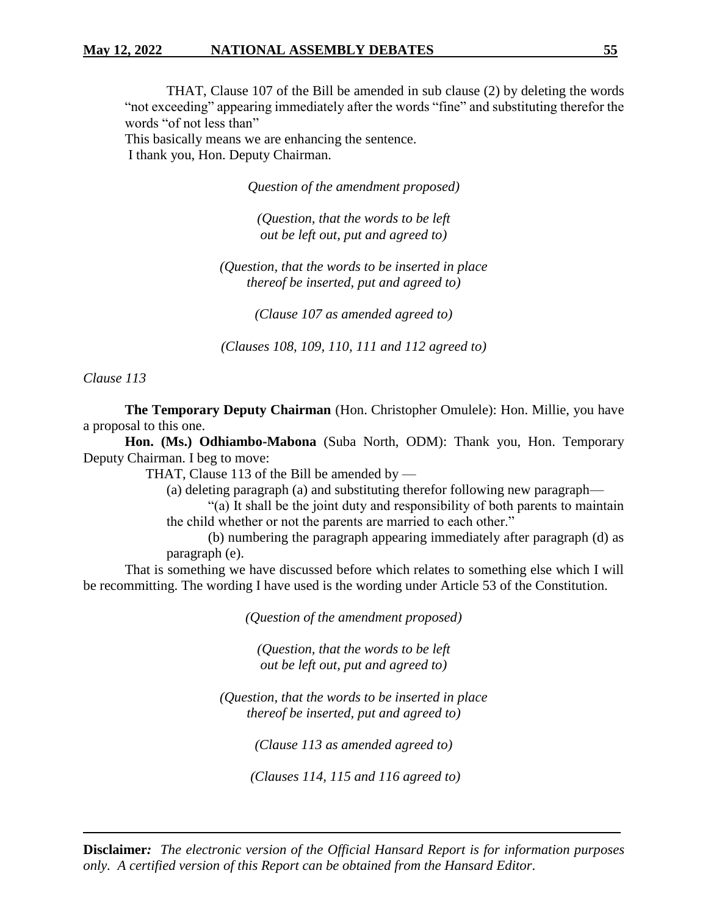# **May 12, 2022 NATIONAL ASSEMBLY DEBATES 55**

THAT, Clause 107 of the Bill be amended in sub clause (2) by deleting the words "not exceeding" appearing immediately after the words "fine" and substituting therefor the words "of not less than" This basically means we are enhancing the sentence.

I thank you, Hon. Deputy Chairman.

*Question of the amendment proposed)*

*(Question, that the words to be left out be left out, put and agreed to)*

*(Question, that the words to be inserted in place thereof be inserted, put and agreed to)*

*(Clause 107 as amended agreed to)*

*(Clauses 108, 109, 110, 111 and 112 agreed to)*

*Clause 113*

**The Temporary Deputy Chairman** (Hon. Christopher Omulele): Hon. Millie, you have a proposal to this one.

**Hon. (Ms.) Odhiambo-Mabona** (Suba North, ODM): Thank you, Hon. Temporary Deputy Chairman. I beg to move:

THAT, Clause 113 of the Bill be amended by  $-$ 

(a) deleting paragraph (a) and substituting therefor following new paragraph—

"(a) It shall be the joint duty and responsibility of both parents to maintain the child whether or not the parents are married to each other."

(b) numbering the paragraph appearing immediately after paragraph (d) as paragraph (e).

That is something we have discussed before which relates to something else which I will be recommitting. The wording I have used is the wording under Article 53 of the Constitution.

*(Question of the amendment proposed)*

*(Question, that the words to be left out be left out, put and agreed to)*

*(Question, that the words to be inserted in place thereof be inserted, put and agreed to)*

*(Clause 113 as amended agreed to)*

*(Clauses 114, 115 and 116 agreed to)*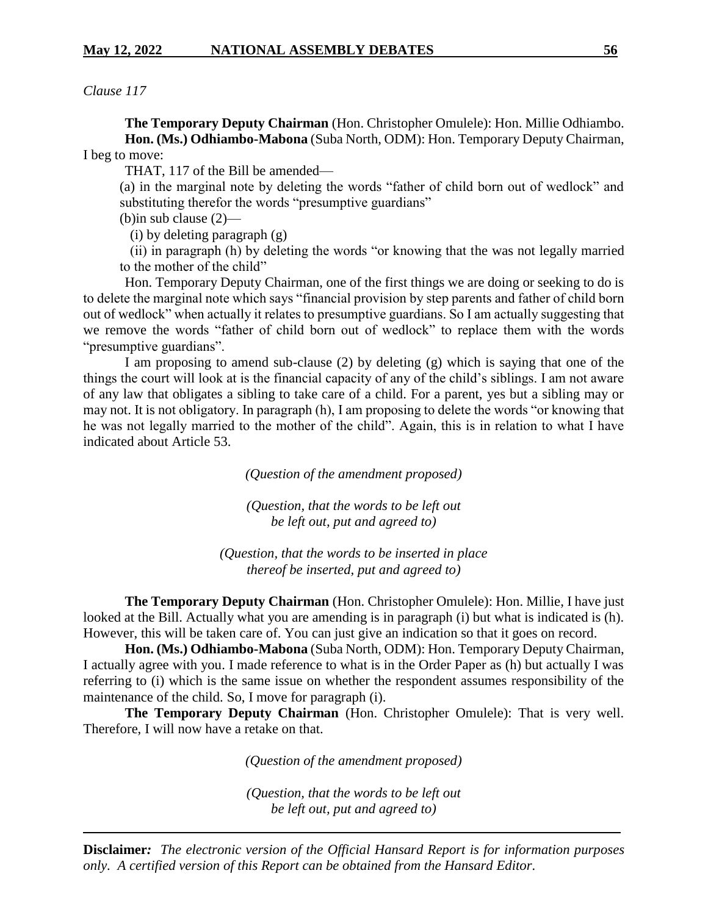*Clause 117*

**The Temporary Deputy Chairman** (Hon. Christopher Omulele): Hon. Millie Odhiambo. **Hon. (Ms.) Odhiambo-Mabona** (Suba North, ODM): Hon. Temporary Deputy Chairman, I beg to move:

THAT, 117 of the Bill be amended—

(a) in the marginal note by deleting the words "father of child born out of wedlock" and substituting therefor the words "presumptive guardians"

(b)in sub clause (2)—

(i) by deleting paragraph (g)

 (ii) in paragraph (h) by deleting the words "or knowing that the was not legally married to the mother of the child"

Hon. Temporary Deputy Chairman, one of the first things we are doing or seeking to do is to delete the marginal note which says "financial provision by step parents and father of child born out of wedlock" when actually it relates to presumptive guardians. So I am actually suggesting that we remove the words "father of child born out of wedlock" to replace them with the words "presumptive guardians".

I am proposing to amend sub-clause (2) by deleting (g) which is saying that one of the things the court will look at is the financial capacity of any of the child's siblings. I am not aware of any law that obligates a sibling to take care of a child. For a parent, yes but a sibling may or may not. It is not obligatory. In paragraph (h), I am proposing to delete the words "or knowing that he was not legally married to the mother of the child". Again, this is in relation to what I have indicated about Article 53.

*(Question of the amendment proposed)*

*(Question, that the words to be left out be left out, put and agreed to)*

*(Question, that the words to be inserted in place thereof be inserted, put and agreed to)*

**The Temporary Deputy Chairman** (Hon. Christopher Omulele): Hon. Millie, I have just looked at the Bill. Actually what you are amending is in paragraph (i) but what is indicated is (h). However, this will be taken care of. You can just give an indication so that it goes on record.

**Hon. (Ms.) Odhiambo-Mabona** (Suba North, ODM): Hon. Temporary Deputy Chairman, I actually agree with you. I made reference to what is in the Order Paper as (h) but actually I was referring to (i) which is the same issue on whether the respondent assumes responsibility of the maintenance of the child. So, I move for paragraph (i).

**The Temporary Deputy Chairman** (Hon. Christopher Omulele): That is very well. Therefore, I will now have a retake on that.

*(Question of the amendment proposed)*

*(Question, that the words to be left out be left out, put and agreed to)*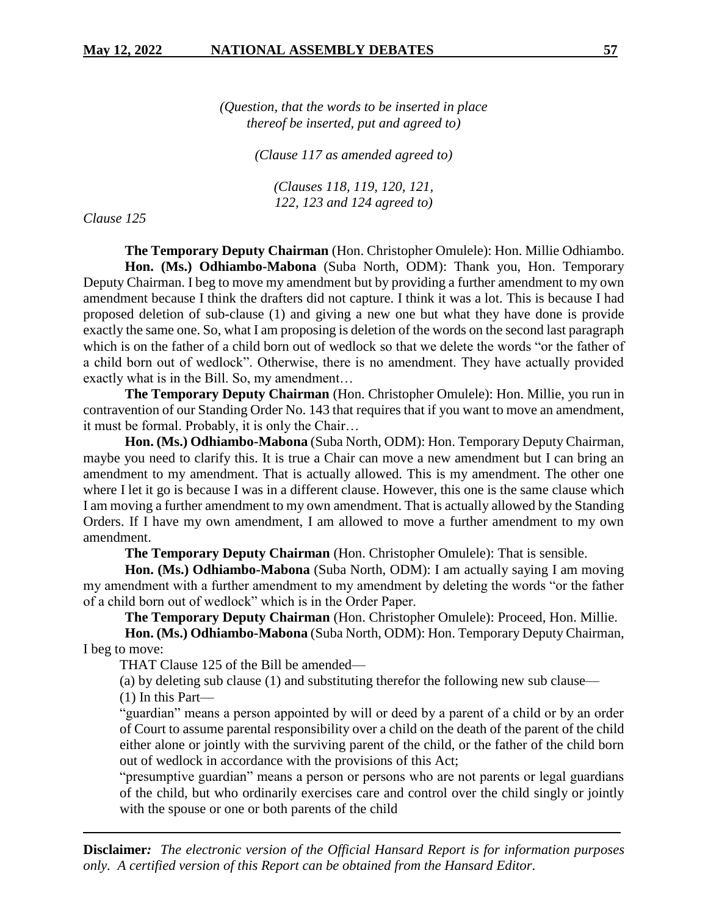*(Question, that the words to be inserted in place thereof be inserted, put and agreed to)*

*(Clause 117 as amended agreed to)*

*(Clauses 118, 119, 120, 121, 122, 123 and 124 agreed to)*

*Clause 125*

**The Temporary Deputy Chairman** (Hon. Christopher Omulele): Hon. Millie Odhiambo. **Hon. (Ms.) Odhiambo-Mabona** (Suba North, ODM): Thank you, Hon. Temporary Deputy Chairman. I beg to move my amendment but by providing a further amendment to my own amendment because I think the drafters did not capture. I think it was a lot. This is because I had proposed deletion of sub-clause (1) and giving a new one but what they have done is provide exactly the same one. So, what I am proposing is deletion of the words on the second last paragraph which is on the father of a child born out of wedlock so that we delete the words "or the father of a child born out of wedlock". Otherwise, there is no amendment. They have actually provided exactly what is in the Bill. So, my amendment…

**The Temporary Deputy Chairman** (Hon. Christopher Omulele): Hon. Millie, you run in contravention of our Standing Order No. 143 that requires that if you want to move an amendment, it must be formal. Probably, it is only the Chair…

**Hon. (Ms.) Odhiambo-Mabona** (Suba North, ODM): Hon. Temporary Deputy Chairman, maybe you need to clarify this. It is true a Chair can move a new amendment but I can bring an amendment to my amendment. That is actually allowed. This is my amendment. The other one where I let it go is because I was in a different clause. However, this one is the same clause which I am moving a further amendment to my own amendment. That is actually allowed by the Standing Orders. If I have my own amendment, I am allowed to move a further amendment to my own amendment.

**The Temporary Deputy Chairman** (Hon. Christopher Omulele): That is sensible.

**Hon. (Ms.) Odhiambo-Mabona** (Suba North, ODM): I am actually saying I am moving my amendment with a further amendment to my amendment by deleting the words "or the father of a child born out of wedlock" which is in the Order Paper.

**The Temporary Deputy Chairman** (Hon. Christopher Omulele): Proceed, Hon. Millie.

**Hon. (Ms.) Odhiambo-Mabona** (Suba North, ODM): Hon. Temporary Deputy Chairman, I beg to move:

THAT Clause 125 of the Bill be amended—

(a) by deleting sub clause (1) and substituting therefor the following new sub clause—

(1) In this Part—

"guardian" means a person appointed by will or deed by a parent of a child or by an order of Court to assume parental responsibility over a child on the death of the parent of the child either alone or jointly with the surviving parent of the child, or the father of the child born out of wedlock in accordance with the provisions of this Act;

"presumptive guardian" means a person or persons who are not parents or legal guardians of the child, but who ordinarily exercises care and control over the child singly or jointly with the spouse or one or both parents of the child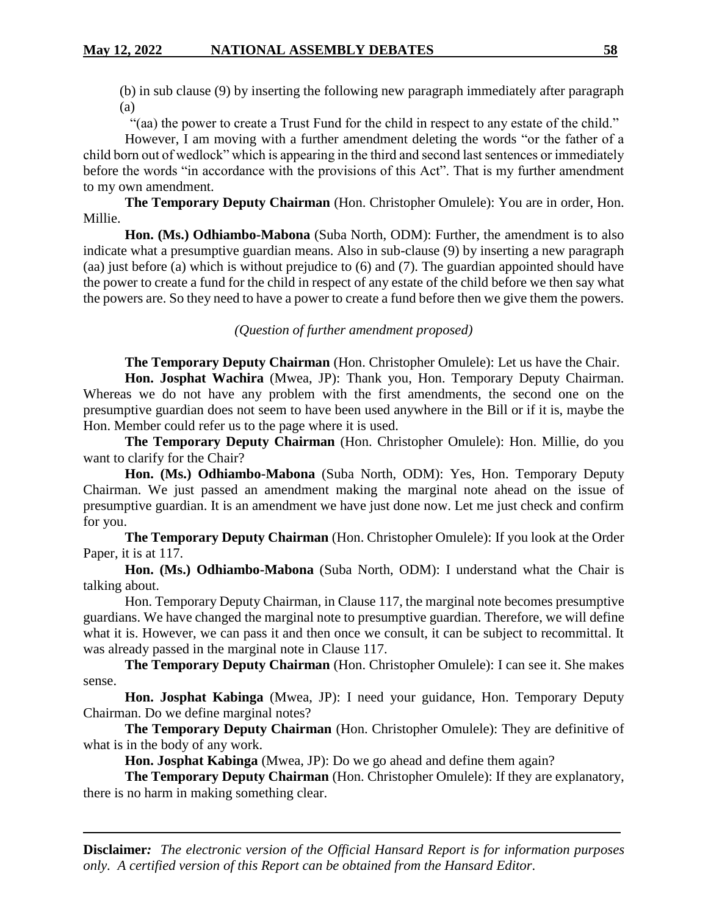(b) in sub clause (9) by inserting the following new paragraph immediately after paragraph (a)

"(aa) the power to create a Trust Fund for the child in respect to any estate of the child."

However, I am moving with a further amendment deleting the words "or the father of a child born out of wedlock" which is appearing in the third and second last sentences or immediately before the words "in accordance with the provisions of this Act". That is my further amendment to my own amendment.

**The Temporary Deputy Chairman** (Hon. Christopher Omulele): You are in order, Hon. Millie.

**Hon. (Ms.) Odhiambo-Mabona** (Suba North, ODM): Further, the amendment is to also indicate what a presumptive guardian means. Also in sub-clause (9) by inserting a new paragraph (aa) just before (a) which is without prejudice to (6) and (7). The guardian appointed should have the power to create a fund for the child in respect of any estate of the child before we then say what the powers are. So they need to have a power to create a fund before then we give them the powers.

*(Question of further amendment proposed)*

**The Temporary Deputy Chairman** (Hon. Christopher Omulele): Let us have the Chair.

**Hon. Josphat Wachira** (Mwea, JP): Thank you, Hon. Temporary Deputy Chairman. Whereas we do not have any problem with the first amendments, the second one on the presumptive guardian does not seem to have been used anywhere in the Bill or if it is, maybe the Hon. Member could refer us to the page where it is used.

**The Temporary Deputy Chairman** (Hon. Christopher Omulele): Hon. Millie, do you want to clarify for the Chair?

**Hon. (Ms.) Odhiambo-Mabona** (Suba North, ODM): Yes, Hon. Temporary Deputy Chairman. We just passed an amendment making the marginal note ahead on the issue of presumptive guardian. It is an amendment we have just done now. Let me just check and confirm for you.

**The Temporary Deputy Chairman** (Hon. Christopher Omulele): If you look at the Order Paper, it is at 117.

**Hon. (Ms.) Odhiambo-Mabona** (Suba North, ODM): I understand what the Chair is talking about.

Hon. Temporary Deputy Chairman, in Clause 117, the marginal note becomes presumptive guardians. We have changed the marginal note to presumptive guardian. Therefore, we will define what it is. However, we can pass it and then once we consult, it can be subject to recommittal. It was already passed in the marginal note in Clause 117.

**The Temporary Deputy Chairman** (Hon. Christopher Omulele): I can see it. She makes sense.

**Hon. Josphat Kabinga** (Mwea, JP): I need your guidance, Hon. Temporary Deputy Chairman. Do we define marginal notes?

**The Temporary Deputy Chairman** (Hon. Christopher Omulele): They are definitive of what is in the body of any work.

**Hon. Josphat Kabinga** (Mwea, JP): Do we go ahead and define them again?

**The Temporary Deputy Chairman** (Hon. Christopher Omulele): If they are explanatory, there is no harm in making something clear.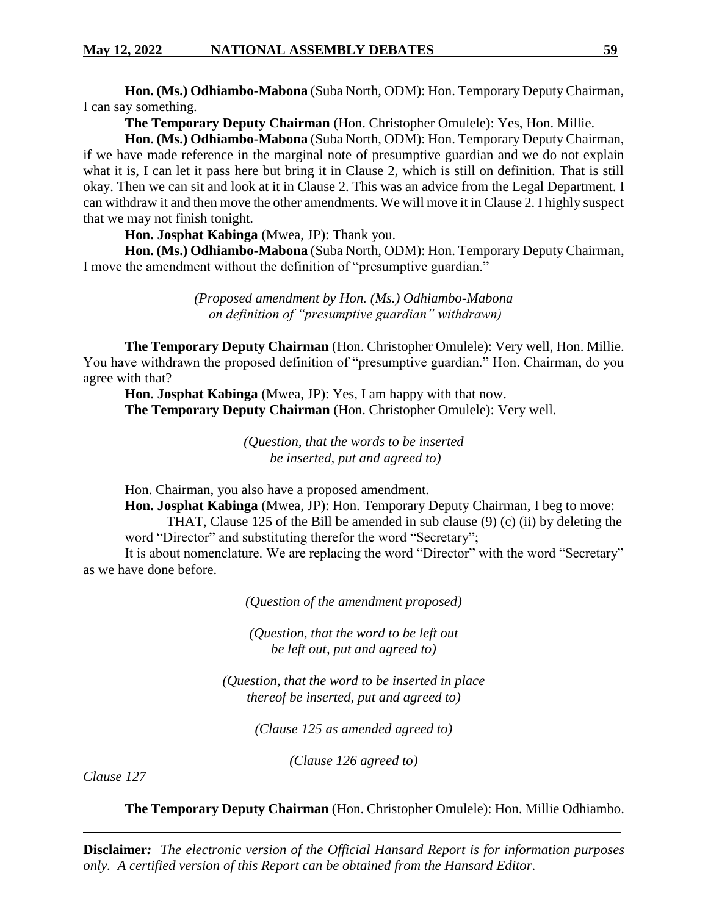**Hon. (Ms.) Odhiambo-Mabona** (Suba North, ODM): Hon. Temporary Deputy Chairman, I can say something.

**The Temporary Deputy Chairman** (Hon. Christopher Omulele): Yes, Hon. Millie.

**Hon. (Ms.) Odhiambo-Mabona** (Suba North, ODM): Hon. Temporary Deputy Chairman, if we have made reference in the marginal note of presumptive guardian and we do not explain what it is, I can let it pass here but bring it in Clause 2, which is still on definition. That is still okay. Then we can sit and look at it in Clause 2. This was an advice from the Legal Department. I can withdraw it and then move the other amendments. We will move it in Clause 2. I highly suspect that we may not finish tonight.

**Hon. Josphat Kabinga** (Mwea, JP): Thank you.

**Hon. (Ms.) Odhiambo-Mabona** (Suba North, ODM): Hon. Temporary Deputy Chairman, I move the amendment without the definition of "presumptive guardian."

> *(Proposed amendment by Hon. (Ms.) Odhiambo-Mabona on definition of "presumptive guardian" withdrawn)*

**The Temporary Deputy Chairman** (Hon. Christopher Omulele): Very well, Hon. Millie. You have withdrawn the proposed definition of "presumptive guardian." Hon. Chairman, do you agree with that?

**Hon. Josphat Kabinga** (Mwea, JP): Yes, I am happy with that now. **The Temporary Deputy Chairman** (Hon. Christopher Omulele): Very well.

> *(Question, that the words to be inserted be inserted, put and agreed to)*

Hon. Chairman, you also have a proposed amendment.

**Hon. Josphat Kabinga** (Mwea, JP): Hon. Temporary Deputy Chairman, I beg to move: THAT, Clause 125 of the Bill be amended in sub clause (9) (c) (ii) by deleting the word "Director" and substituting therefor the word "Secretary";

It is about nomenclature. We are replacing the word "Director" with the word "Secretary" as we have done before.

*(Question of the amendment proposed)*

*(Question, that the word to be left out be left out, put and agreed to)*

*(Question, that the word to be inserted in place thereof be inserted, put and agreed to)*

*(Clause 125 as amended agreed to)*

*(Clause 126 agreed to)*

*Clause 127*

**The Temporary Deputy Chairman** (Hon. Christopher Omulele): Hon. Millie Odhiambo.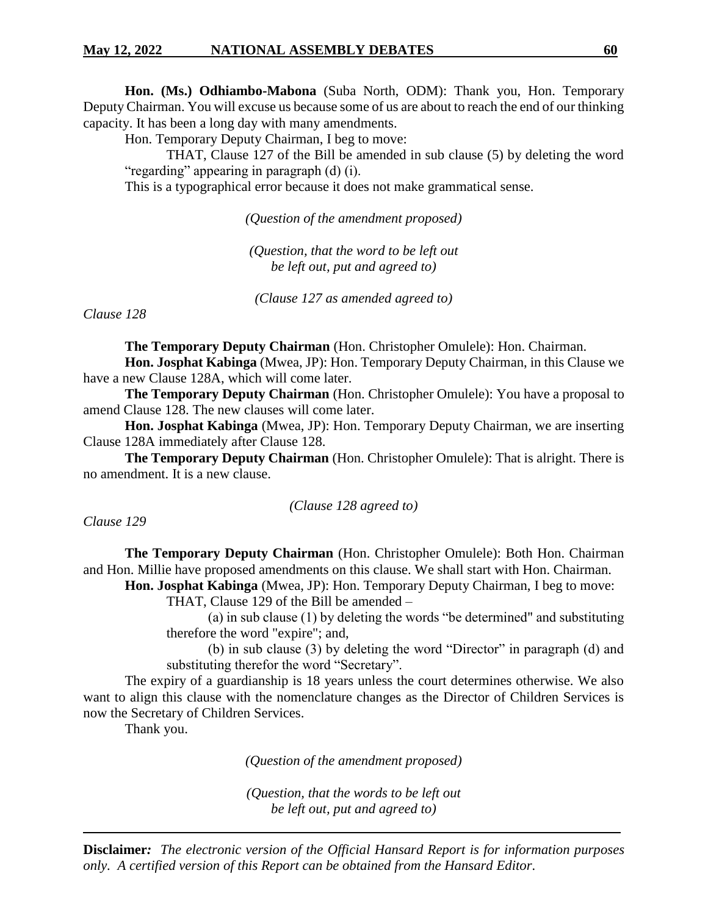**Hon. (Ms.) Odhiambo-Mabona** (Suba North, ODM): Thank you, Hon. Temporary Deputy Chairman. You will excuse us because some of us are about to reach the end of our thinking capacity. It has been a long day with many amendments.

Hon. Temporary Deputy Chairman, I beg to move:

THAT, Clause 127 of the Bill be amended in sub clause (5) by deleting the word "regarding" appearing in paragraph (d) (i).

This is a typographical error because it does not make grammatical sense.

*(Question of the amendment proposed)*

*(Question, that the word to be left out be left out, put and agreed to)*

*(Clause 127 as amended agreed to)*

*Clause 128*

**The Temporary Deputy Chairman** (Hon. Christopher Omulele): Hon. Chairman. **Hon. Josphat Kabinga** (Mwea, JP): Hon. Temporary Deputy Chairman, in this Clause we have a new Clause 128A, which will come later.

**The Temporary Deputy Chairman** (Hon. Christopher Omulele): You have a proposal to amend Clause 128. The new clauses will come later.

**Hon. Josphat Kabinga** (Mwea, JP): Hon. Temporary Deputy Chairman, we are inserting Clause 128A immediately after Clause 128.

**The Temporary Deputy Chairman** (Hon. Christopher Omulele): That is alright. There is no amendment. It is a new clause.

#### *(Clause 128 agreed to)*

*Clause 129*

**The Temporary Deputy Chairman** (Hon. Christopher Omulele): Both Hon. Chairman and Hon. Millie have proposed amendments on this clause. We shall start with Hon. Chairman.

**Hon. Josphat Kabinga** (Mwea, JP): Hon. Temporary Deputy Chairman, I beg to move:

THAT, Clause 129 of the Bill be amended –

(a) in sub clause (1) by deleting the words "be determined" and substituting therefore the word "expire"; and,

(b) in sub clause (3) by deleting the word "Director" in paragraph (d) and substituting therefor the word "Secretary".

The expiry of a guardianship is 18 years unless the court determines otherwise. We also want to align this clause with the nomenclature changes as the Director of Children Services is now the Secretary of Children Services.

Thank you.

*(Question of the amendment proposed)*

*(Question, that the words to be left out be left out, put and agreed to)*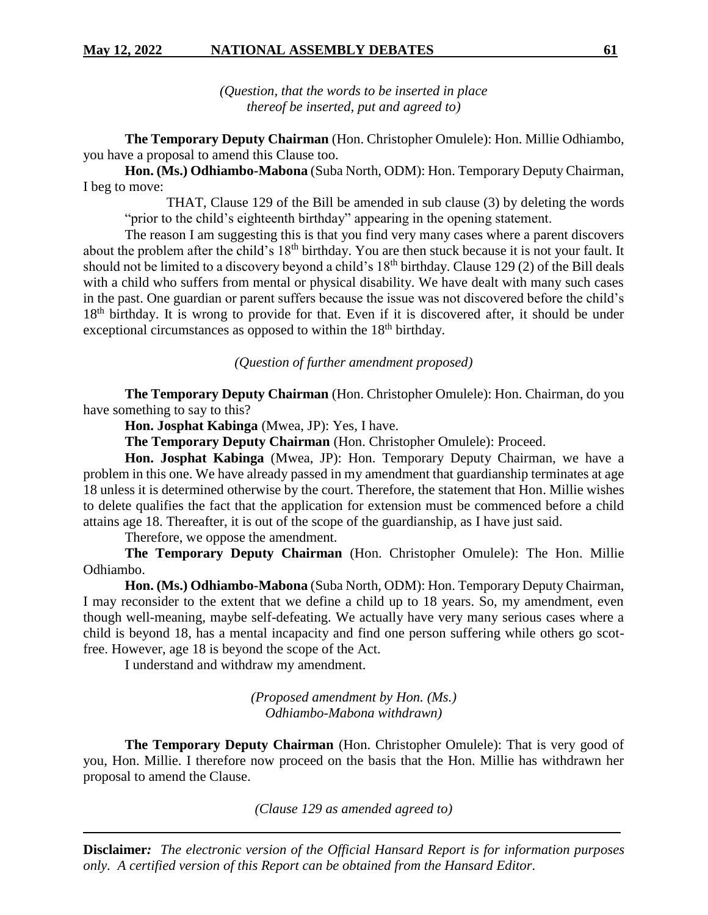*(Question, that the words to be inserted in place thereof be inserted, put and agreed to)*

**The Temporary Deputy Chairman** (Hon. Christopher Omulele): Hon. Millie Odhiambo, you have a proposal to amend this Clause too.

**Hon. (Ms.) Odhiambo-Mabona** (Suba North, ODM): Hon. Temporary Deputy Chairman, I beg to move:

THAT, Clause 129 of the Bill be amended in sub clause (3) by deleting the words "prior to the child's eighteenth birthday" appearing in the opening statement.

The reason I am suggesting this is that you find very many cases where a parent discovers about the problem after the child's 18<sup>th</sup> birthday. You are then stuck because it is not your fault. It should not be limited to a discovery beyond a child's 18<sup>th</sup> birthday. Clause 129 (2) of the Bill deals with a child who suffers from mental or physical disability. We have dealt with many such cases in the past. One guardian or parent suffers because the issue was not discovered before the child's 18<sup>th</sup> birthday. It is wrong to provide for that. Even if it is discovered after, it should be under exceptional circumstances as opposed to within the  $18<sup>th</sup>$  birthday.

*(Question of further amendment proposed)*

**The Temporary Deputy Chairman** (Hon. Christopher Omulele): Hon. Chairman, do you have something to say to this?

**Hon. Josphat Kabinga** (Mwea, JP): Yes, I have.

**The Temporary Deputy Chairman** (Hon. Christopher Omulele): Proceed.

**Hon. Josphat Kabinga** (Mwea, JP): Hon. Temporary Deputy Chairman, we have a problem in this one. We have already passed in my amendment that guardianship terminates at age 18 unless it is determined otherwise by the court. Therefore, the statement that Hon. Millie wishes to delete qualifies the fact that the application for extension must be commenced before a child attains age 18. Thereafter, it is out of the scope of the guardianship, as I have just said.

Therefore, we oppose the amendment.

**The Temporary Deputy Chairman** (Hon. Christopher Omulele): The Hon. Millie Odhiambo.

**Hon. (Ms.) Odhiambo-Mabona** (Suba North, ODM): Hon. Temporary Deputy Chairman, I may reconsider to the extent that we define a child up to 18 years. So, my amendment, even though well-meaning, maybe self-defeating. We actually have very many serious cases where a child is beyond 18, has a mental incapacity and find one person suffering while others go scotfree. However, age 18 is beyond the scope of the Act.

I understand and withdraw my amendment.

*(Proposed amendment by Hon. (Ms.) Odhiambo-Mabona withdrawn)*

**The Temporary Deputy Chairman** (Hon. Christopher Omulele): That is very good of you, Hon. Millie. I therefore now proceed on the basis that the Hon. Millie has withdrawn her proposal to amend the Clause.

*(Clause 129 as amended agreed to)*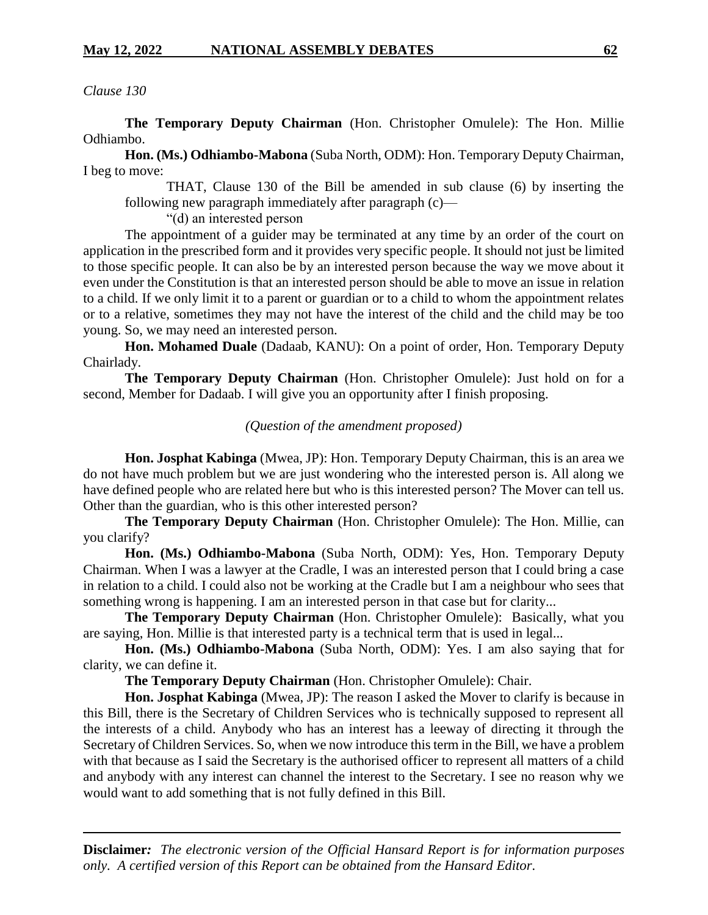*Clause 130*

**The Temporary Deputy Chairman** (Hon. Christopher Omulele): The Hon. Millie Odhiambo.

**Hon. (Ms.) Odhiambo-Mabona** (Suba North, ODM): Hon. Temporary Deputy Chairman, I beg to move:

THAT, Clause 130 of the Bill be amended in sub clause (6) by inserting the following new paragraph immediately after paragraph (c)—

"(d) an interested person

The appointment of a guider may be terminated at any time by an order of the court on application in the prescribed form and it provides very specific people. It should not just be limited to those specific people. It can also be by an interested person because the way we move about it even under the Constitution is that an interested person should be able to move an issue in relation to a child. If we only limit it to a parent or guardian or to a child to whom the appointment relates or to a relative, sometimes they may not have the interest of the child and the child may be too young. So, we may need an interested person.

**Hon. Mohamed Duale** (Dadaab, KANU): On a point of order, Hon. Temporary Deputy Chairlady.

**The Temporary Deputy Chairman** (Hon. Christopher Omulele): Just hold on for a second, Member for Dadaab. I will give you an opportunity after I finish proposing.

# *(Question of the amendment proposed)*

**Hon. Josphat Kabinga** (Mwea, JP): Hon. Temporary Deputy Chairman, this is an area we do not have much problem but we are just wondering who the interested person is. All along we have defined people who are related here but who is this interested person? The Mover can tell us. Other than the guardian, who is this other interested person?

**The Temporary Deputy Chairman** (Hon. Christopher Omulele): The Hon. Millie, can you clarify?

**Hon. (Ms.) Odhiambo-Mabona** (Suba North, ODM): Yes, Hon. Temporary Deputy Chairman. When I was a lawyer at the Cradle, I was an interested person that I could bring a case in relation to a child. I could also not be working at the Cradle but I am a neighbour who sees that something wrong is happening. I am an interested person in that case but for clarity...

**The Temporary Deputy Chairman** (Hon. Christopher Omulele): Basically, what you are saying, Hon. Millie is that interested party is a technical term that is used in legal...

**Hon. (Ms.) Odhiambo-Mabona** (Suba North, ODM): Yes. I am also saying that for clarity, we can define it.

**The Temporary Deputy Chairman** (Hon. Christopher Omulele): Chair.

**Hon. Josphat Kabinga** (Mwea, JP): The reason I asked the Mover to clarify is because in this Bill, there is the Secretary of Children Services who is technically supposed to represent all the interests of a child. Anybody who has an interest has a leeway of directing it through the Secretary of Children Services. So, when we now introduce this term in the Bill, we have a problem with that because as I said the Secretary is the authorised officer to represent all matters of a child and anybody with any interest can channel the interest to the Secretary. I see no reason why we would want to add something that is not fully defined in this Bill.